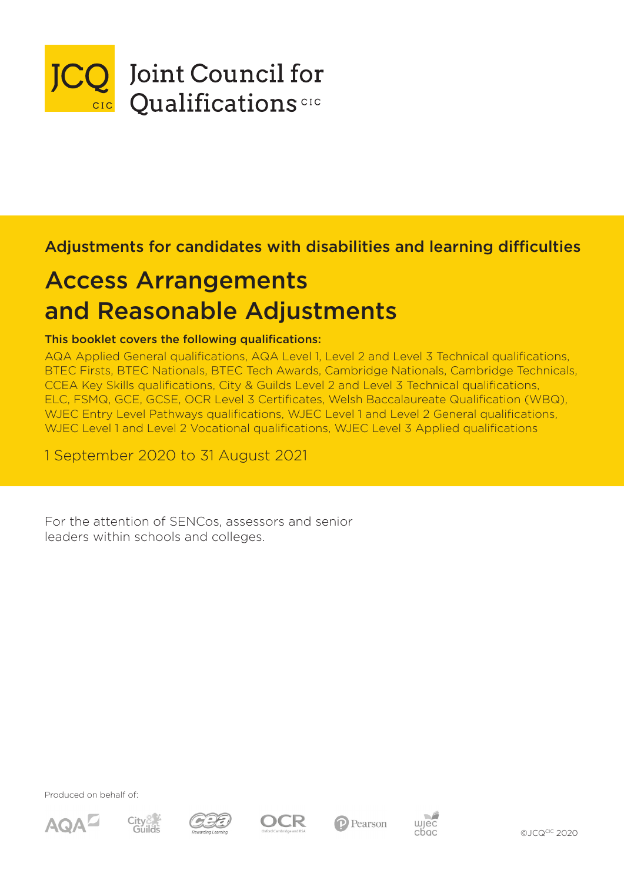

# Adjustments for candidates with disabilities and learning difficulties

# Access Arrangements and Reasonable Adjustments

## This booklet covers the following qualifications:

AQA Applied General qualifications, AQA Level 1, Level 2 and Level 3 Technical qualifications, BTEC Firsts, BTEC Nationals, BTEC Tech Awards, Cambridge Nationals, Cambridge Technicals, CCEA Key Skills qualifications, City & Guilds Level 2 and Level 3 Technical qualifications, ELC, FSMQ, GCE, GCSE, OCR Level 3 Certificates, Welsh Baccalaureate Qualification (WBQ), WJEC Entry Level Pathways qualifications, WJEC Level 1 and Level 2 General qualifications, WJEC Level 1 and Level 2 Vocational qualifications, WJEC Level 3 Applied qualifications

1 September 2020 to 31 August 2021

For the attention of SENCos, assessors and senior leaders within schools and colleges.

Produced on behalf of:













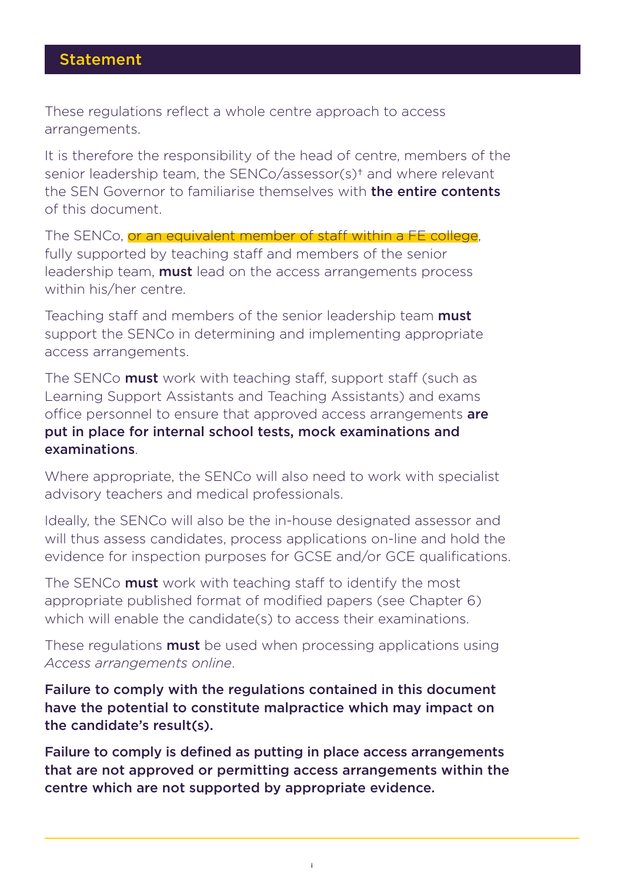## Statement

These regulations reflect a whole centre approach to access arrangements.

It is therefore the responsibility of the head of centre, members of the senior leadership team, the SENCo/assessor(s)† and where relevant the SFN Governor to familiarise themselves with **the entire contents** of this document.

The SENCo, or an equivalent member of staff within a FE college, fully supported by teaching staff and members of the senior leadership team, **must** lead on the access arrangements process within his/her centre.

Teaching staff and members of the senior leadership team must support the SENCo in determining and implementing appropriate access arrangements.

The SENCo **must** work with teaching staff, support staff (such as Learning Support Assistants and Teaching Assistants) and exams office personnel to ensure that approved access arrangements are put in place for internal school tests, mock examinations and examinations.

Where appropriate, the SENCo will also need to work with specialist advisory teachers and medical professionals.

Ideally, the SENCo will also be the in-house designated assessor and will thus assess candidates, process applications on-line and hold the evidence for inspection purposes for GCSE and/or GCE qualifications.

The SENCo **must** work with teaching staff to identify the most appropriate published format of modified papers (see Chapter 6) which will enable the candidate(s) to access their examinations.

These regulations **must** be used when processing applications using *Access arrangements online*.

Failure to comply with the regulations contained in this document have the potential to constitute malpractice which may impact on the candidate's result(s).

Failure to comply is defined as putting in place access arrangements that are not approved or permitting access arrangements within the centre which are not supported by appropriate evidence.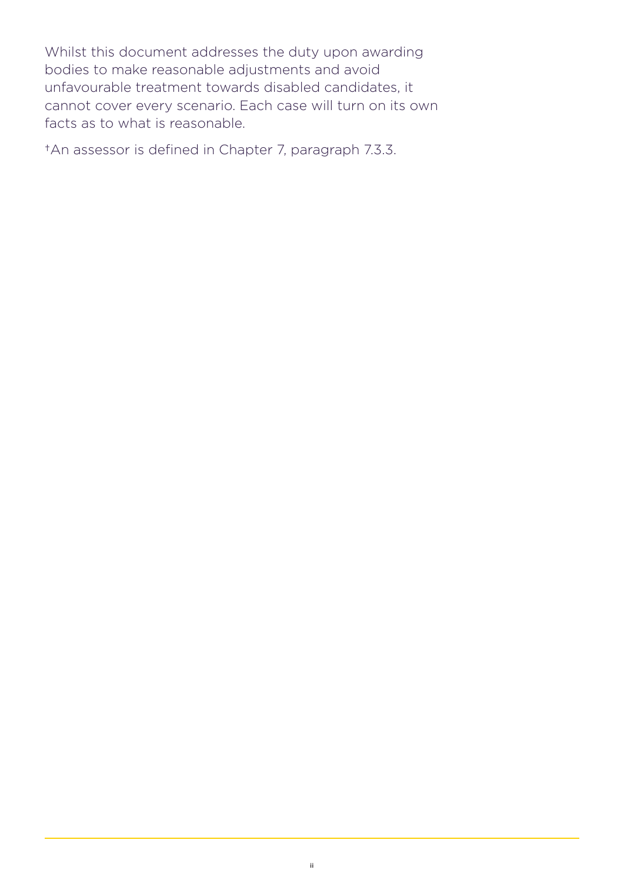Whilst this document addresses the duty upon awarding bodies to make reasonable adjustments and avoid unfavourable treatment towards disabled candidates, it cannot cover every scenario. Each case will turn on its own facts as to what is reasonable.

†An assessor is defined in Chapter 7, paragraph 7.3.3.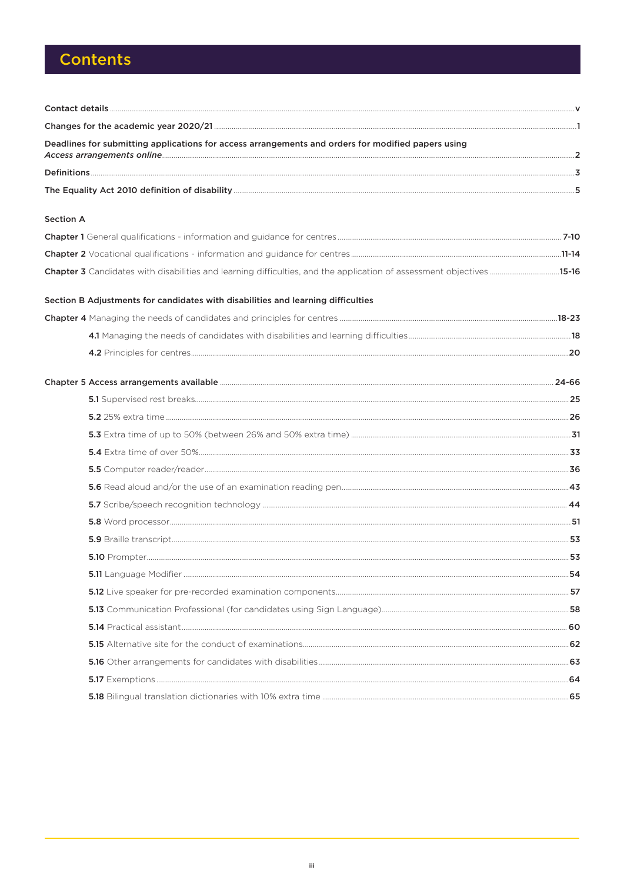# **Contents**

| Deadlines for submitting applications for access arrangements and orders for modified papers using |  |
|----------------------------------------------------------------------------------------------------|--|
|                                                                                                    |  |
|                                                                                                    |  |
| <b>Section A</b>                                                                                   |  |
|                                                                                                    |  |
|                                                                                                    |  |
|                                                                                                    |  |
| Section B Adjustments for candidates with disabilities and learning difficulties                   |  |
|                                                                                                    |  |
|                                                                                                    |  |
|                                                                                                    |  |
|                                                                                                    |  |
|                                                                                                    |  |
|                                                                                                    |  |
|                                                                                                    |  |
|                                                                                                    |  |
|                                                                                                    |  |
|                                                                                                    |  |
|                                                                                                    |  |
|                                                                                                    |  |
|                                                                                                    |  |
|                                                                                                    |  |
|                                                                                                    |  |
|                                                                                                    |  |
|                                                                                                    |  |
|                                                                                                    |  |
|                                                                                                    |  |
|                                                                                                    |  |
|                                                                                                    |  |
|                                                                                                    |  |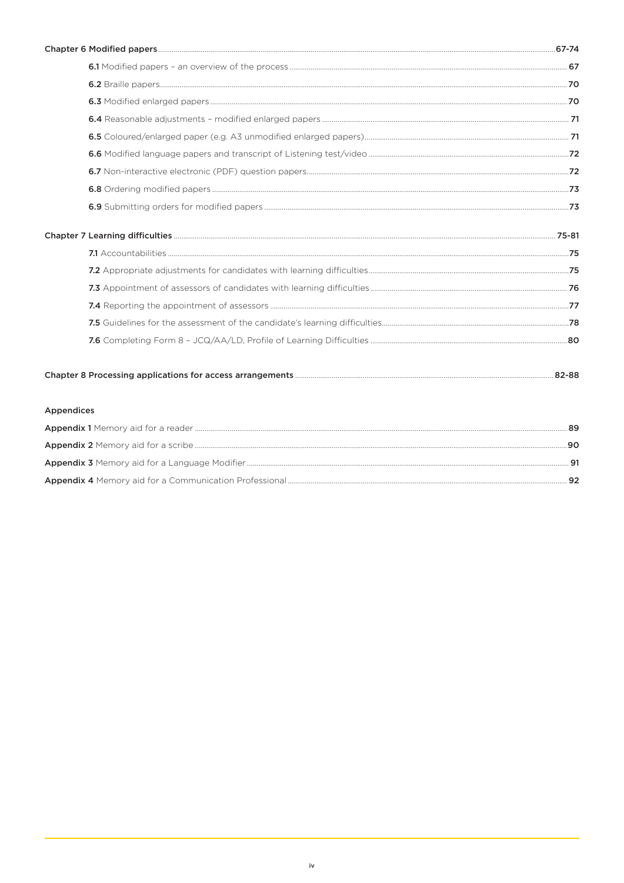| <b>Appendices</b> |  |
|-------------------|--|
|                   |  |
|                   |  |

| 90 |
|----|
|    |
|    |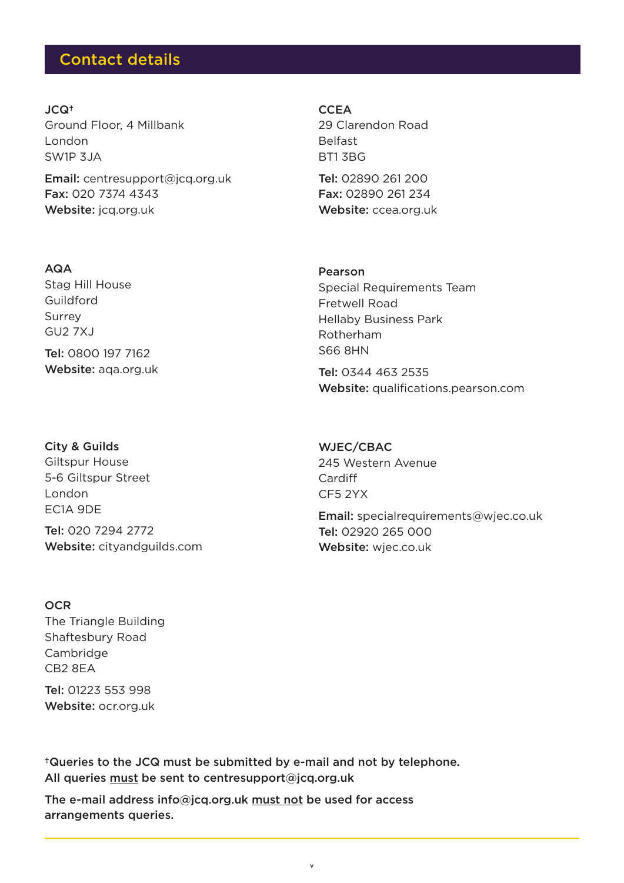## Contact details

JCQ† Ground Floor, 4 Millbank London SW1P 3JA

Email: [centresupport@jcq.org.uk](mailto:centresupport%40jcq.org.uk?subject=) Fax: 020 7374 4343 Website: [jcq.org.uk](https://www.jcq.org.uk/)

AQA

Stag Hill House Guildford Surrey GU2 7XJ Tel: 0800 197 7162 Website: [aqa.org.uk](https://www.aqa.org.uk/)

### City & Guilds

Giltspur House 5-6 Giltspur Street London EC1A 9DE Tel: 020 7294 2772 Website: [cityandguilds.com](https://www.cityandguilds.com/) **CCEA** 29 Clarendon Road Belfast BT1 3BG

Tel: 02890 261 200 Fax: 02890 261 234 Website: [ccea.org.uk](https://ccea.org.uk/)

### Pearson

Special Requirements Team Fretwell Road Hellaby Business Park Rotherham S66 8HN

Tel: 0344 463 2535 Website: [qualifications.pearson.com](https://qualifications.pearson.com/en/home.html)

WJEC/CBAC 245 Western Avenue Cardiff CF5 2YX

Email: [specialrequirements@wjec.co.uk](mailto:specialrequirements%40wjec.co.uk?subject=) Tel: 02920 265 000 Website: wiec.co.uk

### **OCR**

The Triangle Building Shaftesbury Road Cambridge CB2 8EA

Tel: 01223 553 998 Website: [ocr.org.uk](https://ocr.org.uk/)

†Queries to the JCQ must be submitted by e-mail and not by telephone. All queries must be sent to centresupport@jcq.org.uk

The e-mail address info@jcq.org.uk must not be used for access arrangements queries.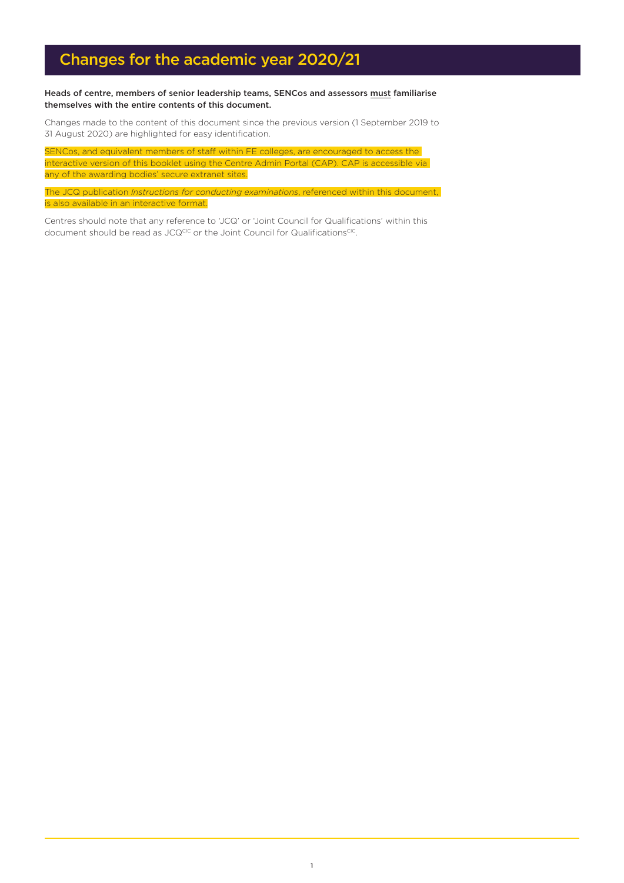# Changes for the academic year 2020/21

### Heads of centre, members of senior leadership teams, SENCos and assessors must familiarise themselves with the entire contents of this document.

Changes made to the content of this document since the previous version (1 September 2019 to 31 August 2020) are highlighted for easy identification.

SENCos, and equivalent members of staff within FE colleges, are encouraged to access the interactive version of this booklet using the Centre Admin Portal (CAP). CAP is accessible via any of the awarding bodies' secure extranet sites.

The JCQ publication *Instructions for conducting examinations*, referenced within this document, is also available in an interactive format.

Centres should note that any reference to 'JCQ' or 'Joint Council for Qualifications' within this document should be read as JCQCIC or the Joint Council for QualificationsCIC.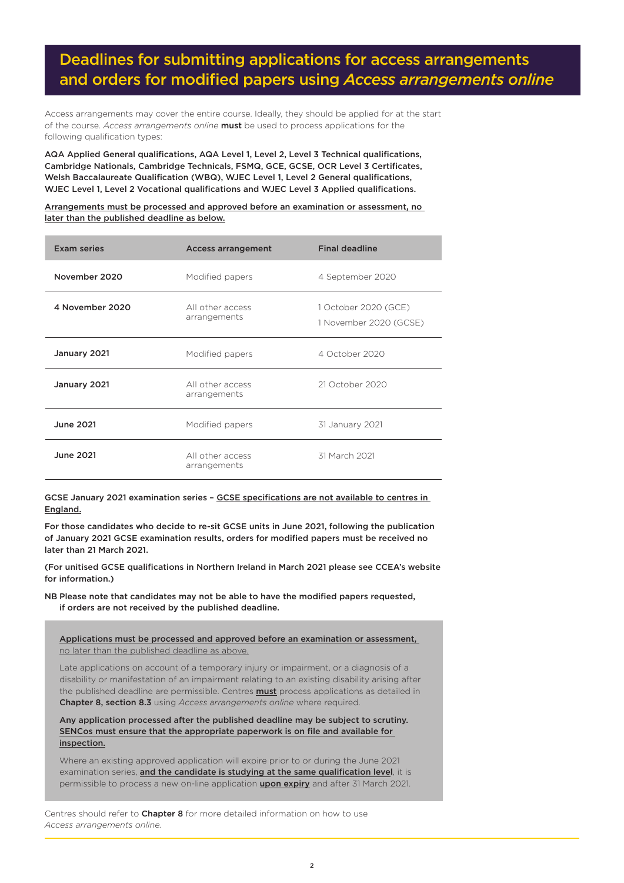# Deadlines for submitting applications for access arrangements and orders for modified papers using *Access arrangements online*

Access arrangements may cover the entire course. Ideally, they should be applied for at the start of the course. *Access arrangements online* must be used to process applications for the following qualification types:

AQA Applied General qualifications, AQA Level 1, Level 2, Level 3 Technical qualifications, Cambridge Nationals, Cambridge Technicals, FSMQ, GCE, GCSE, OCR Level 3 Certificates, Welsh Baccalaureate Qualification (WBQ), WJEC Level 1, Level 2 General qualifications, WJEC Level 1, Level 2 Vocational qualifications and WJEC Level 3 Applied qualifications.

Arrangements must be processed and approved before an examination or assessment, no later than the published deadline as below.

| <b>Exam series</b> | <b>Access arrangement</b>        | <b>Final deadline</b>                          |
|--------------------|----------------------------------|------------------------------------------------|
| November 2020      | Modified papers                  | 4 September 2020                               |
| 4 November 2020    | All other access<br>arrangements | 1 October 2020 (GCE)<br>1 November 2020 (GCSE) |
| January 2021       | Modified papers                  | 4 October 2020                                 |
| January 2021       | All other access<br>arrangements | 21 October 2020                                |
| <b>June 2021</b>   | Modified papers                  | 31 January 2021                                |
| <b>June 2021</b>   | All other access<br>arrangements | 31 March 2021                                  |

GCSE January 2021 examination series – GCSE specifications are not available to centres in England.

For those candidates who decide to re-sit GCSE units in June 2021, following the publication of January 2021 GCSE examination results, orders for modified papers must be received no later than 21 March 2021.

(For unitised GCSE qualifications in Northern Ireland in March 2021 please see CCEA's website for information.)

NB Please note that candidates may not be able to have the modified papers requested, if orders are not received by the published deadline.

Applications must be processed and approved before an examination or assessment, no later than the published deadline as above.

Late applications on account of a temporary injury or impairment, or a diagnosis of a disability or manifestation of an impairment relating to an existing disability arising after the published deadline are permissible. Centres **must** process applications as detailed in Chapter 8, section 8.3 using *Access arrangements online* where required.

Any application processed after the published deadline may be subject to scrutiny. SENCos must ensure that the appropriate paperwork is on file and available for inspection.

Where an existing approved application will expire prior to or during the June 2021 examination series, and the candidate is studying at the same qualification level, it is permissible to process a new on-line application **upon expiry** and after 31 March 2021.

Centres should refer to **Chapter 8** for more detailed information on how to use *Access arrangements online.*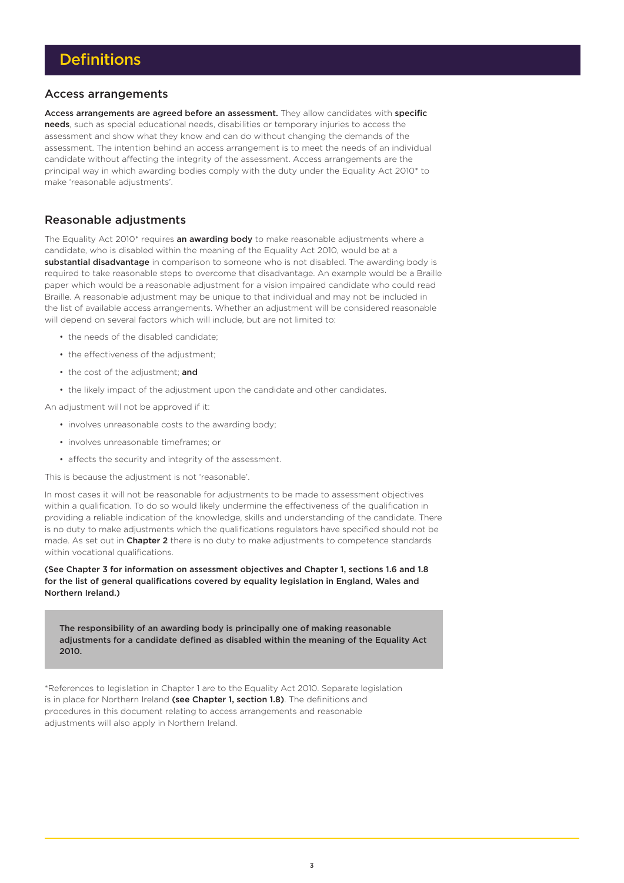### Access arrangements

Access arrangements are agreed before an assessment. They allow candidates with specific needs, such as special educational needs, disabilities or temporary injuries to access the assessment and show what they know and can do without changing the demands of the assessment. The intention behind an access arrangement is to meet the needs of an individual candidate without affecting the integrity of the assessment. Access arrangements are the principal way in which awarding bodies comply with the duty under the Equality Act 2010\* to make 'reasonable adjustments'.

### Reasonable adjustments

The Fauality Act 2010\* requires an awarding body to make reasonable adjustments where a candidate, who is disabled within the meaning of the Equality Act 2010, would be at a substantial disadvantage in comparison to someone who is not disabled. The awarding body is required to take reasonable steps to overcome that disadvantage. An example would be a Braille paper which would be a reasonable adjustment for a vision impaired candidate who could read Braille. A reasonable adjustment may be unique to that individual and may not be included in the list of available access arrangements. Whether an adjustment will be considered reasonable will depend on several factors which will include, but are not limited to:

- the needs of the disabled candidate;
- the effectiveness of the adjustment;
- the cost of the adjustment: and
- the likely impact of the adjustment upon the candidate and other candidates.

An adjustment will not be approved if it:

- involves unreasonable costs to the awarding body;
- involves unreasonable timeframes; or
- affects the security and integrity of the assessment.

This is because the adjustment is not 'reasonable'.

In most cases it will not be reasonable for adjustments to be made to assessment objectives within a qualification. To do so would likely undermine the effectiveness of the qualification in providing a reliable indication of the knowledge, skills and understanding of the candidate. There is no duty to make adjustments which the qualifications regulators have specified should not be made. As set out in Chapter 2 there is no duty to make adjustments to competence standards within vocational qualifications.

(See Chapter 3 for information on assessment objectives and Chapter 1, sections 1.6 and 1.8 for the list of general qualifications covered by equality legislation in England, Wales and Northern Ireland.)

The responsibility of an awarding body is principally one of making reasonable adjustments for a candidate defined as disabled within the meaning of the Equality Act 2010.

\*References to legislation in Chapter 1 are to the Equality Act 2010. Separate legislation is in place for Northern Ireland (see Chapter 1, section 1.8). The definitions and procedures in this document relating to access arrangements and reasonable adjustments will also apply in Northern Ireland.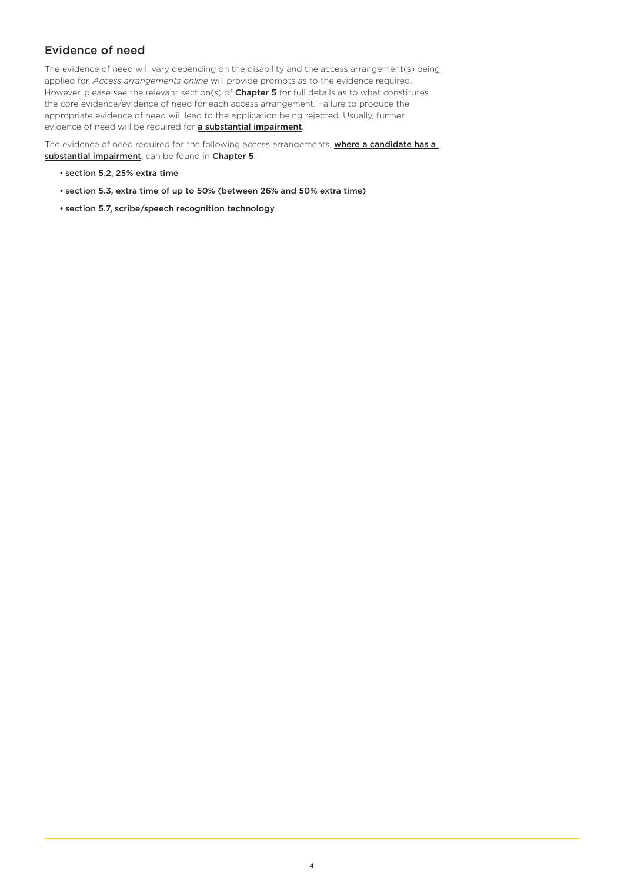## Evidence of need

The evidence of need will vary depending on the disability and the access arrangement(s) being applied for. *Access arrangements online* will provide prompts as to the evidence required. However, please see the relevant section(s) of Chapter 5 for full details as to what constitutes the core evidence/evidence of need for each access arrangement. Failure to produce the appropriate evidence of need will lead to the application being rejected. Usually, further evidence of need will be required for **a substantial impairment**.

The evidence of need required for the following access arrangements, **where a candidate has a** substantial impairment, can be found in Chapter 5:

- section 5.2, 25% extra time
- section 5.3, extra time of up to 50% (between 26% and 50% extra time)
- section 5.7, scribe/speech recognition technology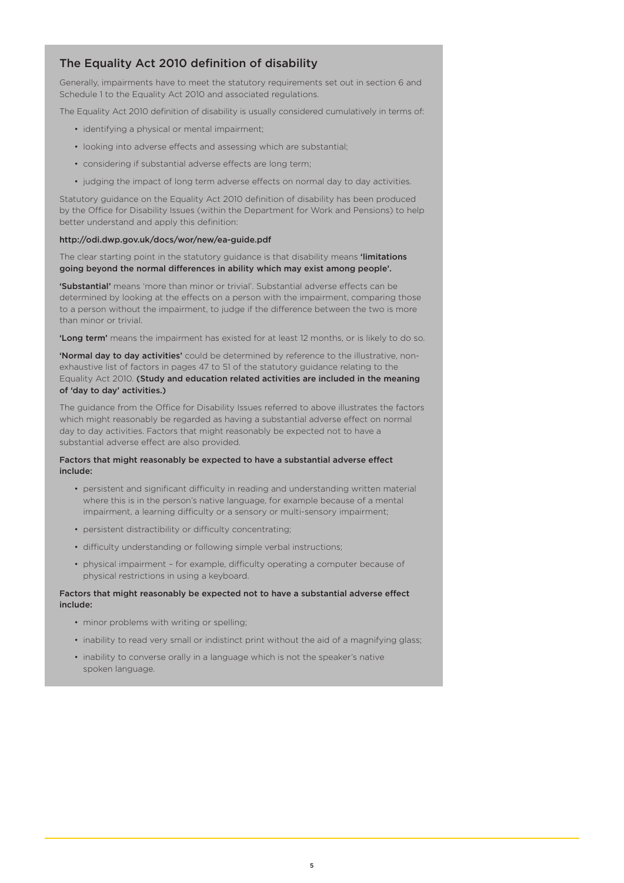## The Equality Act 2010 definition of disability

Generally, impairments have to meet the statutory requirements set out in section 6 and Schedule 1 to the Equality Act 2010 and associated regulations.

The Equality Act 2010 definition of disability is usually considered cumulatively in terms of:

- identifying a physical or mental impairment;
- looking into adverse effects and assessing which are substantial;
- considering if substantial adverse effects are long term;
- judging the impact of long term adverse effects on normal day to day activities.

Statutory guidance on the Equality Act 2010 definition of disability has been produced by the Office for Disability Issues (within the Department for Work and Pensions) to help better understand and apply this definition:

### <http://odi.dwp.gov.uk/docs/wor/new/ea-guide.pdf>

The clear starting point in the statutory guidance is that disability means 'limitations going beyond the normal differences in ability which may exist among people'.

'Substantial' means 'more than minor or trivial'. Substantial adverse effects can be determined by looking at the effects on a person with the impairment, comparing those to a person without the impairment, to judge if the difference between the two is more than minor or trivial.

'Long term' means the impairment has existed for at least 12 months, or is likely to do so.

'Normal day to day activities' could be determined by reference to the illustrative, nonexhaustive list of factors in pages 47 to 51 of the statutory guidance relating to the Equality Act 2010. (Study and education related activities are included in the meaning of 'day to day' activities.)

The guidance from the Office for Disability Issues referred to above illustrates the factors which might reasonably be regarded as having a substantial adverse effect on normal day to day activities. Factors that might reasonably be expected not to have a substantial adverse effect are also provided.

### Factors that might reasonably be expected to have a substantial adverse effect include:

- persistent and significant difficulty in reading and understanding written material where this is in the person's native language, for example because of a mental impairment, a learning difficulty or a sensory or multi-sensory impairment;
- persistent distractibility or difficulty concentrating;
- difficulty understanding or following simple verbal instructions;
- physical impairment for example, difficulty operating a computer because of physical restrictions in using a keyboard.

### Factors that might reasonably be expected not to have a substantial adverse effect include:

- minor problems with writing or spelling;
- inability to read very small or indistinct print without the aid of a magnifying glass;
- inability to converse orally in a language which is not the speaker's native spoken language.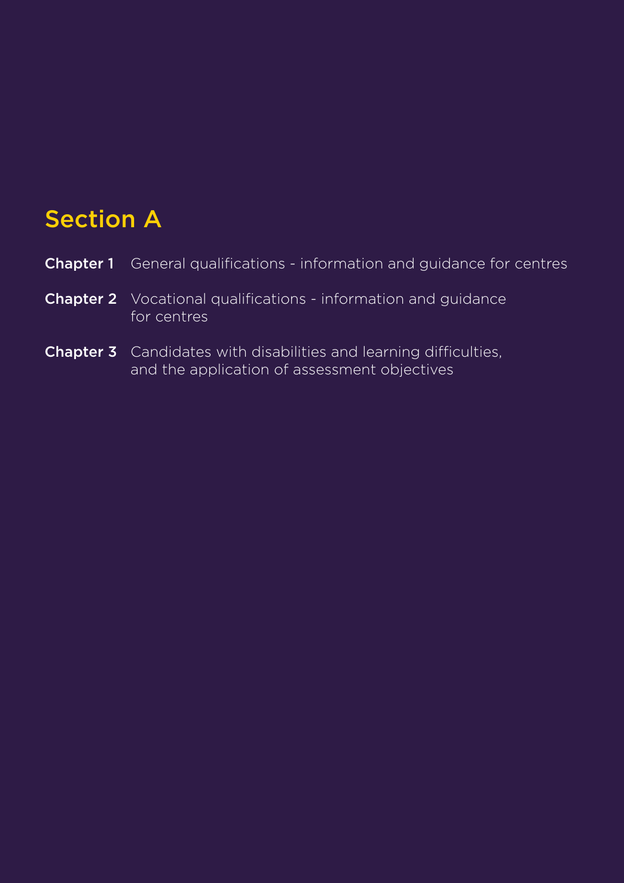# Section A

| <b>Chapter 1</b> General qualifications - information and quidance for centres       |
|--------------------------------------------------------------------------------------|
| <b>Chapter 2</b> Vocational qualifications - information and quidance<br>for centres |

Chapter 3 Candidates with disabilities and learning difficulties, and the application of assessment objectives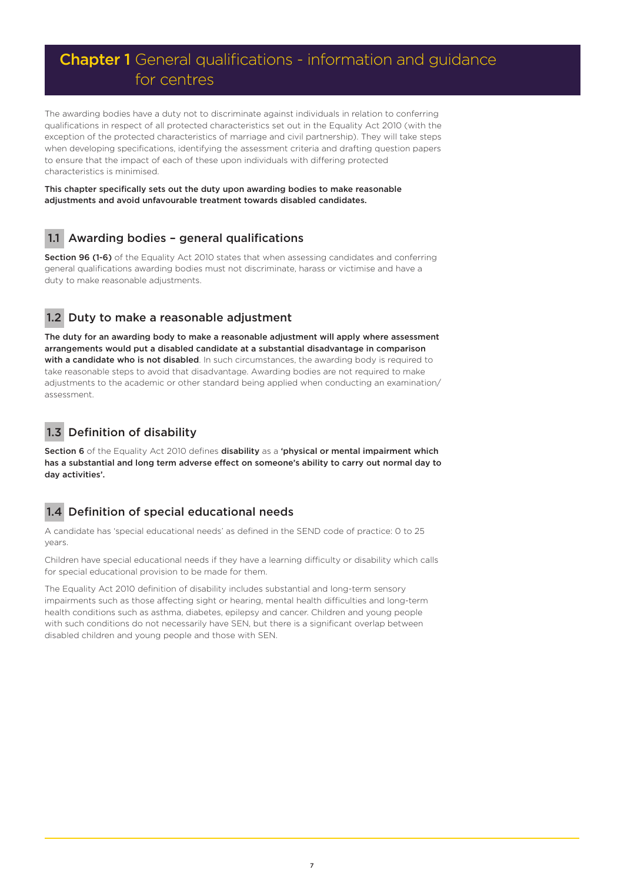# Chapter 1 General qualifications - information and guidance for centres

The awarding bodies have a duty not to discriminate against individuals in relation to conferring qualifications in respect of all protected characteristics set out in the Equality Act 2010 (with the exception of the protected characteristics of marriage and civil partnership). They will take steps when developing specifications, identifying the assessment criteria and drafting question papers to ensure that the impact of each of these upon individuals with differing protected characteristics is minimised.

This chapter specifically sets out the duty upon awarding bodies to make reasonable adjustments and avoid unfavourable treatment towards disabled candidates.

## 1.1 Awarding bodies - general qualifications

Section 96 (1-6) of the Equality Act 2010 states that when assessing candidates and conferring general qualifications awarding bodies must not discriminate, harass or victimise and have a duty to make reasonable adjustments.

## 1.2 Duty to make a reasonable adjustment

The duty for an awarding body to make a reasonable adjustment will apply where assessment arrangements would put a disabled candidate at a substantial disadvantage in comparison with a candidate who is not disabled. In such circumstances, the awarding body is required to take reasonable steps to avoid that disadvantage. Awarding bodies are not required to make adjustments to the academic or other standard being applied when conducting an examination/ assessment.

## 1.3 Definition of disability

Section 6 of the Equality Act 2010 defines disability as a 'physical or mental impairment which has a substantial and long term adverse effect on someone's ability to carry out normal day to day activities'.

## 1.4 Definition of special educational needs

A candidate has 'special educational needs' as defined in the SEND code of practice: 0 to 25 years.

Children have special educational needs if they have a learning difficulty or disability which calls for special educational provision to be made for them.

The Equality Act 2010 definition of disability includes substantial and long-term sensory impairments such as those affecting sight or hearing, mental health difficulties and long-term health conditions such as asthma, diabetes, epilepsy and cancer. Children and young people with such conditions do not necessarily have SEN, but there is a significant overlap between disabled children and young people and those with SEN.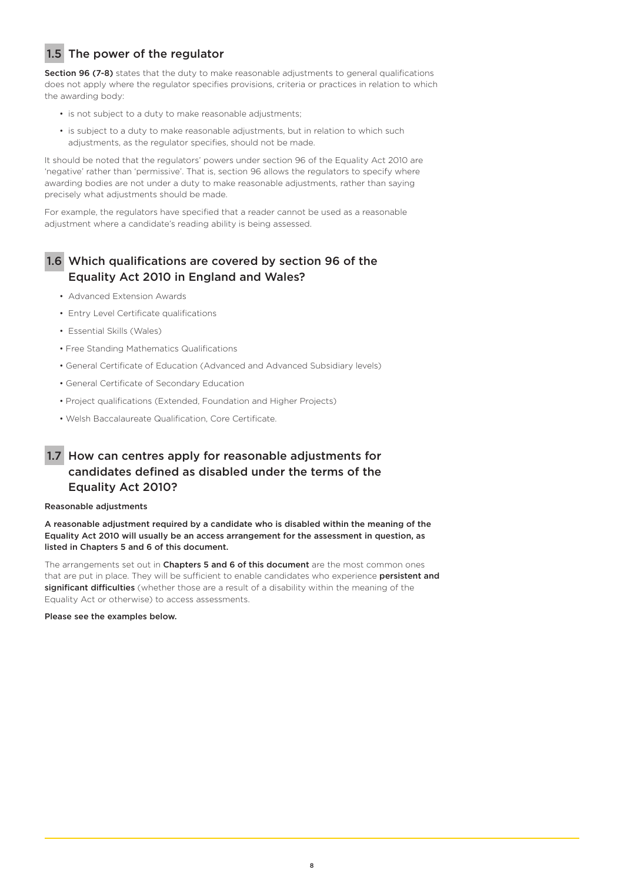## 1.5 The power of the regulator

Section 96 (7-8) states that the duty to make reasonable adjustments to general qualifications does not apply where the regulator specifies provisions, criteria or practices in relation to which the awarding body:

- is not subject to a duty to make reasonable adjustments;
- is subject to a duty to make reasonable adjustments, but in relation to which such adjustments, as the regulator specifies, should not be made.

It should be noted that the regulators' powers under section 96 of the Equality Act 2010 are 'negative' rather than 'permissive'. That is, section 96 allows the regulators to specify where awarding bodies are not under a duty to make reasonable adjustments, rather than saying precisely what adjustments should be made.

For example, the regulators have specified that a reader cannot be used as a reasonable adjustment where a candidate's reading ability is being assessed.

## 1.6 Which qualifications are covered by section 96 of the Equality Act 2010 in England and Wales?

- Advanced Extension Awards
- Entry Level Certificate qualifications
- Essential Skills (Wales)
- Free Standing Mathematics Qualifications
- General Certificate of Education (Advanced and Advanced Subsidiary levels)
- General Certificate of Secondary Education
- Project qualifications (Extended, Foundation and Higher Projects)
- Welsh Baccalaureate Qualification, Core Certificate.

## 1.7 How can centres apply for reasonable adjustments for candidates defined as disabled under the terms of the Equality Act 2010?

### Reasonable adjustments

A reasonable adjustment required by a candidate who is disabled within the meaning of the Equality Act 2010 will usually be an access arrangement for the assessment in question, as listed in Chapters 5 and 6 of this document.

The arrangements set out in Chapters 5 and 6 of this document are the most common ones that are put in place. They will be sufficient to enable candidates who experience persistent and significant difficulties (whether those are a result of a disability within the meaning of the Equality Act or otherwise) to access assessments.

Please see the examples below.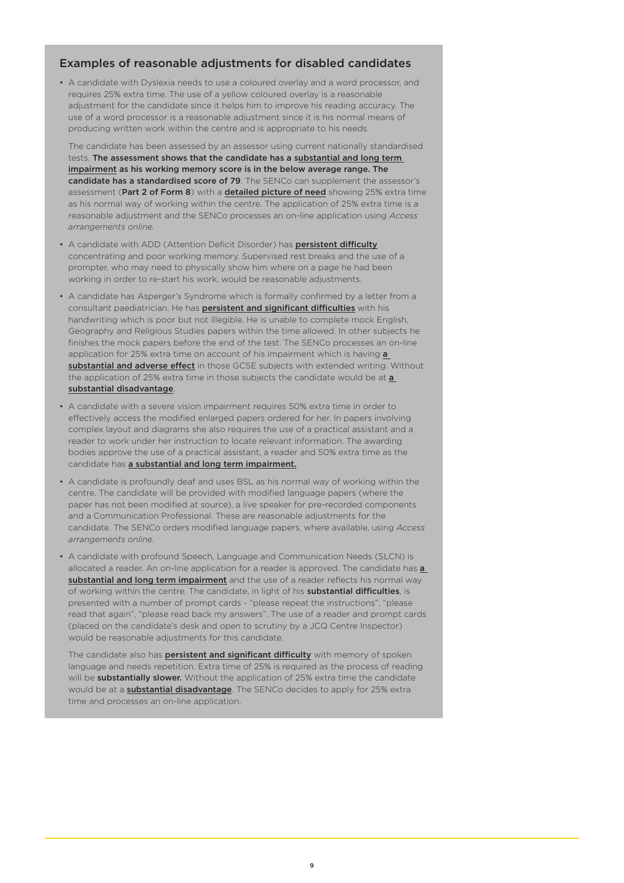### Examples of reasonable adjustments for disabled candidates

• A candidate with Dyslexia needs to use a coloured overlay and a word processor, and requires 25% extra time. The use of a yellow coloured overlay is a reasonable adjustment for the candidate since it helps him to improve his reading accuracy. The use of a word processor is a reasonable adjustment since it is his normal means of producing written work within the centre and is appropriate to his needs.

The candidate has been assessed by an assessor using current nationally standardised tests. The assessment shows that the candidate has a substantial and long term impairment as his working memory score is in the below average range. The candidate has a standardised score of 79. The SENCo can supplement the assessor's assessment (Part 2 of Form 8) with a **detailed picture of need** showing 25% extra time as his normal way of working within the centre. The application of 25% extra time is a reasonable adjustment and the SENCo processes an on-line application using *Access arrangements online.*

- A candidate with ADD (Attention Deficit Disorder) has persistent difficulty concentrating and poor working memory. Supervised rest breaks and the use of a prompter, who may need to physically show him where on a page he had been working in order to re-start his work, would be reasonable adjustments.
- A candidate has Asperger's Syndrome which is formally confirmed by a letter from a consultant paediatrician. He has **persistent and significant difficulties** with his handwriting which is poor but not illegible. He is unable to complete mock English, Geography and Religious Studies papers within the time allowed. In other subjects he finishes the mock papers before the end of the test. The SENCo processes an on-line application for 25% extra time on account of his impairment which is having a substantial and adverse effect in those GCSE subjects with extended writing. Without the application of 25% extra time in those subjects the candidate would be at a substantial disadvantage.
- A candidate with a severe vision impairment requires 50% extra time in order to effectively access the modified enlarged papers ordered for her. In papers involving complex layout and diagrams she also requires the use of a practical assistant and a reader to work under her instruction to locate relevant information. The awarding bodies approve the use of a practical assistant, a reader and 50% extra time as the candidate has a substantial and long term impairment.
- A candidate is profoundly deaf and uses BSL as his normal way of working within the centre. The candidate will be provided with modified language papers (where the paper has not been modified at source), a live speaker for pre-recorded components and a Communication Professional. These are reasonable adjustments for the candidate. The SENCo orders modified language papers, where available, using *Access arrangements online.*
- A candidate with profound Speech, Language and Communication Needs (SLCN) is allocated a reader. An on-line application for a reader is approved. The candidate has a substantial and long term impairment and the use of a reader reflects his normal way of working within the centre. The candidate, in light of his substantial difficulties, is presented with a number of prompt cards - "please repeat the instructions", "please read that again", "please read back my answers". The use of a reader and prompt cards (placed on the candidate's desk and open to scrutiny by a JCQ Centre Inspector) would be reasonable adjustments for this candidate.

The candidate also has **persistent and significant difficulty** with memory of spoken language and needs repetition. Extra time of 25% is required as the process of reading will be **substantially slower.** Without the application of 25% extra time the candidate would be at a **substantial disadvantage**. The SENCo decides to apply for 25% extra time and processes an on-line application.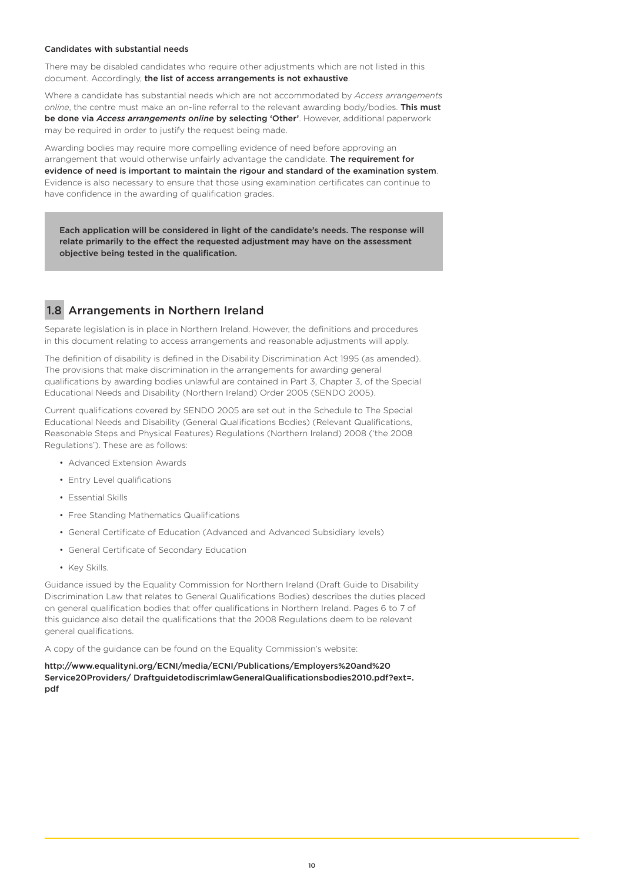#### Candidates with substantial needs

There may be disabled candidates who require other adjustments which are not listed in this document. Accordingly, the list of access arrangements is not exhaustive.

Where a candidate has substantial needs which are not accommodated by *Access arrangements online*, the centre must make an on-line referral to the relevant awarding body/bodies. This must be done via *Access arrangements online* by selecting 'Other'. However, additional paperwork may be required in order to justify the request being made.

Awarding bodies may require more compelling evidence of need before approving an arrangement that would otherwise unfairly advantage the candidate. The requirement for evidence of need is important to maintain the rigour and standard of the examination system. Evidence is also necessary to ensure that those using examination certificates can continue to have confidence in the awarding of qualification grades.

Each application will be considered in light of the candidate's needs. The response will relate primarily to the effect the requested adjustment may have on the assessment objective being tested in the qualification.

## 1.8 Arrangements in Northern Ireland

Separate legislation is in place in Northern Ireland. However, the definitions and procedures in this document relating to access arrangements and reasonable adjustments will apply.

The definition of disability is defined in the Disability Discrimination Act 1995 (as amended). The provisions that make discrimination in the arrangements for awarding general qualifications by awarding bodies unlawful are contained in Part 3, Chapter 3, of the Special Educational Needs and Disability (Northern Ireland) Order 2005 (SENDO 2005).

Current qualifications covered by SENDO 2005 are set out in the Schedule to The Special Educational Needs and Disability (General Qualifications Bodies) (Relevant Qualifications, Reasonable Steps and Physical Features) Regulations (Northern Ireland) 2008 ('the 2008 Regulations'). These are as follows:

- Advanced Extension Awards
- Entry Level qualifications
- Essential Skills
- Free Standing Mathematics Qualifications
- General Certificate of Education (Advanced and Advanced Subsidiary levels)
- General Certificate of Secondary Education
- Key Skills.

Guidance issued by the Equality Commission for Northern Ireland (Draft Guide to Disability Discrimination Law that relates to General Qualifications Bodies) describes the duties placed on general qualification bodies that offer qualifications in Northern Ireland. Pages 6 to 7 of this guidance also detail the qualifications that the 2008 Regulations deem to be relevant general qualifications.

A copy of the guidance can be found on the Equality Commission's website:

[http://www.equalityni.org/ECNI/media/ECNI/Publications/Employers%20and%20](https://www.equalityni.org/Home) [Service20Providers/ DraftguidetodiscrimlawGeneralQualificationsbodies2010.pdf?ext=.](https://www.equalityni.org/Home) [pdf](https://www.equalityni.org/Home)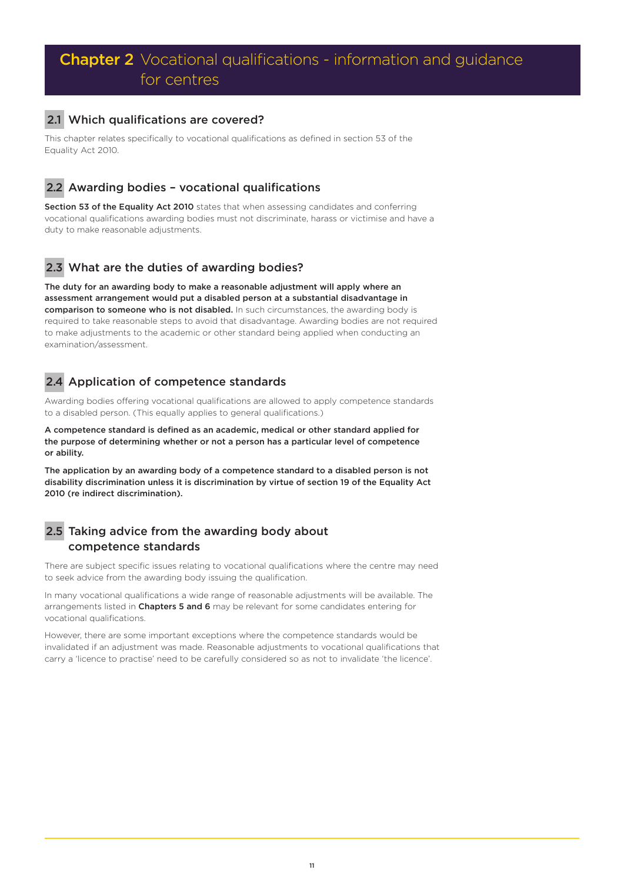# **Chapter 2** Vocational qualifications - information and guidance for centres

## 2.1 Which qualifications are covered?

This chapter relates specifically to vocational qualifications as defined in section 53 of the Equality Act 2010.

## 2.2 Awarding bodies – vocational qualifications

Section 53 of the Equality Act 2010 states that when assessing candidates and conferring vocational qualifications awarding bodies must not discriminate, harass or victimise and have a duty to make reasonable adjustments.

## 2.3 What are the duties of awarding bodies?

The duty for an awarding body to make a reasonable adjustment will apply where an assessment arrangement would put a disabled person at a substantial disadvantage in comparison to someone who is not disabled. In such circumstances, the awarding body is required to take reasonable steps to avoid that disadvantage. Awarding bodies are not required to make adjustments to the academic or other standard being applied when conducting an examination/assessment.

## 2.4 Application of competence standards

Awarding bodies offering vocational qualifications are allowed to apply competence standards to a disabled person. (This equally applies to general qualifications.)

A competence standard is defined as an academic, medical or other standard applied for the purpose of determining whether or not a person has a particular level of competence or ability.

The application by an awarding body of a competence standard to a disabled person is not disability discrimination unless it is discrimination by virtue of section 19 of the Equality Act 2010 (re indirect discrimination).

## 2.5 Taking advice from the awarding body about competence standards

There are subject specific issues relating to vocational qualifications where the centre may need to seek advice from the awarding body issuing the qualification.

In many vocational qualifications a wide range of reasonable adjustments will be available. The arrangements listed in Chapters 5 and 6 may be relevant for some candidates entering for vocational qualifications.

However, there are some important exceptions where the competence standards would be invalidated if an adjustment was made. Reasonable adjustments to vocational qualifications that carry a 'licence to practise' need to be carefully considered so as not to invalidate 'the licence'.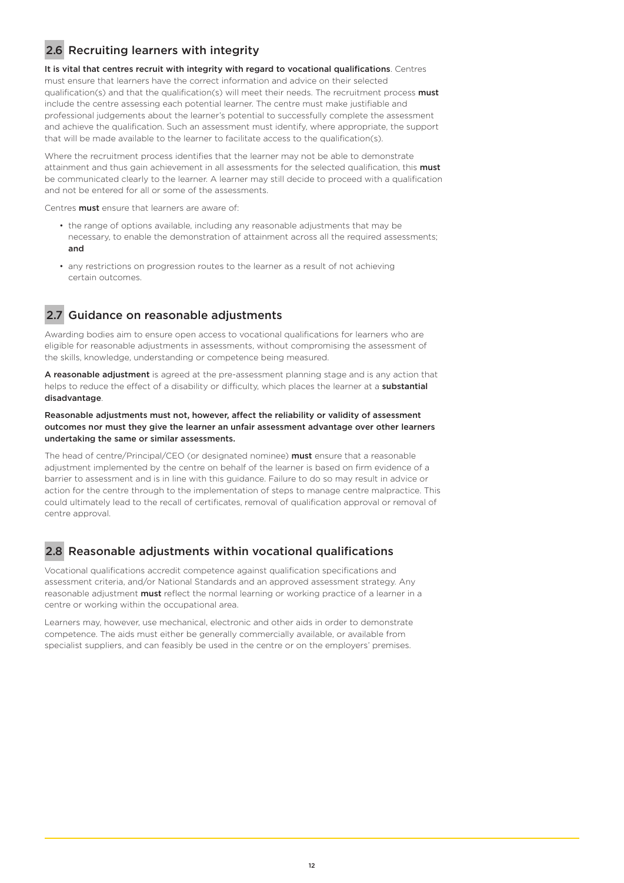## 2.6 Recruiting learners with integrity

It is vital that centres recruit with integrity with regard to vocational qualifications. Centres must ensure that learners have the correct information and advice on their selected qualification(s) and that the qualification(s) will meet their needs. The recruitment process must include the centre assessing each potential learner. The centre must make justifiable and professional judgements about the learner's potential to successfully complete the assessment and achieve the qualification. Such an assessment must identify, where appropriate, the support that will be made available to the learner to facilitate access to the qualification(s).

Where the recruitment process identifies that the learner may not be able to demonstrate attainment and thus gain achievement in all assessments for the selected qualification, this must be communicated clearly to the learner. A learner may still decide to proceed with a qualification and not be entered for all or some of the assessments.

Centres **must** ensure that learners are aware of:

- the range of options available, including any reasonable adjustments that may be necessary, to enable the demonstration of attainment across all the required assessments; and
- any restrictions on progression routes to the learner as a result of not achieving certain outcomes.

## 2.7 Guidance on reasonable adjustments

Awarding bodies aim to ensure open access to vocational qualifications for learners who are eligible for reasonable adjustments in assessments, without compromising the assessment of the skills, knowledge, understanding or competence being measured.

A reasonable adjustment is agreed at the pre-assessment planning stage and is any action that helps to reduce the effect of a disability or difficulty, which places the learner at a **substantial** disadvantage.

### Reasonable adjustments must not, however, affect the reliability or validity of assessment outcomes nor must they give the learner an unfair assessment advantage over other learners undertaking the same or similar assessments.

The head of centre/Principal/CEO (or designated nominee) **must** ensure that a reasonable adjustment implemented by the centre on behalf of the learner is based on firm evidence of a barrier to assessment and is in line with this guidance. Failure to do so may result in advice or action for the centre through to the implementation of steps to manage centre malpractice. This could ultimately lead to the recall of certificates, removal of qualification approval or removal of centre approval.

## 2.8 Reasonable adjustments within vocational qualifications

Vocational qualifications accredit competence against qualification specifications and assessment criteria, and/or National Standards and an approved assessment strategy. Any reasonable adjustment **must** reflect the normal learning or working practice of a learner in a centre or working within the occupational area.

Learners may, however, use mechanical, electronic and other aids in order to demonstrate competence. The aids must either be generally commercially available, or available from specialist suppliers, and can feasibly be used in the centre or on the employers' premises.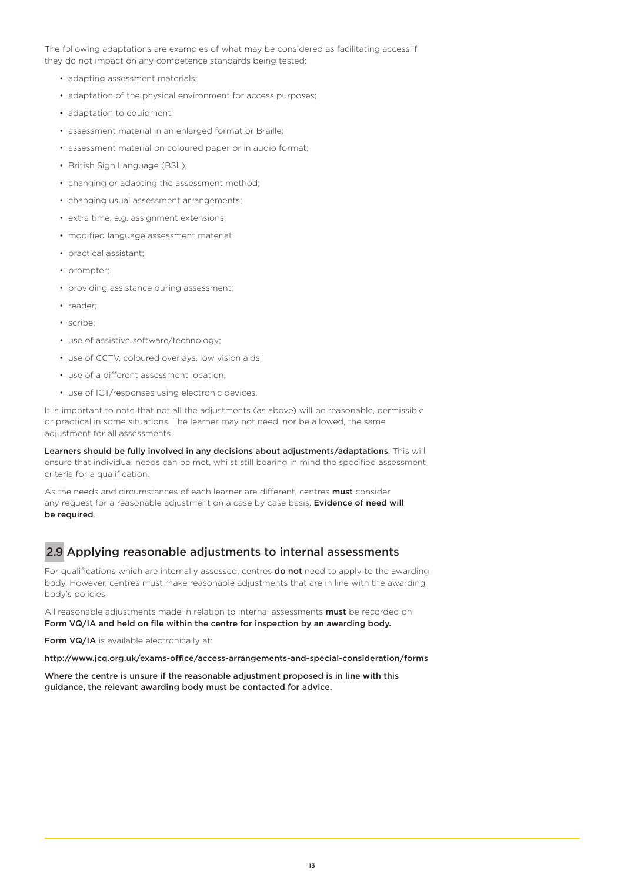The following adaptations are examples of what may be considered as facilitating access if they do not impact on any competence standards being tested:

- adapting assessment materials;
- adaptation of the physical environment for access purposes;
- adaptation to equipment;
- assessment material in an enlarged format or Braille;
- assessment material on coloured paper or in audio format;
- British Sign Language (BSL);
- changing or adapting the assessment method;
- changing usual assessment arrangements;
- extra time, e.g. assignment extensions;
- modified language assessment material;
- practical assistant;
- prompter;
- providing assistance during assessment;
- reader;
- scribe;
- use of assistive software/technology;
- use of CCTV, coloured overlays, low vision aids;
- use of a different assessment location;
- use of ICT/responses using electronic devices.

It is important to note that not all the adjustments (as above) will be reasonable, permissible or practical in some situations. The learner may not need, nor be allowed, the same adjustment for all assessments.

Learners should be fully involved in any decisions about adjustments/adaptations. This will ensure that individual needs can be met, whilst still bearing in mind the specified assessment criteria for a qualification.

As the needs and circumstances of each learner are different, centres **must** consider any request for a reasonable adjustment on a case by case basis. Evidence of need will be required.

## 2.9 Applying reasonable adjustments to internal assessments

For qualifications which are internally assessed, centres **do not** need to apply to the awarding body. However, centres must make reasonable adjustments that are in line with the awarding body's policies.

All reasonable adjustments made in relation to internal assessments must be recorded on Form VQ/IA and held on file within the centre for inspection by an awarding body.

Form VQ/IA is available electronically at:

http://www.jcq.org.uk/exams-office/access-arrangements-and-special-consideration/forms

Where the centre is unsure if the reasonable adjustment proposed is in line with this guidance, the relevant awarding body must be contacted for advice.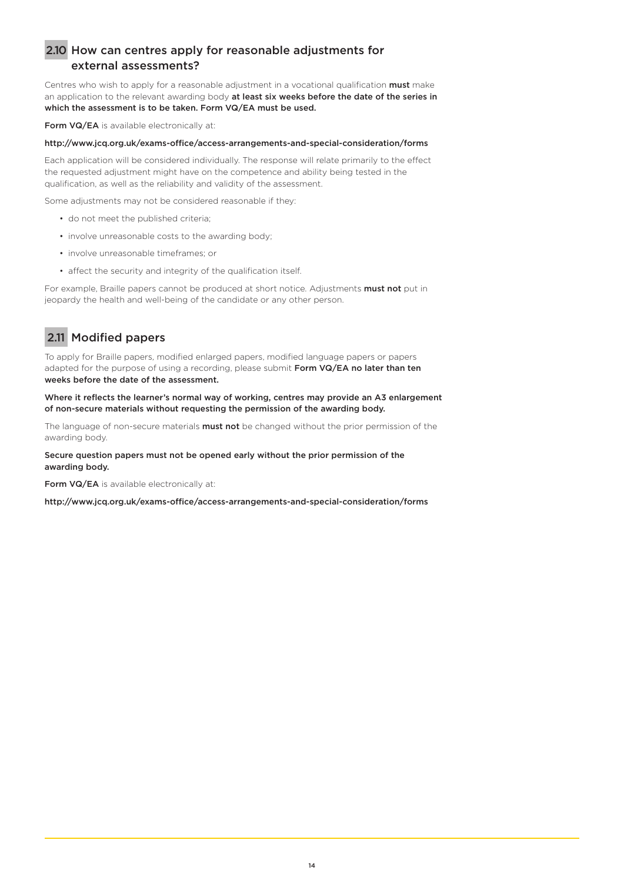## 2.10 How can centres apply for reasonable adjustments for external assessments?

Centres who wish to apply for a reasonable adjustment in a vocational qualification must make an application to the relevant awarding body at least six weeks before the date of the series in which the assessment is to be taken. Form VQ/EA must be used.

Form VQ/EA is available electronically at:

### http://www.jcq.org.uk/exams-office/access-arrangements-and-special-consideration/forms

Each application will be considered individually. The response will relate primarily to the effect the requested adjustment might have on the competence and ability being tested in the qualification, as well as the reliability and validity of the assessment.

Some adjustments may not be considered reasonable if they:

- do not meet the published criteria;
- involve unreasonable costs to the awarding body;
- involve unreasonable timeframes; or
- affect the security and integrity of the qualification itself.

For example, Braille papers cannot be produced at short notice. Adjustments must not put in jeopardy the health and well-being of the candidate or any other person.

## 2.11 Modified papers

To apply for Braille papers, modified enlarged papers, modified language papers or papers adapted for the purpose of using a recording, please submit Form VQ/EA no later than ten weeks before the date of the assessment.

Where it reflects the learner's normal way of working, centres may provide an A3 enlargement of non-secure materials without requesting the permission of the awarding body.

The language of non-secure materials **must not** be changed without the prior permission of the awarding body.

### Secure question papers must not be opened early without the prior permission of the awarding body.

Form VQ/EA is available electronically at:

http://www.jcq.org.uk/exams-office/access-arrangements-and-special-consideration/forms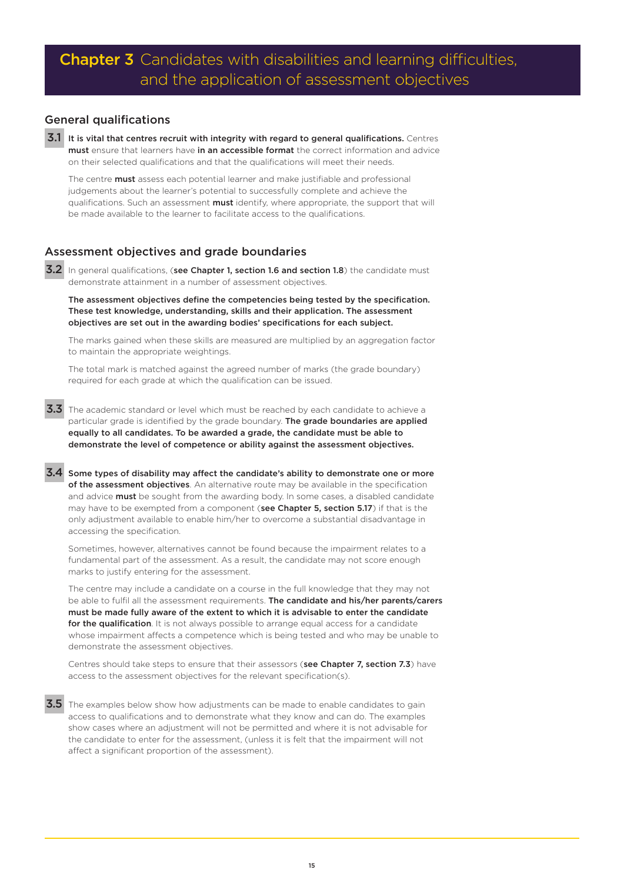### General qualifications

3.1 It is vital that centres recruit with integrity with regard to general qualifications. Centres must ensure that learners have in an accessible format the correct information and advice on their selected qualifications and that the qualifications will meet their needs.

The centre **must** assess each potential learner and make justifiable and professional judgements about the learner's potential to successfully complete and achieve the qualifications. Such an assessment **must** identify, where appropriate, the support that will be made available to the learner to facilitate access to the qualifications.

## Assessment objectives and grade boundaries

3.2 In general qualifications, (see Chapter 1, section 1.6 and section 1.8) the candidate must demonstrate attainment in a number of assessment objectives.

The assessment objectives define the competencies being tested by the specification. These test knowledge, understanding, skills and their application. The assessment objectives are set out in the awarding bodies' specifications for each subject.

The marks gained when these skills are measured are multiplied by an aggregation factor to maintain the appropriate weightings.

The total mark is matched against the agreed number of marks (the grade boundary) required for each grade at which the qualification can be issued.

3.3 The academic standard or level which must be reached by each candidate to achieve a particular grade is identified by the grade boundary. The grade boundaries are applied equally to all candidates. To be awarded a grade, the candidate must be able to demonstrate the level of competence or ability against the assessment objectives.

3.4 Some types of disability may affect the candidate's ability to demonstrate one or more of the assessment objectives. An alternative route may be available in the specification and advice **must** be sought from the awarding body. In some cases, a disabled candidate may have to be exempted from a component (see Chapter 5, section 5.17) if that is the only adjustment available to enable him/her to overcome a substantial disadvantage in accessing the specification.

Sometimes, however, alternatives cannot be found because the impairment relates to a fundamental part of the assessment. As a result, the candidate may not score enough marks to justify entering for the assessment.

The centre may include a candidate on a course in the full knowledge that they may not be able to fulfil all the assessment requirements. The candidate and his/her parents/carers must be made fully aware of the extent to which it is advisable to enter the candidate for the qualification. It is not always possible to arrange equal access for a candidate whose impairment affects a competence which is being tested and who may be unable to demonstrate the assessment objectives.

Centres should take steps to ensure that their assessors (see Chapter 7, section 7.3) have access to the assessment objectives for the relevant specification(s).

**3.5** The examples below show how adjustments can be made to enable candidates to gain access to qualifications and to demonstrate what they know and can do. The examples show cases where an adjustment will not be permitted and where it is not advisable for the candidate to enter for the assessment, (unless it is felt that the impairment will not affect a significant proportion of the assessment).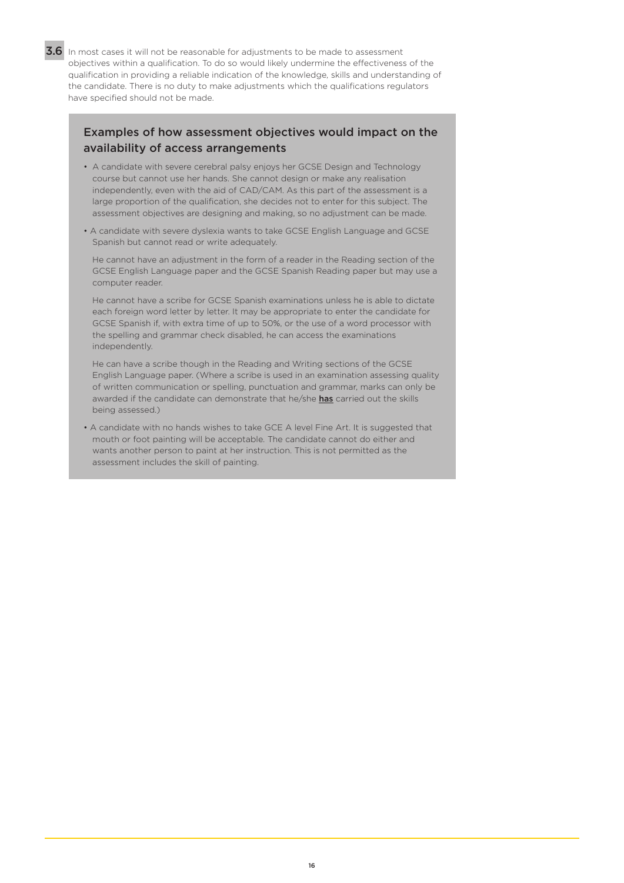3.6 In most cases it will not be reasonable for adjustments to be made to assessment objectives within a qualification. To do so would likely undermine the effectiveness of the qualification in providing a reliable indication of the knowledge, skills and understanding of the candidate. There is no duty to make adjustments which the qualifications regulators have specified should not be made.

## Examples of how assessment objectives would impact on the availability of access arrangements

- A candidate with severe cerebral palsy enjoys her GCSE Design and Technology course but cannot use her hands. She cannot design or make any realisation independently, even with the aid of CAD/CAM. As this part of the assessment is a large proportion of the qualification, she decides not to enter for this subject. The assessment objectives are designing and making, so no adjustment can be made.
- A candidate with severe dyslexia wants to take GCSE English Language and GCSE Spanish but cannot read or write adequately.

He cannot have an adjustment in the form of a reader in the Reading section of the GCSE English Language paper and the GCSE Spanish Reading paper but may use a computer reader.

He cannot have a scribe for GCSE Spanish examinations unless he is able to dictate each foreign word letter by letter. It may be appropriate to enter the candidate for GCSE Spanish if, with extra time of up to 50%, or the use of a word processor with the spelling and grammar check disabled, he can access the examinations independently.

He can have a scribe though in the Reading and Writing sections of the GCSE English Language paper. (Where a scribe is used in an examination assessing quality of written communication or spelling, punctuation and grammar, marks can only be awarded if the candidate can demonstrate that he/she has carried out the skills being assessed.)

• A candidate with no hands wishes to take GCE A level Fine Art. It is suggested that mouth or foot painting will be acceptable. The candidate cannot do either and wants another person to paint at her instruction. This is not permitted as the assessment includes the skill of painting.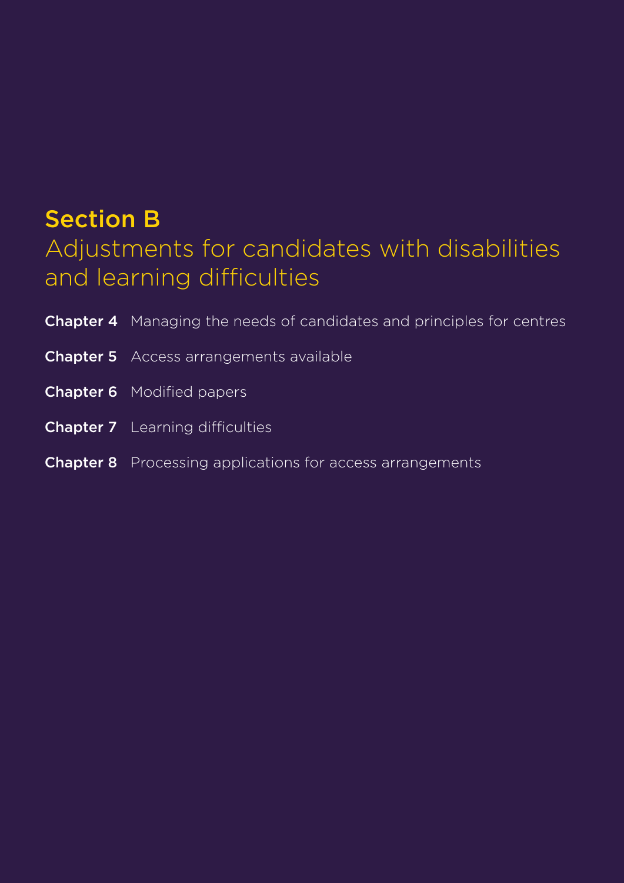# Section B

# Adjustments for candidates with disabilities and learning difficulties

| <b>Chapter 4</b> Managing the needs of candidates and principles for centres |
|------------------------------------------------------------------------------|
| <b>Chapter 5</b> Access arrangements available                               |
| <b>Chapter 6</b> Modified papers                                             |
| <b>Chapter 7</b> Learning difficulties                                       |
| <b>Chapter 8</b> Processing applications for access arrangements             |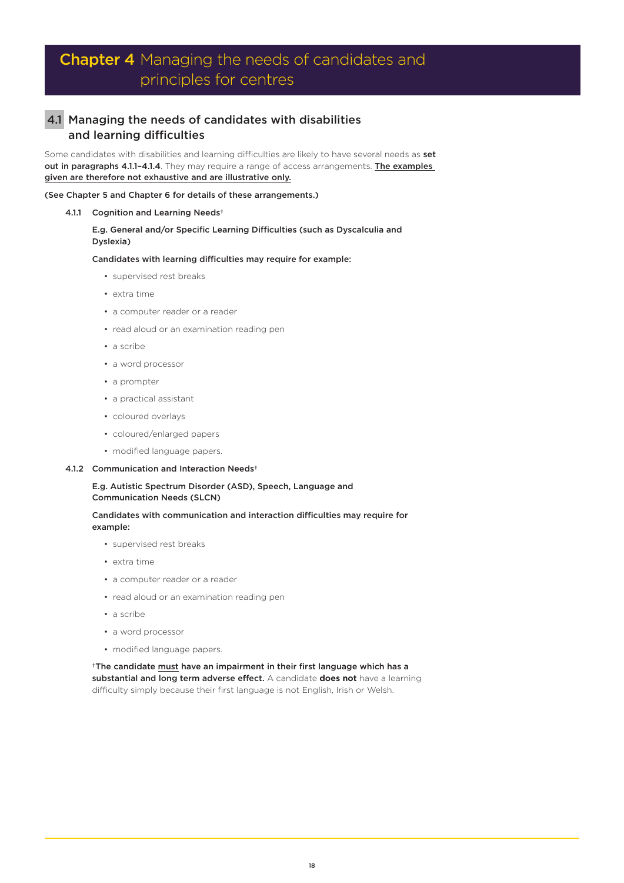# Chapter 4 Managing the needs of candidates and principles for centres

## 4.1 Managing the needs of candidates with disabilities and learning difficulties

Some candidates with disabilities and learning difficulties are likely to have several needs as set out in paragraphs 4.1.1-4.1.4. They may require a range of access arrangements. The examples given are therefore not exhaustive and are illustrative only.

### (See Chapter 5 and Chapter 6 for details of these arrangements.)

### 4.1.1 Cognition and Learning Needs<sup>+</sup>

### E.g. General and/or Specific Learning Difficulties (such as Dyscalculia and Dyslexia)

Candidates with learning difficulties may require for example:

- supervised rest breaks
- extra time
- a computer reader or a reader
- read aloud or an examination reading pen
- a scribe
- a word processor
- a prompter
- a practical assistant
- coloured overlays
- coloured/enlarged papers
- modified language papers.

### 4.1.2 Communication and Interaction Needs†

### E.g. Autistic Spectrum Disorder (ASD), Speech, Language and Communication Needs (SLCN)

### Candidates with communication and interaction difficulties may require for example:

- supervised rest breaks
- extra time
- a computer reader or a reader
- read aloud or an examination reading pen
- a scribe
- a word processor
- modified language papers.

<sup>+</sup>The candidate must have an impairment in their first language which has a substantial and long term adverse effect. A candidate **does not** have a learning difficulty simply because their first language is not English, Irish or Welsh.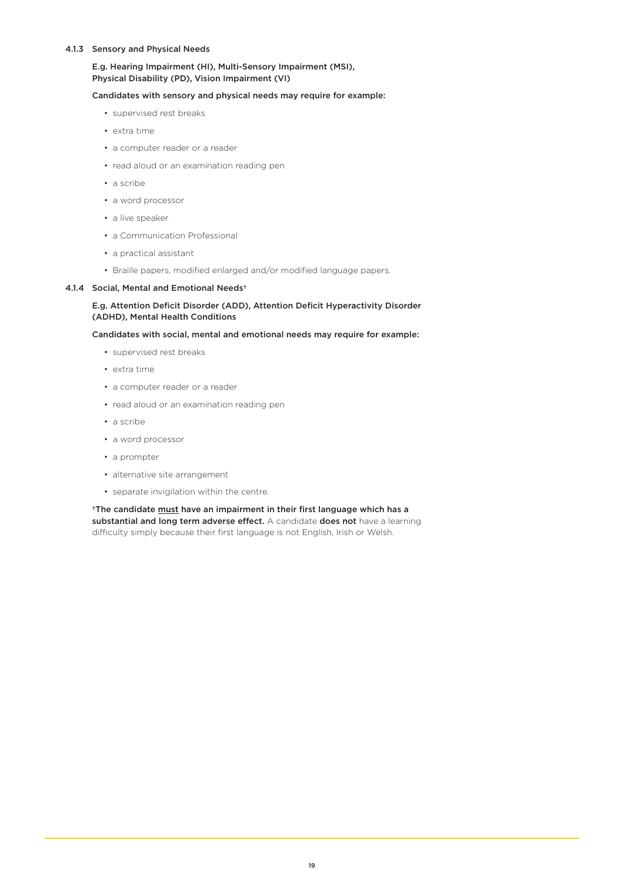### 4.1.3 Sensory and Physical Needs

### E.g. Hearing Impairment (HI), Multi-Sensory Impairment (MSI), Physical Disability (PD), Vision Impairment (VI)

### Candidates with sensory and physical needs may require for example:

- supervised rest breaks
- extra time
- a computer reader or a reader
- read aloud or an examination reading pen
- a scribe
- a word processor
- a live speaker
- a Communication Professional
- a practical assistant
- Braille papers, modified enlarged and/or modified language papers.

### 4.1.4 Social, Mental and Emotional Needs†

### E.g. Attention Deficit Disorder (ADD), Attention Deficit Hyperactivity Disorder (ADHD), Mental Health Conditions

### Candidates with social, mental and emotional needs may require for example:

- supervised rest breaks
- extra time
- a computer reader or a reader
- read aloud or an examination reading pen
- a scribe
- a word processor
- a prompter
- alternative site arrangement
- separate invigilation within the centre.

†The candidate must have an impairment in their first language which has a substantial and long term adverse effect. A candidate does not have a learning difficulty simply because their first language is not English, Irish or Welsh.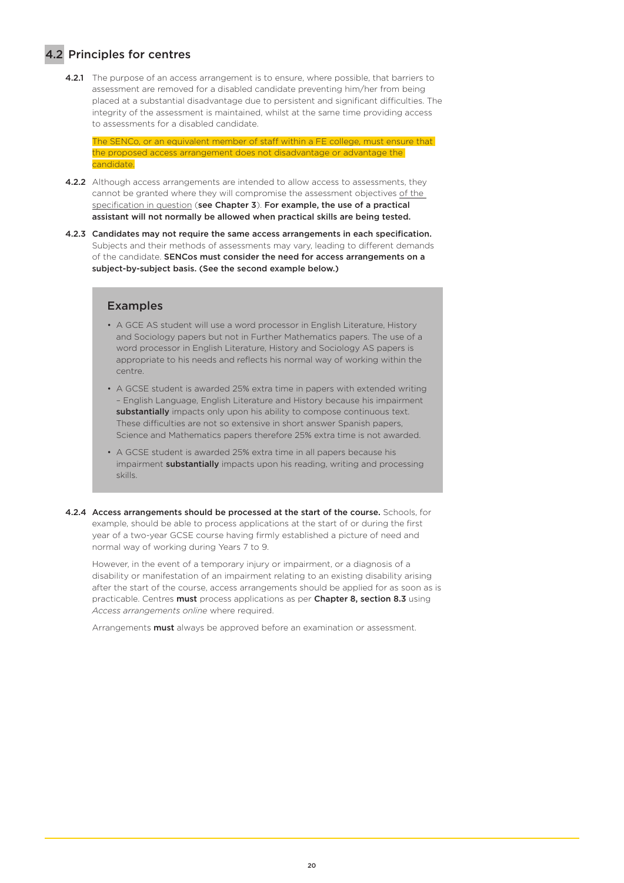## 4.2 Principles for centres

4.2.1 The purpose of an access arrangement is to ensure, where possible, that barriers to assessment are removed for a disabled candidate preventing him/her from being placed at a substantial disadvantage due to persistent and significant difficulties. The integrity of the assessment is maintained, whilst at the same time providing access to assessments for a disabled candidate.

The SENCo, or an equivalent member of staff within a FE college, must ensure that the proposed access arrangement does not disadvantage or advantage the candidate.

- 4.2.2 Although access arrangements are intended to allow access to assessments, they cannot be granted where they will compromise the assessment objectives of the specification in question (see Chapter 3). For example, the use of a practical assistant will not normally be allowed when practical skills are being tested.
- 4.2.3 Candidates may not require the same access arrangements in each specification. Subjects and their methods of assessments may vary, leading to different demands of the candidate. SENCos must consider the need for access arrangements on a subject-by-subject basis. (See the second example below.)

### Examples

- A GCE AS student will use a word processor in English Literature, History and Sociology papers but not in Further Mathematics papers. The use of a word processor in English Literature, History and Sociology AS papers is appropriate to his needs and reflects his normal way of working within the centre.
- A GCSE student is awarded 25% extra time in papers with extended writing – English Language, English Literature and History because his impairment substantially impacts only upon his ability to compose continuous text. These difficulties are not so extensive in short answer Spanish papers, Science and Mathematics papers therefore 25% extra time is not awarded.
- A GCSE student is awarded 25% extra time in all papers because his impairment **substantially** impacts upon his reading, writing and processing skills.
- 4.2.4 Access arrangements should be processed at the start of the course. Schools, for example, should be able to process applications at the start of or during the first year of a two-year GCSE course having firmly established a picture of need and normal way of working during Years 7 to 9.

However, in the event of a temporary injury or impairment, or a diagnosis of a disability or manifestation of an impairment relating to an existing disability arising after the start of the course, access arrangements should be applied for as soon as is practicable. Centres must process applications as per Chapter 8, section 8.3 using *Access arrangements online* where required.

Arrangements **must** always be approved before an examination or assessment.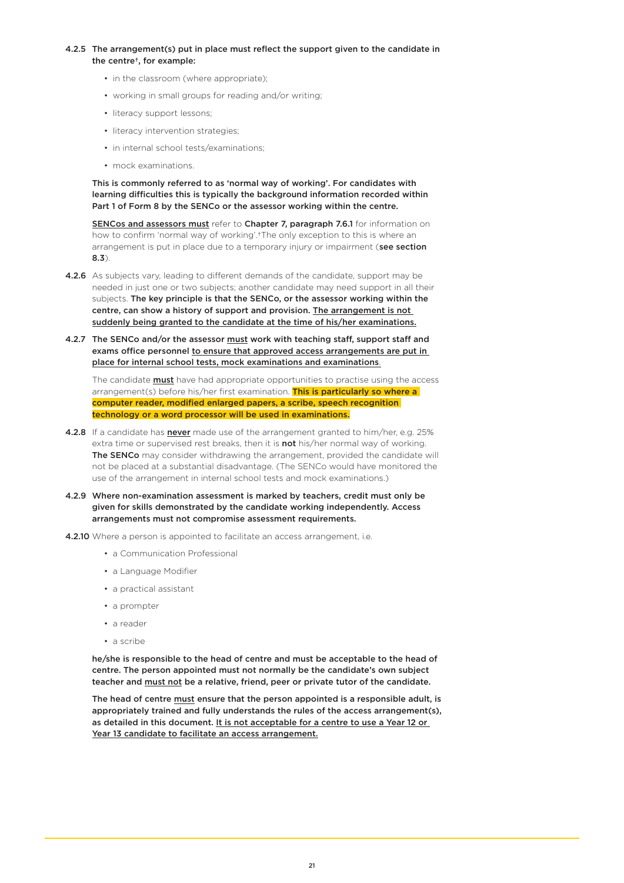### 4.2.5 The arrangement(s) put in place must reflect the support given to the candidate in the centre†, for example:

- in the classroom (where appropriate):
- working in small groups for reading and/or writing;
- literacy support lessons;
- literacy intervention strategies;
- in internal school tests/examinations;
- mock examinations.

This is commonly referred to as 'normal way of working'. For candidates with learning difficulties this is typically the background information recorded within Part 1 of Form 8 by the SENCo or the assessor working within the centre.

SENCos and assessors must refer to Chapter 7, paragraph 7.6.1 for information on how to confirm 'normal way of working'.†The only exception to this is where an arrangement is put in place due to a temporary injury or impairment (see section 8.3).

- 4.2.6 As subjects vary, leading to different demands of the candidate, support may be needed in just one or two subjects; another candidate may need support in all their subjects. The key principle is that the SENCo, or the assessor working within the centre, can show a history of support and provision. The arrangement is not suddenly being granted to the candidate at the time of his/her examinations.
- 4.2.7 The SENCo and/or the assessor must work with teaching staff, support staff and exams office personnel to ensure that approved access arrangements are put in place for internal school tests, mock examinations and examinations.

The candidate **must** have had appropriate opportunities to practise using the access arrangement(s) before his/her first examination. This is particularly so where a computer reader, modified enlarged papers, a scribe, speech recognition technology or a word processor will be used in examinations.

- 4.2.8 If a candidate has never made use of the arrangement granted to him/her, e.g. 25% extra time or supervised rest breaks, then it is **not** his/her normal way of working. The SENCo may consider withdrawing the arrangement, provided the candidate will not be placed at a substantial disadvantage. (The SENCo would have monitored the use of the arrangement in internal school tests and mock examinations.)
- 4.2.9 Where non-examination assessment is marked by teachers, credit must only be given for skills demonstrated by the candidate working independently. Access arrangements must not compromise assessment requirements.
- 4.2.10 Where a person is appointed to facilitate an access arrangement, i.e.
	- a Communication Professional
	- a Language Modifier
	- a practical assistant
	- a prompter
	- a reader
	- a scribe

he/she is responsible to the head of centre and must be acceptable to the head of centre. The person appointed must not normally be the candidate's own subject teacher and must not be a relative, friend, peer or private tutor of the candidate.

The head of centre must ensure that the person appointed is a responsible adult, is appropriately trained and fully understands the rules of the access arrangement(s), as detailed in this document. It is not acceptable for a centre to use a Year 12 or Year 13 candidate to facilitate an access arrangement.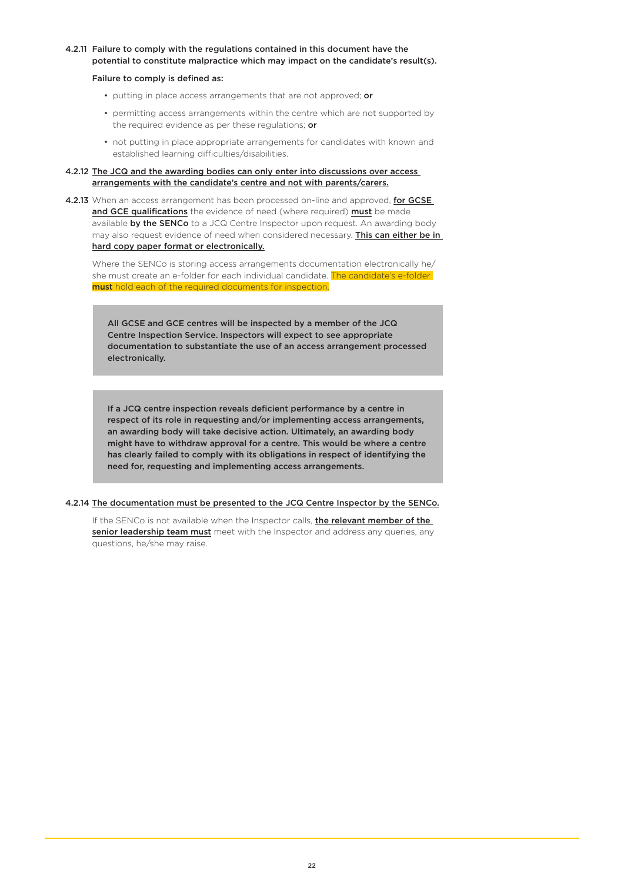### 4.2.11 Failure to comply with the regulations contained in this document have the potential to constitute malpractice which may impact on the candidate's result(s).

### Failure to comply is defined as:

- putting in place access arrangements that are not approved; or
- permitting access arrangements within the centre which are not supported by the required evidence as per these requiations; or
- not putting in place appropriate arrangements for candidates with known and established learning difficulties/disabilities.

### 4.2.12 The JCQ and the awarding bodies can only enter into discussions over access arrangements with the candidate's centre and not with parents/carers.

4.2.13 When an access arrangement has been processed on-line and approved, for GCSE and GCE qualifications the evidence of need (where required) must be made available by the SENCo to a JCQ Centre Inspector upon request. An awarding body may also request evidence of need when considered necessary. This can either be in hard copy paper format or electronically.

Where the SENCo is storing access arrangements documentation electronically he/ she must create an e-folder for each individual candidate. The candidate's e-folder must hold each of the required documents for inspection.

All GCSE and GCE centres will be inspected by a member of the JCQ Centre Inspection Service. Inspectors will expect to see appropriate documentation to substantiate the use of an access arrangement processed electronically.

If a JCQ centre inspection reveals deficient performance by a centre in respect of its role in requesting and/or implementing access arrangements, an awarding body will take decisive action. Ultimately, an awarding body might have to withdraw approval for a centre. This would be where a centre has clearly failed to comply with its obligations in respect of identifying the need for, requesting and implementing access arrangements.

### 4.2.14 The documentation must be presented to the JCQ Centre Inspector by the SENCo.

If the SENCo is not available when the Inspector calls, *the relevant member of the* senior leadership team must meet with the Inspector and address any queries, any questions, he/she may raise.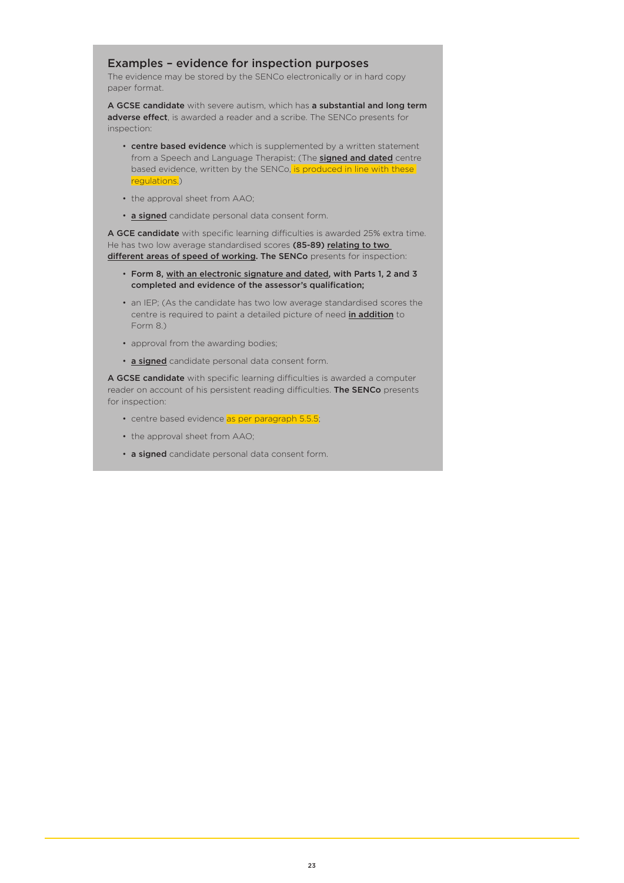### Examples – evidence for inspection purposes

The evidence may be stored by the SENCo electronically or in hard copy paper format.

A GCSE candidate with severe autism, which has a substantial and long term adverse effect, is awarded a reader and a scribe. The SENCo presents for inspection:

- centre based evidence which is supplemented by a written statement from a Speech and Language Therapist; (The **signed and dated** centre based evidence, written by the SENCo, is produced in line with these regulations.)
- the approval sheet from AAO;
- a signed candidate personal data consent form.

A GCE candidate with specific learning difficulties is awarded 25% extra time. He has two low average standardised scores (85-89) relating to two different areas of speed of working. The SENCo presents for inspection:

- Form 8, with an electronic signature and dated, with Parts 1, 2 and 3 completed and evidence of the assessor's qualification;
- an IEP; (As the candidate has two low average standardised scores the centre is required to paint a detailed picture of need in addition to Form 8.)
- approval from the awarding bodies;
- a signed candidate personal data consent form.

A GCSE candidate with specific learning difficulties is awarded a computer reader on account of his persistent reading difficulties. The SENCo presents for inspection:

- centre based evidence as per paragraph 5.5.5;
- the approval sheet from AAO;
- a signed candidate personal data consent form.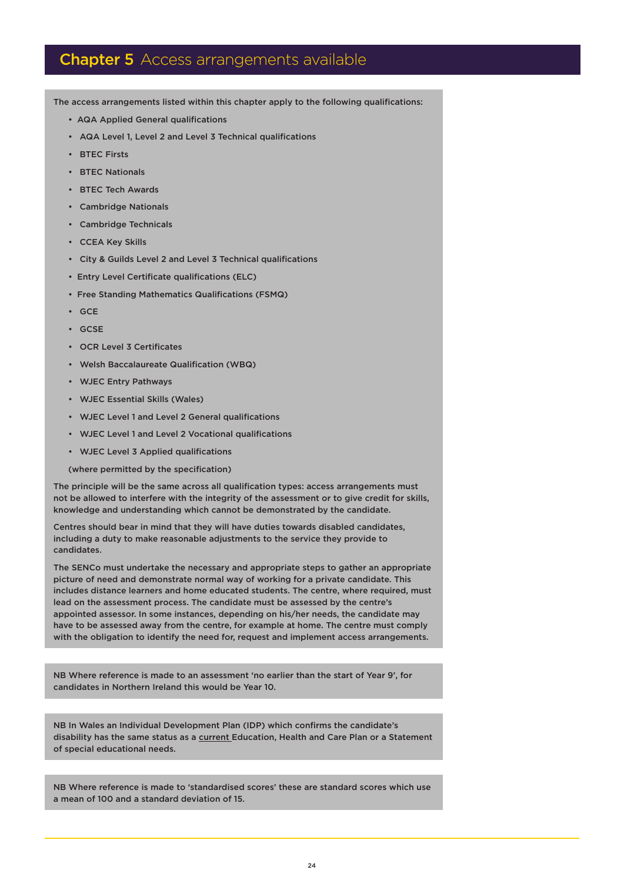## **Chapter 5** Access arrangements available

The access arrangements listed within this chapter apply to the following qualifications:

- AQA Applied General qualifications
- AQA Level 1, Level 2 and Level 3 Technical qualifications
- RTEC Firsts
- BTEC Nationals
- BTEC Tech Awards
- Cambridge Nationals
- Cambridge Technicals
- CCEA Key Skills
- City & Guilds Level 2 and Level 3 Technical qualifications
- Entry Level Certificate qualifications (ELC)
- Free Standing Mathematics Qualifications (FSMQ)
- GCE
- GCSE
- OCR Level 3 Certificates
- Welsh Baccalaureate Qualification (WBQ)
- WJEC Entry Pathways
- WJEC Essential Skills (Wales)
- WJEC Level 1 and Level 2 General qualifications
- WJEC Level 1 and Level 2 Vocational qualifications
- WJEC Level 3 Applied qualifications

(where permitted by the specification)

The principle will be the same across all qualification types: access arrangements must not be allowed to interfere with the integrity of the assessment or to give credit for skills, knowledge and understanding which cannot be demonstrated by the candidate.

Centres should bear in mind that they will have duties towards disabled candidates, including a duty to make reasonable adjustments to the service they provide to candidates.

The SENCo must undertake the necessary and appropriate steps to gather an appropriate picture of need and demonstrate normal way of working for a private candidate. This includes distance learners and home educated students. The centre, where required, must lead on the assessment process. The candidate must be assessed by the centre's appointed assessor. In some instances, depending on his/her needs, the candidate may have to be assessed away from the centre, for example at home. The centre must comply with the obligation to identify the need for, request and implement access arrangements.

NB Where reference is made to an assessment 'no earlier than the start of Year 9', for candidates in Northern Ireland this would be Year 10.

NB In Wales an Individual Development Plan (IDP) which confirms the candidate's disability has the same status as a current Education, Health and Care Plan or a Statement of special educational needs.

NB Where reference is made to 'standardised scores' these are standard scores which use a mean of 100 and a standard deviation of 15.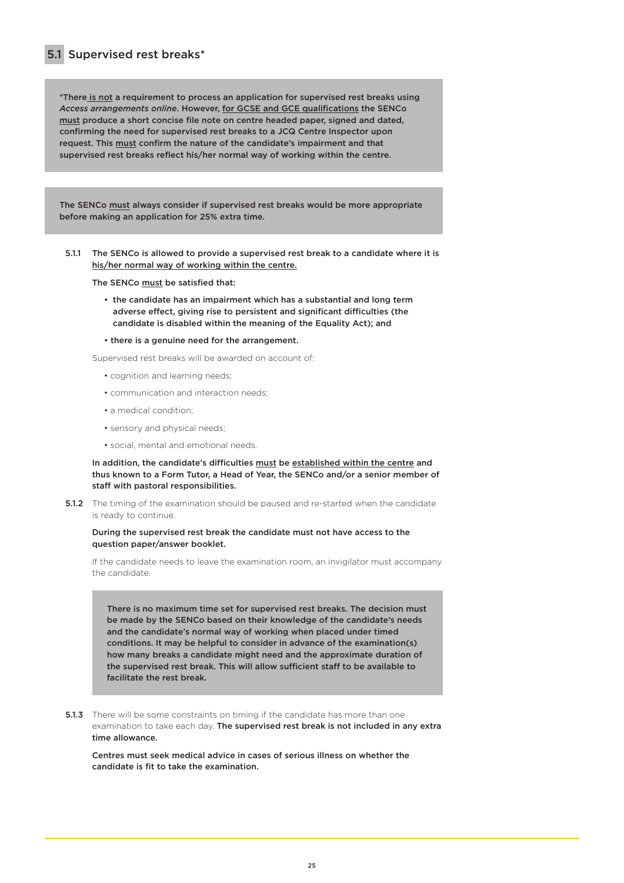\*There is not a requirement to process an application for supervised rest breaks using *Access arrangements online*. However, for GCSE and GCE qualifications the SENCo must produce a short concise file note on centre headed paper, signed and dated, confirming the need for supervised rest breaks to a JCQ Centre Inspector upon request. This must confirm the nature of the candidate's impairment and that supervised rest breaks reflect his/her normal way of working within the centre.

The SENCo must always consider if supervised rest breaks would be more appropriate before making an application for 25% extra time.

5.1.1 The SENCo is allowed to provide a supervised rest break to a candidate where it is his/her normal way of working within the centre.

The SENCo must be satisfied that:

- the candidate has an impairment which has a substantial and long term adverse effect, giving rise to persistent and significant difficulties (the candidate is disabled within the meaning of the Equality Act); and
- there is a genuine need for the arrangement.

Supervised rest breaks will be awarded on account of:

- cognition and learning needs;
- communication and interaction needs;
- a medical condition;
- sensory and physical needs;
- social, mental and emotional needs.

In addition, the candidate's difficulties must be established within the centre and thus known to a Form Tutor, a Head of Year, the SENCo and/or a senior member of staff with pastoral responsibilities.

**5.1.2** The timing of the examination should be paused and re-started when the candidate is ready to continue.

### During the supervised rest break the candidate must not have access to the question paper/answer booklet.

If the candidate needs to leave the examination room, an invigilator must accompany the candidate.

There is no maximum time set for supervised rest breaks. The decision must be made by the SENCo based on their knowledge of the candidate's needs and the candidate's normal way of working when placed under timed conditions. It may be helpful to consider in advance of the examination(s) how many breaks a candidate might need and the approximate duration of the supervised rest break. This will allow sufficient staff to be available to facilitate the rest break.

**5.1.3** There will be some constraints on timing if the candidate has more than one examination to take each day. The supervised rest break is not included in any extra time allowance.

Centres must seek medical advice in cases of serious illness on whether the candidate is fit to take the examination.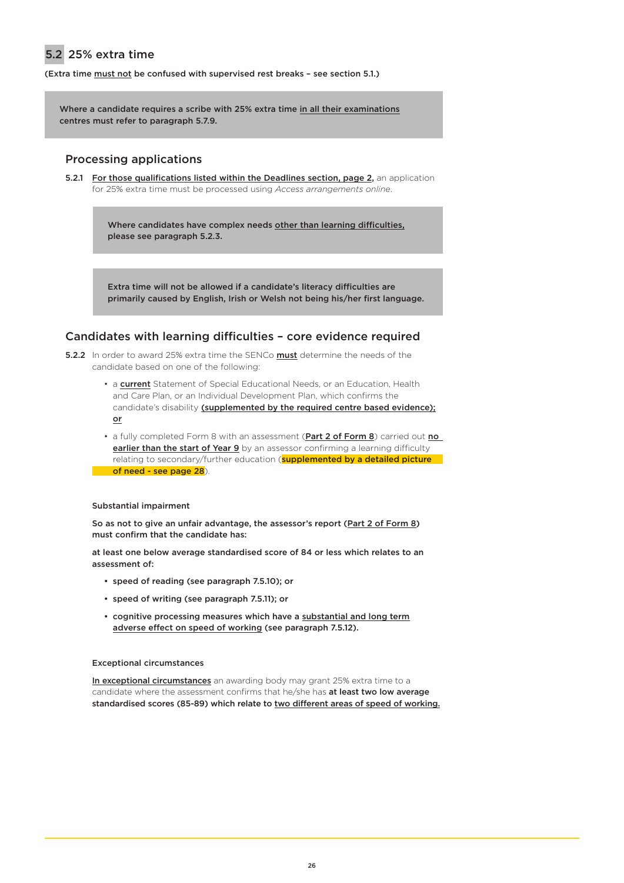## 5.2 25% extra time

(Extra time must not be confused with supervised rest breaks – see section 5.1.)

Where a candidate requires a scribe with 25% extra time in all their examinations centres must refer to paragraph 5.7.9.

### Processing applications

5.2.1 For those qualifications listed within the Deadlines section, page 2, an application for 25% extra time must be processed using *Access arrangements online*.

> Where candidates have complex needs other than learning difficulties, please see paragraph 5.2.3.

Extra time will not be allowed if a candidate's literacy difficulties are primarily caused by English, Irish or Welsh not being his/her first language.

### Candidates with learning difficulties – core evidence required

- 5.2.2 In order to award 25% extra time the SENCo **must** determine the needs of the candidate based on one of the following:
	- a **current** Statement of Special Educational Needs, or an Education, Health and Care Plan, or an Individual Development Plan, which confirms the candidate's disability (supplemented by the required centre based evidence); or
	- a fully completed Form 8 with an assessment (**Part 2 of Form 8**) carried out **no** earlier than the start of Year 9 by an assessor confirming a learning difficulty relating to secondary/further education (**supplemented by a detailed picture** of need - see page 28).

### Substantial impairment

So as not to give an unfair advantage, the assessor's report (Part 2 of Form 8) must confirm that the candidate has:

at least one below average standardised score of 84 or less which relates to an assessment of:

- speed of reading (see paragraph 7.5.10); or
- speed of writing (see paragraph 7.5.11); or
- cognitive processing measures which have a substantial and long term adverse effect on speed of working (see paragraph 7.5.12).

### Exceptional circumstances

In exceptional circumstances an awarding body may grant 25% extra time to a candidate where the assessment confirms that he/she has at least two low average standardised scores (85-89) which relate to two different areas of speed of working.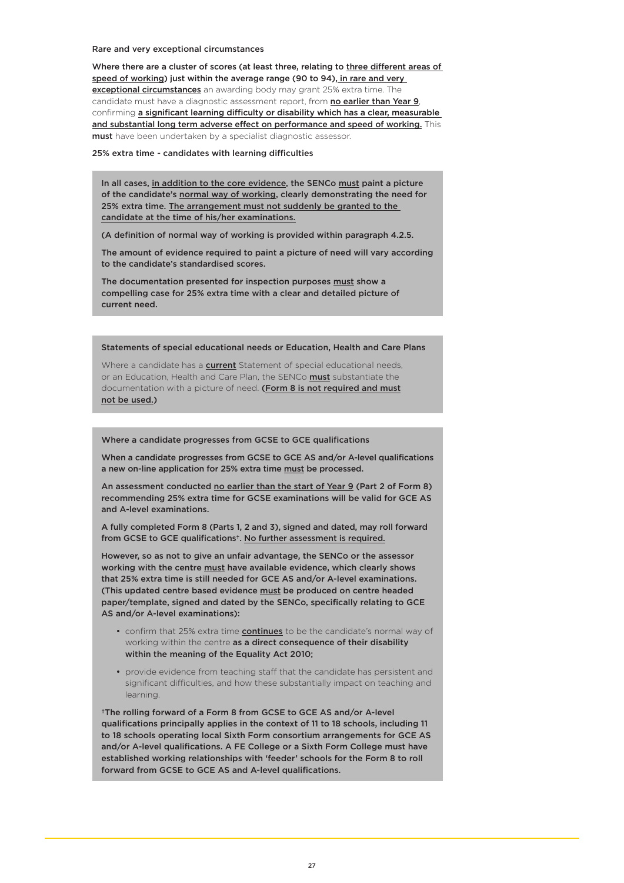Rare and very exceptional circumstances

Where there are a cluster of scores (at least three, relating to three different areas of speed of working) just within the average range (90 to 94), in rare and very exceptional circumstances an awarding body may grant 25% extra time. The candidate must have a diagnostic assessment report, from no earlier than Year 9, confirming a significant learning difficulty or disability which has a clear, measurable and substantial long term adverse effect on performance and speed of working. This must have been undertaken by a specialist diagnostic assessor.

25% extra time - candidates with learning difficulties

In all cases, in addition to the core evidence, the SENCo must paint a picture of the candidate's normal way of working, clearly demonstrating the need for 25% extra time. The arrangement must not suddenly be granted to the candidate at the time of his/her examinations.

(A definition of normal way of working is provided within paragraph 4.2.5.

The amount of evidence required to paint a picture of need will vary according to the candidate's standardised scores.

The documentation presented for inspection purposes must show a compelling case for 25% extra time with a clear and detailed picture of current need.

Statements of special educational needs or Education, Health and Care Plans

Where a candidate has a **current** Statement of special educational needs. or an Education, Health and Care Plan, the SENCo must substantiate the documentation with a picture of need. (Form 8 is not required and must not be used.)

#### Where a candidate progresses from GCSE to GCE qualifications

When a candidate progresses from GCSE to GCE AS and/or A-level qualifications a new on-line application for 25% extra time must be processed.

An assessment conducted no earlier than the start of Year 9 (Part 2 of Form 8) recommending 25% extra time for GCSE examinations will be valid for GCE AS and A-level examinations.

A fully completed Form 8 (Parts 1, 2 and 3), signed and dated, may roll forward from GCSE to GCE qualifications†. No further assessment is required.

However, so as not to give an unfair advantage, the SENCo or the assessor working with the centre must have available evidence, which clearly shows that 25% extra time is still needed for GCE AS and/or A-level examinations. (This updated centre based evidence must be produced on centre headed paper/template, signed and dated by the SENCo, specifically relating to GCE AS and/or A-level examinations):

- confirm that 25% extra time **continues** to be the candidate's normal way of working within the centre as a direct consequence of their disability within the meaning of the Equality Act 2010;
- provide evidence from teaching staff that the candidate has persistent and significant difficulties, and how these substantially impact on teaching and learning.

†The rolling forward of a Form 8 from GCSE to GCE AS and/or A-level qualifications principally applies in the context of 11 to 18 schools, including 11 to 18 schools operating local Sixth Form consortium arrangements for GCE AS and/or A-level qualifications. A FE College or a Sixth Form College must have established working relationships with 'feeder' schools for the Form 8 to roll forward from GCSE to GCE AS and A-level qualifications.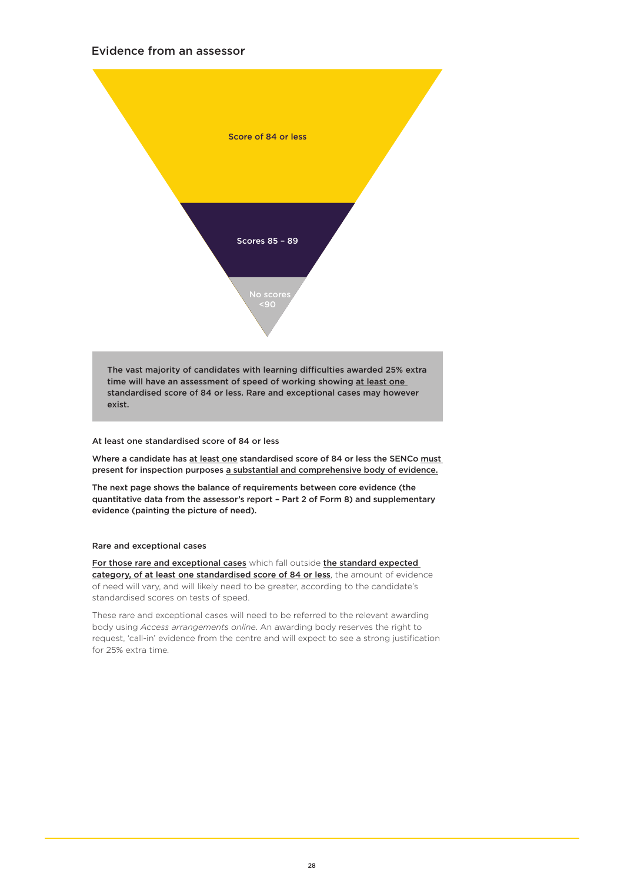### Evidence from an assessor



The vast majority of candidates with learning difficulties awarded 25% extra time will have an assessment of speed of working showing at least one standardised score of 84 or less. Rare and exceptional cases may however exist.

### At least one standardised score of 84 or less

Where a candidate has at least one standardised score of 84 or less the SENCo must present for inspection purposes a substantial and comprehensive body of evidence.

The next page shows the balance of requirements between core evidence (the quantitative data from the assessor's report – Part 2 of Form 8) and supplementary evidence (painting the picture of need).

### Rare and exceptional cases

For those rare and exceptional cases which fall outside the standard expected category, of at least one standardised score of 84 or less, the amount of evidence of need will vary, and will likely need to be greater, according to the candidate's standardised scores on tests of speed.

These rare and exceptional cases will need to be referred to the relevant awarding body using *Access arrangements online*. An awarding body reserves the right to request, 'call-in' evidence from the centre and will expect to see a strong justification for 25% extra time.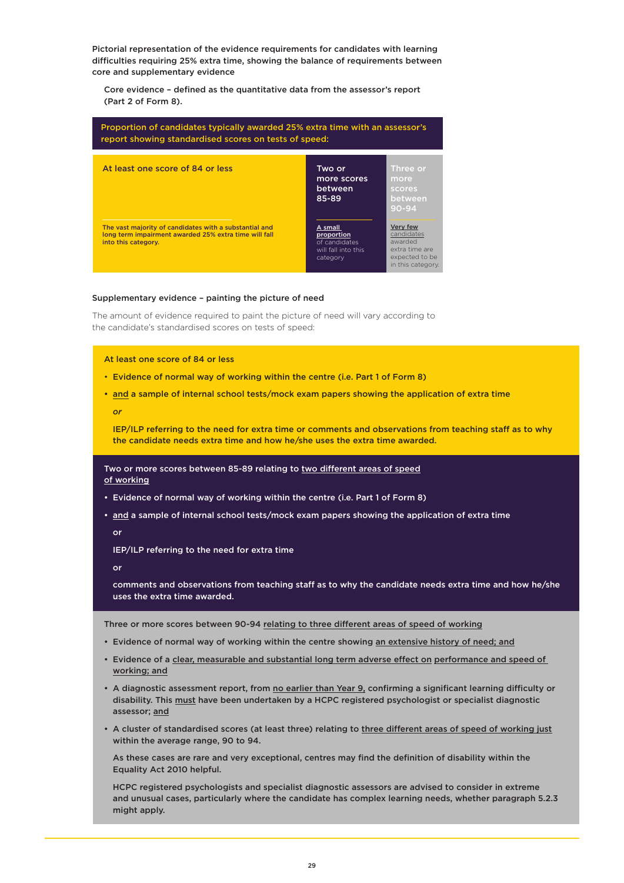Pictorial representation of the evidence requirements for candidates with learning difficulties requiring 25% extra time, showing the balance of requirements between core and supplementary evidence

 Core evidence – defined as the quantitative data from the assessor's report (Part 2 of Form 8).

| Proportion of candidates typically awarded 25% extra time with an assessor's<br>report showing standardised scores on tests of speed:  |                                                                           |                                                                                            |
|----------------------------------------------------------------------------------------------------------------------------------------|---------------------------------------------------------------------------|--------------------------------------------------------------------------------------------|
| At least one score of 84 or less                                                                                                       | Two or<br>more scores<br>between<br>85-89                                 | Three or<br>more<br>scores<br>between<br>$90 - 94$                                         |
| The vast majority of candidates with a substantial and<br>long term impairment awarded 25% extra time will fall<br>into this category. | A small<br>proportion<br>of candidates<br>will fall into this<br>category | Very few<br>candidates<br>awarded<br>extra time are<br>expected to be<br>in this category. |

### Supplementary evidence – painting the picture of need

The amount of evidence required to paint the picture of need will vary according to the candidate's standardised scores on tests of speed:

#### At least one score of 84 or less

- Evidence of normal way of working within the centre (i.e. Part 1 of Form 8)
- and a sample of internal school tests/mock exam papers showing the application of extra time

*or*

 IEP/ILP referring to the need for extra time or comments and observations from teaching staff as to why the candidate needs extra time and how he/she uses the extra time awarded.

Two or more scores between 85-89 relating to two different areas of speed of working

- Evidence of normal way of working within the centre (i.e. Part 1 of Form 8)
- and a sample of internal school tests/mock exam papers showing the application of extra time or

IEP/ILP referring to the need for extra time

or

 comments and observations from teaching staff as to why the candidate needs extra time and how he/she uses the extra time awarded.

Three or more scores between 90-94 relating to three different areas of speed of working

- Evidence of normal way of working within the centre showing an extensive history of need; and
- Evidence of a clear, measurable and substantial long term adverse effect on performance and speed of working; and
- A diagnostic assessment report, from no earlier than Year 9, confirming a significant learning difficulty or disability. This must have been undertaken by a HCPC registered psychologist or specialist diagnostic assessor; and
- A cluster of standardised scores (at least three) relating to three different areas of speed of working just within the average range, 90 to 94.

 As these cases are rare and very exceptional, centres may find the definition of disability within the Equality Act 2010 helpful.

 HCPC registered psychologists and specialist diagnostic assessors are advised to consider in extreme and unusual cases, particularly where the candidate has complex learning needs, whether paragraph 5.2.3 might apply.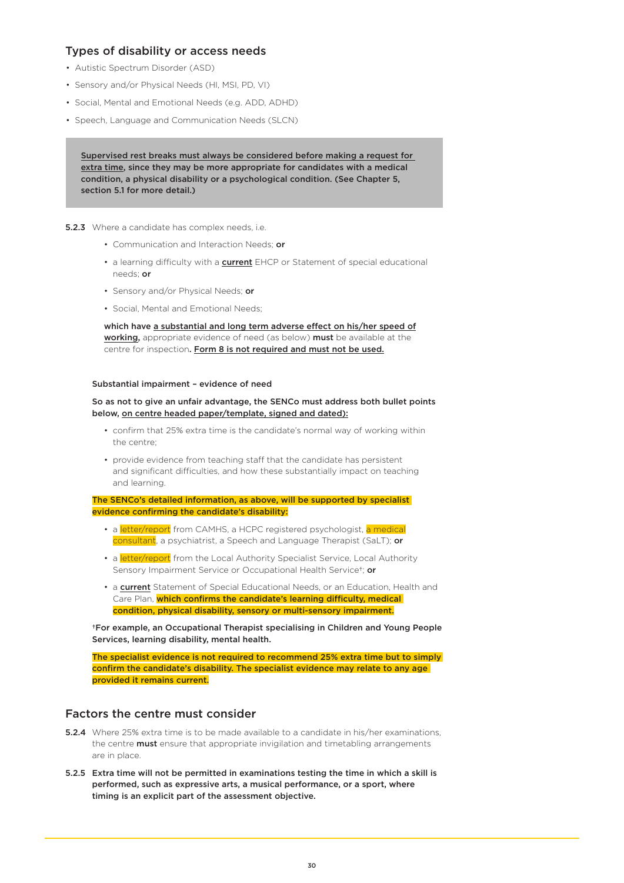### Types of disability or access needs

- Autistic Spectrum Disorder (ASD)
- Sensory and/or Physical Needs (HI, MSI, PD, VI)
- Social, Mental and Emotional Needs (e.g. ADD, ADHD)
- Speech, Language and Communication Needs (SLCN)

Supervised rest breaks must always be considered before making a request for extra time, since they may be more appropriate for candidates with a medical condition, a physical disability or a psychological condition. (See Chapter 5, section 5.1 for more detail.)

### **5.2.3** Where a candidate has complex needs, i.e.

- Communication and Interaction Needs; or
- a learning difficulty with a **current** EHCP or Statement of special educational needs; or
- Sensory and/or Physical Needs; or
- Social, Mental and Emotional Needs;

 which have a substantial and long term adverse effect on his/her speed of working, appropriate evidence of need (as below) must be available at the centre for inspection. Form 8 is not required and must not be used.

### Substantial impairment – evidence of need

### So as not to give an unfair advantage, the SENCo must address both bullet points below, on centre headed paper/template, signed and dated):

- confirm that 25% extra time is the candidate's normal way of working within the centre;
- provide evidence from teaching staff that the candidate has persistent and significant difficulties, and how these substantially impact on teaching and learning.

The SENCo's detailed information, as above, will be supported by specialist evidence confirming the candidate's disability:

- a **letter/report** from CAMHS, a HCPC registered psychologist, a medical consultant, a psychiatrist, a Speech and Language Therapist (SaLT); or
- a letter/report from the Local Authority Specialist Service, Local Authority Sensory Impairment Service or Occupational Health Service<sup>†</sup>; or
- a **current** Statement of Special Educational Needs, or an Education, Health and Care Plan, which confirms the candidate's learning difficulty, medical condition, physical disability, sensory or multi-sensory impairment.

†For example, an Occupational Therapist specialising in Children and Young People Services, learning disability, mental health.

The specialist evidence is not required to recommend 25% extra time but to simply confirm the candidate's disability. The specialist evidence may relate to any age provided it remains current.

### Factors the centre must consider

- **5.2.4** Where 25% extra time is to be made available to a candidate in his/her examinations, the centre **must** ensure that appropriate invigilation and timetabling arrangements are in place.
- 5.2.5 Extra time will not be permitted in examinations testing the time in which a skill is performed, such as expressive arts, a musical performance, or a sport, where timing is an explicit part of the assessment objective.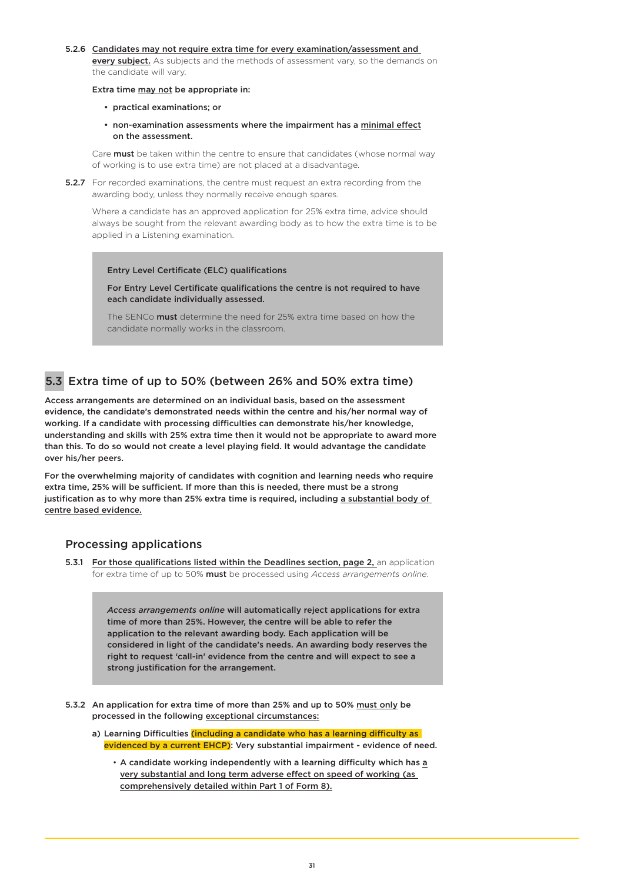#### 5.2.6 Candidates may not require extra time for every examination/assessment and

every subject. As subjects and the methods of assessment vary, so the demands on the candidate will vary.

#### Extra time may not be appropriate in:

- practical examinations; or
- non-examination assessments where the impairment has a minimal effect on the assessment.

Care **must** be taken within the centre to ensure that candidates (whose normal way of working is to use extra time) are not placed at a disadvantage.

**5.2.7** For recorded examinations, the centre must request an extra recording from the awarding body, unless they normally receive enough spares.

Where a candidate has an approved application for 25% extra time, advice should always be sought from the relevant awarding body as to how the extra time is to be applied in a Listening examination.

Entry Level Certificate (ELC) qualifications

For Entry Level Certificate qualifications the centre is not required to have each candidate individually assessed.

The SENCo must determine the need for 25% extra time based on how the candidate normally works in the classroom.

# 5.3 Extra time of up to 50% (between 26% and 50% extra time)

Access arrangements are determined on an individual basis, based on the assessment evidence, the candidate's demonstrated needs within the centre and his/her normal way of working. If a candidate with processing difficulties can demonstrate his/her knowledge, understanding and skills with 25% extra time then it would not be appropriate to award more than this. To do so would not create a level playing field. It would advantage the candidate over his/her peers.

For the overwhelming majority of candidates with cognition and learning needs who require extra time, 25% will be sufficient. If more than this is needed, there must be a strong justification as to why more than 25% extra time is required, including a substantial body of centre based evidence.

## Processing applications

**5.3.1 For those qualifications listed within the Deadlines section, page 2, an application** for extra time of up to 50% must be processed using *Access arrangements online*.

> *Access arrangements online* will automatically reject applications for extra time of more than 25%. However, the centre will be able to refer the application to the relevant awarding body. Each application will be considered in light of the candidate's needs. An awarding body reserves the right to request 'call-in' evidence from the centre and will expect to see a strong justification for the arrangement.

- 5.3.2 An application for extra time of more than 25% and up to 50% must only be processed in the following exceptional circumstances:
	- a) Learning Difficulties *(including a candidate who has a learning difficulty as* evidenced by a current EHCP): Very substantial impairment - evidence of need.
		- A candidate working independently with a learning difficulty which has a very substantial and long term adverse effect on speed of working (as comprehensively detailed within Part 1 of Form 8).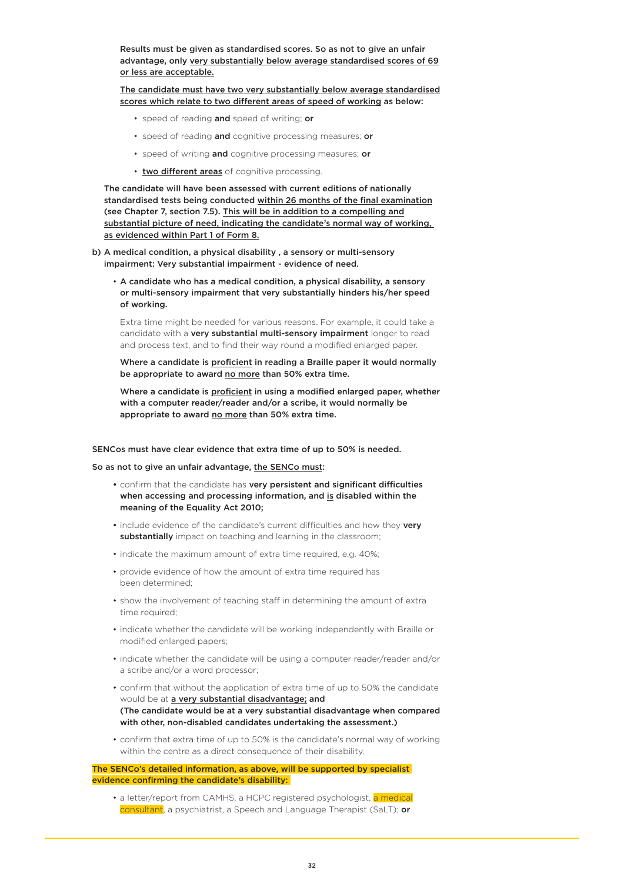Results must be given as standardised scores. So as not to give an unfair advantage, only very substantially below average standardised scores of 69 or less are acceptable.

 The candidate must have two very substantially below average standardised scores which relate to two different areas of speed of working as below:

- speed of reading and speed of writing; or
- speed of reading and cognitive processing measures; or
- speed of writing and cognitive processing measures; or
- two different areas of cognitive processing.

 The candidate will have been assessed with current editions of nationally standardised tests being conducted within 26 months of the final examination (see Chapter 7, section 7.5). This will be in addition to a compelling and substantial picture of need, indicating the candidate's normal way of working, as evidenced within Part 1 of Form 8.

- b) A medical condition, a physical disability , a sensory or multi-sensory impairment: Very substantial impairment - evidence of need.
	- A candidate who has a medical condition, a physical disability, a sensory or multi-sensory impairment that very substantially hinders his/her speed of working.

 Extra time might be needed for various reasons. For example, it could take a candidate with a very substantial multi-sensory impairment longer to read and process text, and to find their way round a modified enlarged paper.

 Where a candidate is proficient in reading a Braille paper it would normally be appropriate to award no more than 50% extra time.

 Where a candidate is proficient in using a modified enlarged paper, whether with a computer reader/reader and/or a scribe, it would normally be appropriate to award no more than 50% extra time.

#### SENCos must have clear evidence that extra time of up to 50% is needed.

So as not to give an unfair advantage, the SENCo must:

- confirm that the candidate has very persistent and significant difficulties when accessing and processing information, and is disabled within the meaning of the Equality Act 2010;
- include evidence of the candidate's current difficulties and how they very substantially impact on teaching and learning in the classroom;
- indicate the maximum amount of extra time required, e.g. 40%;
- provide evidence of how the amount of extra time required has been determined;
- show the involvement of teaching staff in determining the amount of extra time required;
- indicate whether the candidate will be working independently with Braille or modified enlarged papers;
- indicate whether the candidate will be using a computer reader/reader and/or a scribe and/or a word processor;
- confirm that without the application of extra time of up to 50% the candidate would be at a very substantial disadvantage; and (The candidate would be at a very substantial disadvantage when compared with other, non-disabled candidates undertaking the assessment.)
- confirm that extra time of up to 50% is the candidate's normal way of working within the centre as a direct consequence of their disability.

#### The SENCo's detailed information, as above, will be supported by specialist evidence confirming the candidate's disability:

• a letter/report from CAMHS, a HCPC registered psychologist, a medical consultant, a psychiatrist, a Speech and Language Therapist (SaLT); or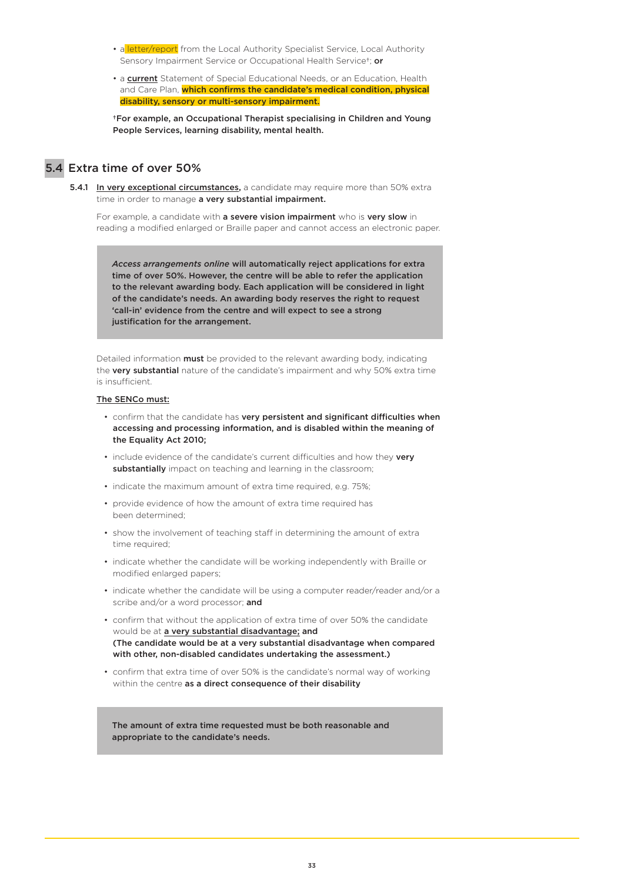- a letter/report from the Local Authority Specialist Service, Local Authority Sensory Impairment Service or Occupational Health Service<sup>†</sup>; or
- a current Statement of Special Educational Needs, or an Education, Health and Care Plan, which confirms the candidate's medical condition, physical disability, sensory or multi-sensory impairment.

 †For example, an Occupational Therapist specialising in Children and Young People Services, learning disability, mental health.

## 5.4 Extra time of over 50%

5.4.1 In very exceptional circumstances, a candidate may require more than 50% extra time in order to manage a very substantial impairment.

For example, a candidate with a severe vision impairment who is very slow in reading a modified enlarged or Braille paper and cannot access an electronic paper.

*Access arrangements online* will automatically reject applications for extra time of over 50%. However, the centre will be able to refer the application to the relevant awarding body. Each application will be considered in light of the candidate's needs. An awarding body reserves the right to request 'call-in' evidence from the centre and will expect to see a strong justification for the arrangement.

Detailed information **must** be provided to the relevant awarding body, indicating the very substantial nature of the candidate's impairment and why 50% extra time is insufficient.

#### The SENCo must:

- confirm that the candidate has very persistent and significant difficulties when accessing and processing information, and is disabled within the meaning of the Equality Act 2010;
- include evidence of the candidate's current difficulties and how they verv substantially impact on teaching and learning in the classroom;
- indicate the maximum amount of extra time required, e.g. 75%;
- provide evidence of how the amount of extra time required has been determined;
- show the involvement of teaching staff in determining the amount of extra time required;
- indicate whether the candidate will be working independently with Braille or modified enlarged papers;
- indicate whether the candidate will be using a computer reader/reader and/or a scribe and/or a word processor; and
- confirm that without the application of extra time of over 50% the candidate would be at a very substantial disadvantage; and (The candidate would be at a very substantial disadvantage when compared with other, non-disabled candidates undertaking the assessment.)
- confirm that extra time of over 50% is the candidate's normal way of working within the centre as a direct consequence of their disability

The amount of extra time requested must be both reasonable and appropriate to the candidate's needs.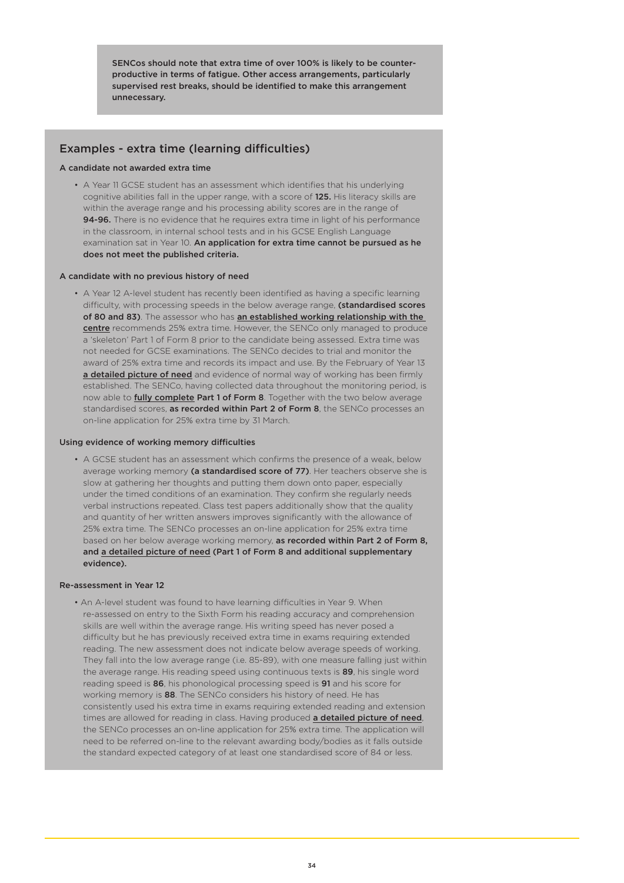SENCos should note that extra time of over 100% is likely to be counterproductive in terms of fatigue. Other access arrangements, particularly supervised rest breaks, should be identified to make this arrangement unnecessary.

# Examples - extra time (learning difficulties)

#### A candidate not awarded extra time

• A Year 11 GCSE student has an assessment which identifies that his underlying cognitive abilities fall in the upper range, with a score of 125. His literacy skills are within the average range and his processing ability scores are in the range of 94-96. There is no evidence that he requires extra time in light of his performance in the classroom, in internal school tests and in his GCSE English Language examination sat in Year 10. An application for extra time cannot be pursued as he does not meet the published criteria.

#### A candidate with no previous history of need

• A Year 12 A-level student has recently been identified as having a specific learning difficulty, with processing speeds in the below average range, (standardised scores of 80 and 83). The assessor who has an established working relationship with the centre recommends 25% extra time. However, the SENCo only managed to produce a 'skeleton' Part 1 of Form 8 prior to the candidate being assessed. Extra time was not needed for GCSE examinations. The SENCo decides to trial and monitor the award of 25% extra time and records its impact and use. By the February of Year 13 a detailed picture of need and evidence of normal way of working has been firmly established. The SENCo, having collected data throughout the monitoring period, is now able to **fully complete Part 1 of Form 8**. Together with the two below average standardised scores, as recorded within Part 2 of Form 8, the SENCo processes an on-line application for 25% extra time by 31 March.

#### Using evidence of working memory difficulties

• A GCSE student has an assessment which confirms the presence of a weak, below average working memory (a standardised score of 77). Her teachers observe she is slow at gathering her thoughts and putting them down onto paper, especially under the timed conditions of an examination. They confirm she regularly needs verbal instructions repeated. Class test papers additionally show that the quality and quantity of her written answers improves significantly with the allowance of 25% extra time. The SENCo processes an on-line application for 25% extra time based on her below average working memory, as recorded within Part 2 of Form 8, and a detailed picture of need (Part 1 of Form 8 and additional supplementary evidence).

#### Re-assessment in Year 12

• An A-level student was found to have learning difficulties in Year 9. When re-assessed on entry to the Sixth Form his reading accuracy and comprehension skills are well within the average range. His writing speed has never posed a difficulty but he has previously received extra time in exams requiring extended reading. The new assessment does not indicate below average speeds of working. They fall into the low average range (i.e. 85-89), with one measure falling just within the average range. His reading speed using continuous texts is 89, his single word reading speed is 86, his phonological processing speed is 91 and his score for working memory is 88. The SENCo considers his history of need. He has consistently used his extra time in exams requiring extended reading and extension times are allowed for reading in class. Having produced a detailed picture of need, the SENCo processes an on-line application for 25% extra time. The application will need to be referred on-line to the relevant awarding body/bodies as it falls outside the standard expected category of at least one standardised score of 84 or less.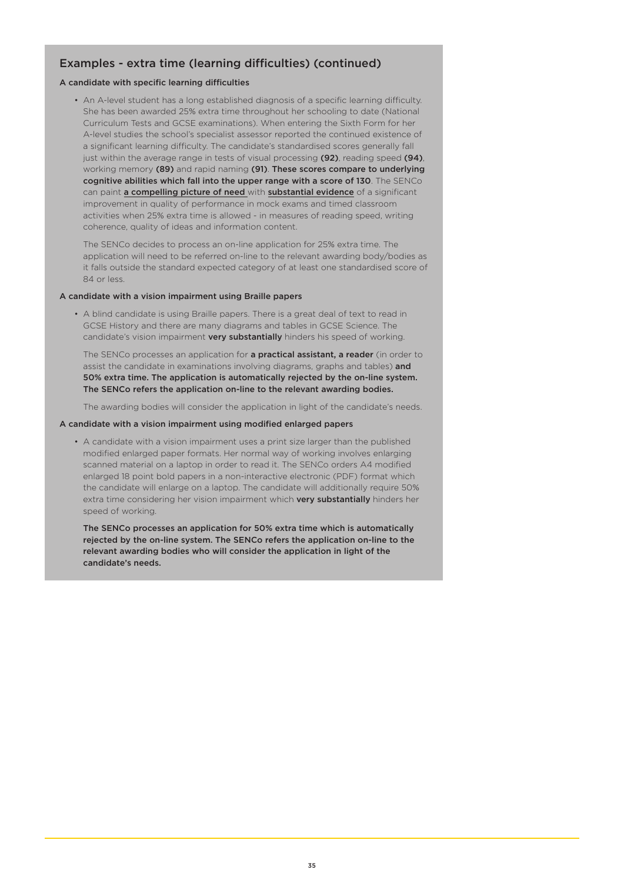# Examples - extra time (learning difficulties) (continued)

#### A candidate with specific learning difficulties

• An A-level student has a long established diagnosis of a specific learning difficulty. She has been awarded 25% extra time throughout her schooling to date (National Curriculum Tests and GCSE examinations). When entering the Sixth Form for her A-level studies the school's specialist assessor reported the continued existence of a significant learning difficulty. The candidate's standardised scores generally fall just within the average range in tests of visual processing (92), reading speed (94), working memory (89) and rapid naming (91). These scores compare to underlying cognitive abilities which fall into the upper range with a score of 130. The SENCo can paint a compelling picture of need with substantial evidence of a significant improvement in quality of performance in mock exams and timed classroom activities when 25% extra time is allowed - in measures of reading speed, writing coherence, quality of ideas and information content.

The SENCo decides to process an on-line application for 25% extra time. The application will need to be referred on-line to the relevant awarding body/bodies as it falls outside the standard expected category of at least one standardised score of 84 or less.

#### A candidate with a vision impairment using Braille papers

• A blind candidate is using Braille papers. There is a great deal of text to read in GCSE History and there are many diagrams and tables in GCSE Science. The candidate's vision impairment very substantially hinders his speed of working.

The SENCo processes an application for a practical assistant, a reader (in order to assist the candidate in examinations involving diagrams, graphs and tables) and 50% extra time. The application is automatically rejected by the on-line system. The SENCo refers the application on-line to the relevant awarding bodies.

The awarding bodies will consider the application in light of the candidate's needs.

#### A candidate with a vision impairment using modified enlarged papers

• A candidate with a vision impairment uses a print size larger than the published modified enlarged paper formats. Her normal way of working involves enlarging scanned material on a laptop in order to read it. The SENCo orders A4 modified enlarged 18 point bold papers in a non-interactive electronic (PDF) format which the candidate will enlarge on a laptop. The candidate will additionally require 50% extra time considering her vision impairment which very substantially hinders her speed of working.

The SENCo processes an application for 50% extra time which is automatically rejected by the on-line system. The SENCo refers the application on-line to the relevant awarding bodies who will consider the application in light of the candidate's needs.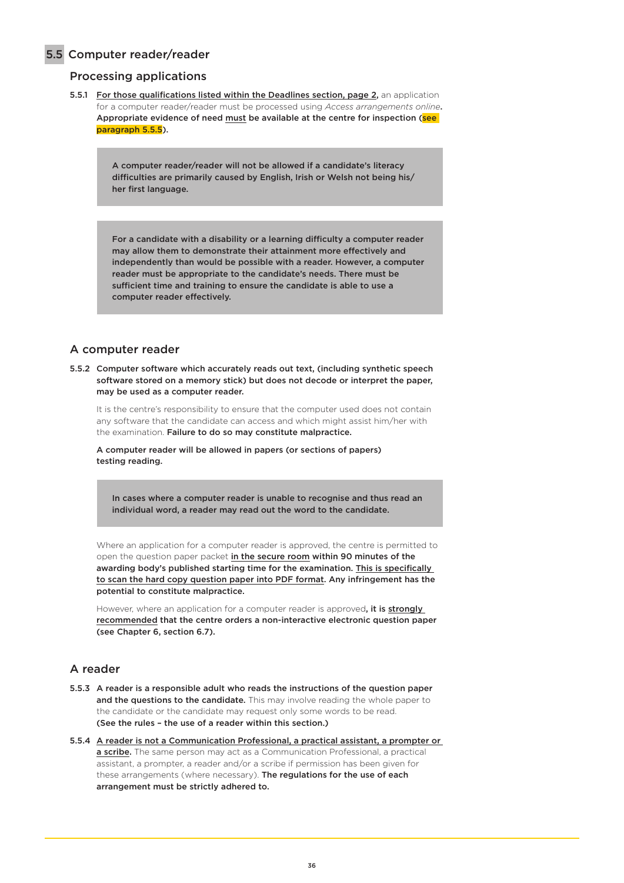## 5.5 Computer reader/reader

## Processing applications

5.5.1 For those qualifications listed within the Deadlines section, page 2, an application for a computer reader/reader must be processed using *Access arrangements online*. Appropriate evidence of need must be available at the centre for inspection (see paragraph 5.5.5).

> A computer reader/reader will not be allowed if a candidate's literacy difficulties are primarily caused by English, Irish or Welsh not being his/ her first language.

For a candidate with a disability or a learning difficulty a computer reader may allow them to demonstrate their attainment more effectively and independently than would be possible with a reader. However, a computer reader must be appropriate to the candidate's needs. There must be sufficient time and training to ensure the candidate is able to use a computer reader effectively.

### A computer reader

5.5.2 Computer software which accurately reads out text, (including synthetic speech software stored on a memory stick) but does not decode or interpret the paper, may be used as a computer reader.

It is the centre's responsibility to ensure that the computer used does not contain any software that the candidate can access and which might assist him/her with the examination. Failure to do so may constitute malpractice.

A computer reader will be allowed in papers (or sections of papers) testing reading.

In cases where a computer reader is unable to recognise and thus read an individual word, a reader may read out the word to the candidate.

Where an application for a computer reader is approved, the centre is permitted to open the question paper packet in the secure room within 90 minutes of the awarding body's published starting time for the examination. This is specifically to scan the hard copy question paper into PDF format. Any infringement has the potential to constitute malpractice.

However, where an application for a computer reader is approved, it is strongly recommended that the centre orders a non-interactive electronic question paper (see Chapter 6, section 6.7).

### A reader

- 5.5.3 A reader is a responsible adult who reads the instructions of the question paper and the questions to the candidate. This may involve reading the whole paper to the candidate or the candidate may request only some words to be read. (See the rules – the use of a reader within this section.)
- 5.5.4 A reader is not a Communication Professional, a practical assistant, a prompter or a scribe. The same person may act as a Communication Professional, a practical assistant, a prompter, a reader and/or a scribe if permission has been given for these arrangements (where necessary). The regulations for the use of each arrangement must be strictly adhered to.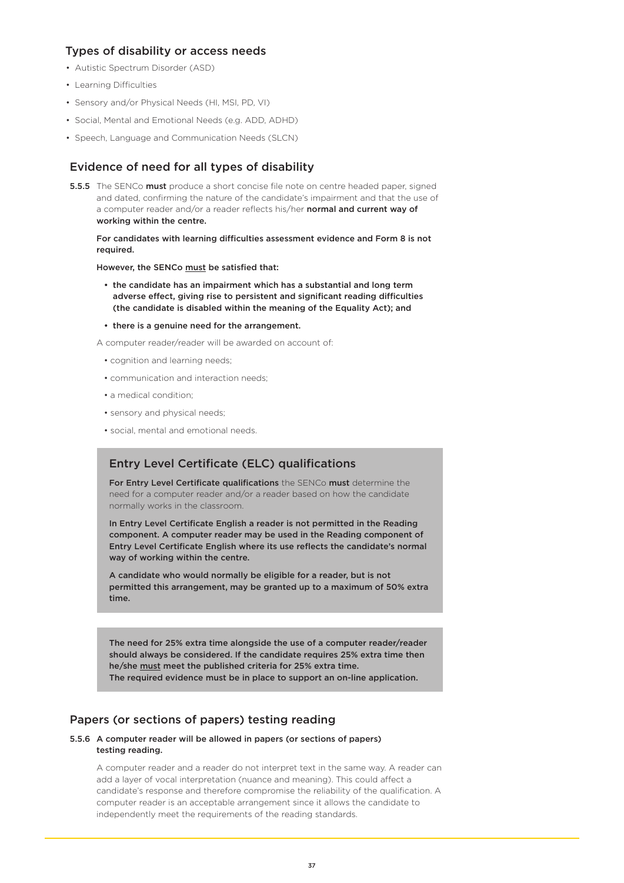## Types of disability or access needs

- Autistic Spectrum Disorder (ASD)
- Learning Difficulties
- Sensory and/or Physical Needs (HI, MSI, PD, VI)
- Social, Mental and Emotional Needs (e.g. ADD, ADHD)
- Speech, Language and Communication Needs (SLCN)

# Evidence of need for all types of disability

5.5.5 The SENCo must produce a short concise file note on centre headed paper, signed and dated, confirming the nature of the candidate's impairment and that the use of a computer reader and/or a reader reflects his/her normal and current way of working within the centre.

For candidates with learning difficulties assessment evidence and Form 8 is not required.

However, the SENCo must be satisfied that:

- the candidate has an impairment which has a substantial and long term adverse effect, giving rise to persistent and significant reading difficulties (the candidate is disabled within the meaning of the Equality Act); and
- there is a genuine need for the arrangement.

A computer reader/reader will be awarded on account of:

- cognition and learning needs;
- communication and interaction needs;
- a medical condition;
- sensory and physical needs;
- social, mental and emotional needs.

## Entry Level Certificate (ELC) qualifications

For Entry Level Certificate qualifications the SENCo must determine the need for a computer reader and/or a reader based on how the candidate normally works in the classroom.

In Entry Level Certificate English a reader is not permitted in the Reading component. A computer reader may be used in the Reading component of Entry Level Certificate English where its use reflects the candidate's normal way of working within the centre.

A candidate who would normally be eligible for a reader, but is not permitted this arrangement, may be granted up to a maximum of 50% extra time.

The need for 25% extra time alongside the use of a computer reader/reader should always be considered. If the candidate requires 25% extra time then he/she must meet the published criteria for 25% extra time. The required evidence must be in place to support an on-line application.

## Papers (or sections of papers) testing reading

#### 5.5.6 A computer reader will be allowed in papers (or sections of papers) testing reading.

A computer reader and a reader do not interpret text in the same way. A reader can add a layer of vocal interpretation (nuance and meaning). This could affect a candidate's response and therefore compromise the reliability of the qualification. A computer reader is an acceptable arrangement since it allows the candidate to independently meet the requirements of the reading standards.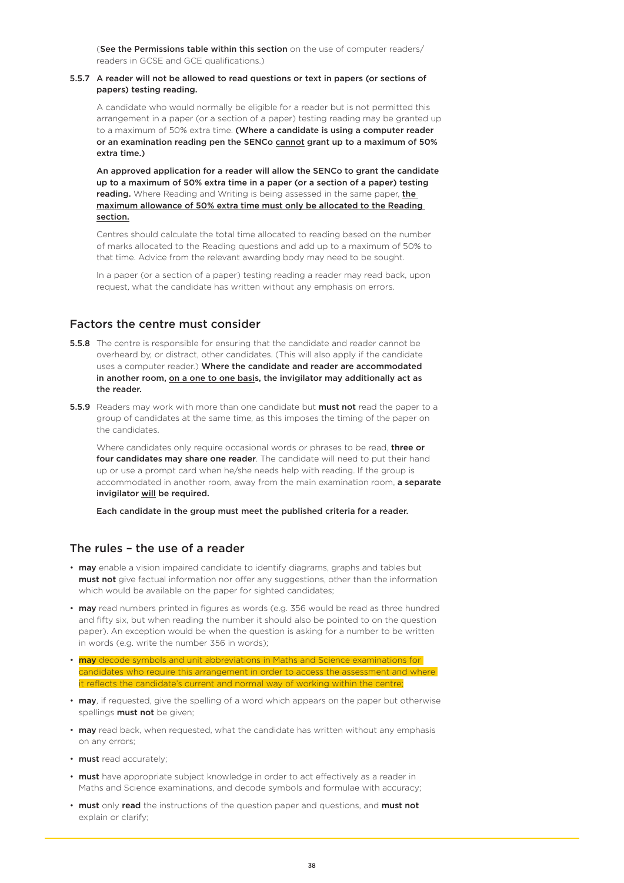(See the Permissions table within this section on the use of computer readers/ readers in GCSE and GCE qualifications.)

#### 5.5.7 A reader will not be allowed to read questions or text in papers (or sections of papers) testing reading.

A candidate who would normally be eligible for a reader but is not permitted this arrangement in a paper (or a section of a paper) testing reading may be granted up to a maximum of 50% extra time. (Where a candidate is using a computer reader or an examination reading pen the SENCo cannot grant up to a maximum of 50% extra time.)

An approved application for a reader will allow the SENCo to grant the candidate up to a maximum of 50% extra time in a paper (or a section of a paper) testing reading. Where Reading and Writing is being assessed in the same paper, the maximum allowance of 50% extra time must only be allocated to the Reading section.

Centres should calculate the total time allocated to reading based on the number of marks allocated to the Reading questions and add up to a maximum of 50% to that time. Advice from the relevant awarding body may need to be sought.

In a paper (or a section of a paper) testing reading a reader may read back, upon request, what the candidate has written without any emphasis on errors.

## Factors the centre must consider

- **5.5.8** The centre is responsible for ensuring that the candidate and reader cannot be overheard by, or distract, other candidates. (This will also apply if the candidate uses a computer reader.) Where the candidate and reader are accommodated in another room, on a one to one basis, the invigilator may additionally act as the reader.
- 5.5.9 Readers may work with more than one candidate but must not read the paper to a group of candidates at the same time, as this imposes the timing of the paper on the candidates.

Where candidates only require occasional words or phrases to be read, three or four candidates may share one reader. The candidate will need to put their hand up or use a prompt card when he/she needs help with reading. If the group is accommodated in another room, away from the main examination room, a separate invigilator will be required.

Each candidate in the group must meet the published criteria for a reader.

## The rules – the use of a reader

- may enable a vision impaired candidate to identify diagrams, graphs and tables but must not give factual information nor offer any suggestions, other than the information which would be available on the paper for sighted candidates;
- may read numbers printed in figures as words (e.g. 356 would be read as three hundred and fifty six, but when reading the number it should also be pointed to on the question paper). An exception would be when the question is asking for a number to be written in words (e.g. write the number 356 in words);
- **may** decode symbols and unit abbreviations in Maths and Science examinations for candidates who require this arrangement in order to access the assessment and where it reflects the candidate's current and normal way of working within the centre;
- may, if requested, give the spelling of a word which appears on the paper but otherwise spellings **must not** be given;
- may read back, when requested, what the candidate has written without any emphasis on any errors;
- must read accurately;
- must have appropriate subject knowledge in order to act effectively as a reader in Maths and Science examinations, and decode symbols and formulae with accuracy;
- must only read the instructions of the question paper and questions, and must not explain or clarify;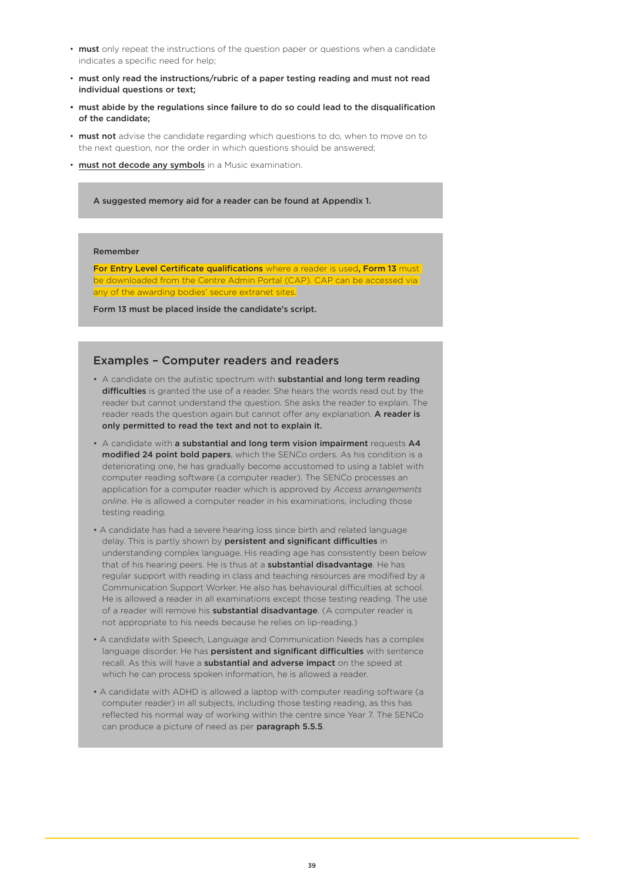- must only repeat the instructions of the question paper or questions when a candidate indicates a specific need for help;
- must only read the instructions/rubric of a paper testing reading and must not read individual questions or text;
- must abide by the regulations since failure to do so could lead to the disqualification of the candidate;
- must not advise the candidate regarding which questions to do, when to move on to the next question, nor the order in which questions should be answered;
- must not decode any symbols in a Music examination.
	- A suggested memory aid for a reader can be found at Appendix 1.

#### Remember

For Entry Level Certificate qualifications where a reader is used, Form 13 must baded from the Centre Admin Portal (CAP). CAP can be accessed via any of the awarding bodies' secure extranet sites.

Form 13 must be placed inside the candidate's script.

### Examples – Computer readers and readers

- A candidate on the autistic spectrum with substantial and long term reading difficulties is granted the use of a reader. She hears the words read out by the reader but cannot understand the question. She asks the reader to explain. The reader reads the question again but cannot offer any explanation. A reader is only permitted to read the text and not to explain it.
- A candidate with a substantial and long term vision impairment requests A4 modified 24 point bold papers, which the SENCo orders. As his condition is a deteriorating one, he has gradually become accustomed to using a tablet with computer reading software (a computer reader). The SENCo processes an application for a computer reader which is approved by *Access arrangements online*. He is allowed a computer reader in his examinations, including those testing reading.
- A candidate has had a severe hearing loss since birth and related language delay. This is partly shown by persistent and significant difficulties in understanding complex language. His reading age has consistently been below that of his hearing peers. He is thus at a substantial disadvantage. He has regular support with reading in class and teaching resources are modified by a Communication Support Worker. He also has behavioural difficulties at school. He is allowed a reader in all examinations except those testing reading. The use of a reader will remove his **substantial disadvantage**. (A computer reader is not appropriate to his needs because he relies on lip-reading.)
- A candidate with Speech, Language and Communication Needs has a complex language disorder. He has **persistent and significant difficulties** with sentence recall. As this will have a substantial and adverse impact on the speed at which he can process spoken information, he is allowed a reader.
- A candidate with ADHD is allowed a laptop with computer reading software (a computer reader) in all subjects, including those testing reading, as this has reflected his normal way of working within the centre since Year 7. The SENCo can produce a picture of need as per paragraph 5.5.5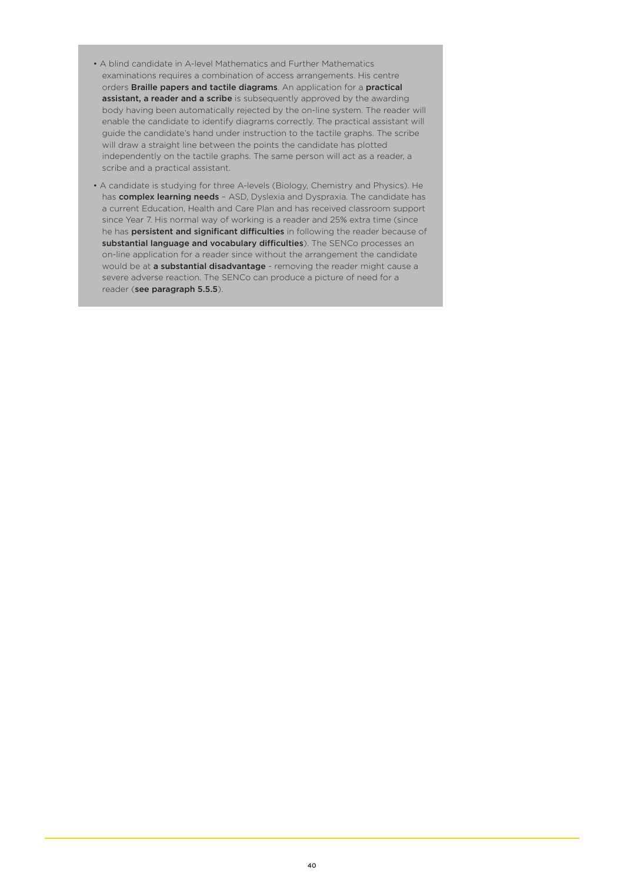- A blind candidate in A-level Mathematics and Further Mathematics examinations requires a combination of access arrangements. His centre orders Braille papers and tactile diagrams. An application for a practical assistant, a reader and a scribe is subsequently approved by the awarding body having been automatically rejected by the on-line system. The reader will enable the candidate to identify diagrams correctly. The practical assistant will guide the candidate's hand under instruction to the tactile graphs. The scribe will draw a straight line between the points the candidate has plotted independently on the tactile graphs. The same person will act as a reader, a scribe and a practical assistant.
- A candidate is studying for three A-levels (Biology, Chemistry and Physics). He has **complex learning needs** - ASD, Dyslexia and Dyspraxia. The candidate has a current Education, Health and Care Plan and has received classroom support since Year 7. His normal way of working is a reader and 25% extra time (since he has **persistent and significant difficulties** in following the reader because of substantial language and vocabulary difficulties). The SENCo processes an on-line application for a reader since without the arrangement the candidate would be at a substantial disadvantage - removing the reader might cause a severe adverse reaction. The SENCo can produce a picture of need for a reader (see paragraph 5.5.5).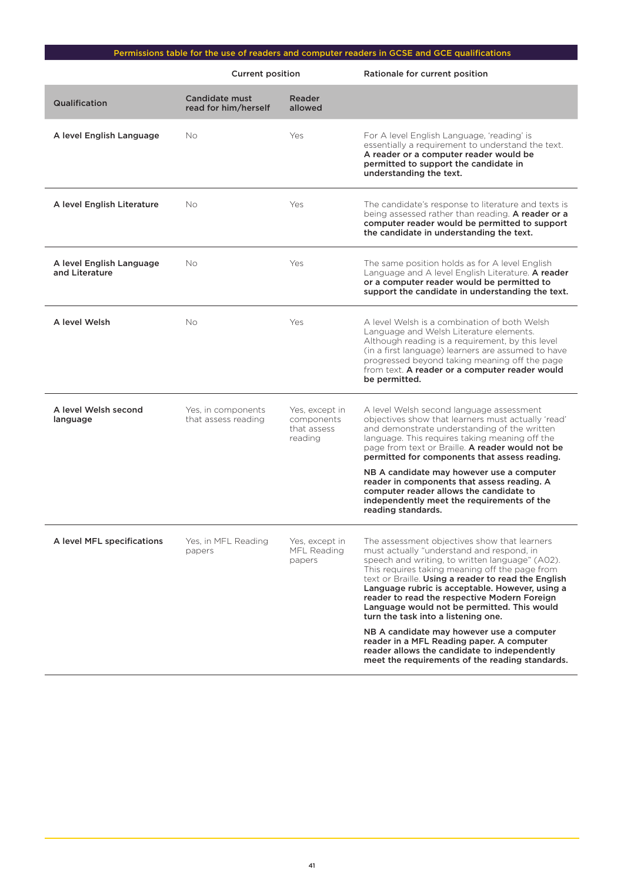# Permissions table for the use of readers and computer readers in GCSE and GCE qualifications

|                                            | <b>Current position</b>                   |                                                        | Rationale for current position                                                                                                                                                                                                                                                                                                                                                                                                                                                                                   |
|--------------------------------------------|-------------------------------------------|--------------------------------------------------------|------------------------------------------------------------------------------------------------------------------------------------------------------------------------------------------------------------------------------------------------------------------------------------------------------------------------------------------------------------------------------------------------------------------------------------------------------------------------------------------------------------------|
| Qualification                              | Candidate must<br>read for him/herself    | Reader<br>allowed                                      |                                                                                                                                                                                                                                                                                                                                                                                                                                                                                                                  |
| A level English Language                   | No                                        | Yes                                                    | For A level English Language, 'reading' is<br>essentially a requirement to understand the text.<br>A reader or a computer reader would be<br>permitted to support the candidate in<br>understanding the text.                                                                                                                                                                                                                                                                                                    |
| A level English Literature                 | No                                        | Yes                                                    | The candidate's response to literature and texts is<br>being assessed rather than reading. A reader or a<br>computer reader would be permitted to support<br>the candidate in understanding the text.                                                                                                                                                                                                                                                                                                            |
| A level English Language<br>and Literature | No                                        | Yes                                                    | The same position holds as for A level English<br>Language and A level English Literature. A reader<br>or a computer reader would be permitted to<br>support the candidate in understanding the text.                                                                                                                                                                                                                                                                                                            |
| A level Welsh                              | No                                        | Yes                                                    | A level Welsh is a combination of both Welsh<br>Language and Welsh Literature elements.<br>Although reading is a requirement, by this level<br>(in a first language) learners are assumed to have<br>progressed beyond taking meaning off the page<br>from text. A reader or a computer reader would<br>be permitted.                                                                                                                                                                                            |
| A level Welsh second<br>language           | Yes, in components<br>that assess reading | Yes, except in<br>components<br>that assess<br>reading | A level Welsh second language assessment<br>objectives show that learners must actually 'read'<br>and demonstrate understanding of the written<br>language. This requires taking meaning off the<br>page from text or Braille. A reader would not be<br>permitted for components that assess reading.<br>NB A candidate may however use a computer<br>reader in components that assess reading. A<br>computer reader allows the candidate to<br>independently meet the requirements of the<br>reading standards. |
| A level MFL specifications                 | Yes, in MFL Reading<br>papers             | Yes, except in<br>MFL Reading<br>papers                | The assessment objectives show that learners<br>must actually "understand and respond, in<br>speech and writing, to written language" (A02).<br>This requires taking meaning off the page from<br>text or Braille. Using a reader to read the English<br>Language rubric is acceptable. However, using a<br>reader to read the respective Modern Foreign<br>Language would not be permitted. This would<br>turn the task into a listening one.<br>NB A candidate may however use a computer                      |
|                                            |                                           |                                                        | reader in a MFL Reading paper. A computer<br>reader allows the candidate to independently<br>meet the requirements of the reading standards.                                                                                                                                                                                                                                                                                                                                                                     |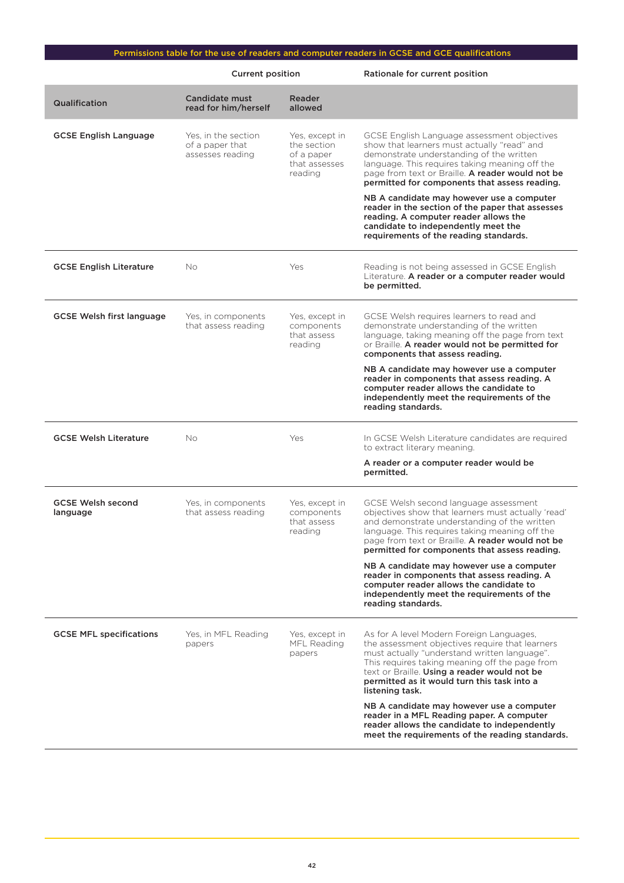# Permissions table for the use of readers and computer readers in GCSE and GCE qualifications

|                                      | <b>Current position</b>                                    |                                                                         | Rationale for current position                                                                                                                                                                                                                                                                                                             |
|--------------------------------------|------------------------------------------------------------|-------------------------------------------------------------------------|--------------------------------------------------------------------------------------------------------------------------------------------------------------------------------------------------------------------------------------------------------------------------------------------------------------------------------------------|
| Qualification                        | Candidate must<br>read for him/herself                     | <b>Reader</b><br>allowed                                                |                                                                                                                                                                                                                                                                                                                                            |
| <b>GCSE English Language</b>         | Yes, in the section<br>of a paper that<br>assesses reading | Yes, except in<br>the section<br>of a paper<br>that assesses<br>reading | GCSE English Language assessment objectives<br>show that learners must actually "read" and<br>demonstrate understanding of the written<br>language. This requires taking meaning off the<br>page from text or Braille. A reader would not be<br>permitted for components that assess reading.<br>NB A candidate may however use a computer |
|                                      |                                                            |                                                                         | reader in the section of the paper that assesses<br>reading. A computer reader allows the<br>candidate to independently meet the<br>requirements of the reading standards.                                                                                                                                                                 |
| <b>GCSE English Literature</b>       | <b>No</b>                                                  | Yes                                                                     | Reading is not being assessed in GCSE English<br>Literature. A reader or a computer reader would<br>be permitted.                                                                                                                                                                                                                          |
| <b>GCSE Welsh first language</b>     | Yes, in components<br>that assess reading                  | Yes, except in<br>components<br>that assess<br>reading                  | GCSE Welsh requires learners to read and<br>demonstrate understanding of the written<br>language, taking meaning off the page from text<br>or Braille. A reader would not be permitted for<br>components that assess reading.                                                                                                              |
|                                      |                                                            |                                                                         | NB A candidate may however use a computer<br>reader in components that assess reading. A<br>computer reader allows the candidate to<br>independently meet the requirements of the<br>reading standards.                                                                                                                                    |
| <b>GCSE Welsh Literature</b>         | No                                                         | Yes                                                                     | In GCSE Welsh Literature candidates are required<br>to extract literary meaning.                                                                                                                                                                                                                                                           |
|                                      |                                                            |                                                                         | A reader or a computer reader would be<br>permitted.                                                                                                                                                                                                                                                                                       |
| <b>GCSE Welsh second</b><br>language | Yes, in components<br>that assess reading                  | Yes, except in<br>components<br>that assess<br>reading                  | GCSE Welsh second language assessment<br>objectives show that learners must actually 'read'<br>and demonstrate understanding of the written<br>language. This requires taking meaning off the<br>page from text or Braille. <b>A reader would not be</b><br>permitted for components that assess reading.                                  |
|                                      |                                                            |                                                                         | NB A candidate may however use a computer<br>reader in components that assess reading. A<br>computer reader allows the candidate to<br>independently meet the requirements of the<br>reading standards.                                                                                                                                    |
| <b>GCSE MFL specifications</b>       | Yes, in MFL Reading<br>papers                              | Yes, except in<br>MFL Reading<br>papers                                 | As for A level Modern Foreign Languages,<br>the assessment objectives require that learners<br>must actually "understand written language".<br>This requires taking meaning off the page from<br>text or Braille. Using a reader would not be<br>permitted as it would turn this task into a<br>listening task.                            |
|                                      |                                                            |                                                                         | NB A candidate may however use a computer<br>reader in a MFL Reading paper. A computer<br>reader allows the candidate to independently<br>meet the requirements of the reading standards.                                                                                                                                                  |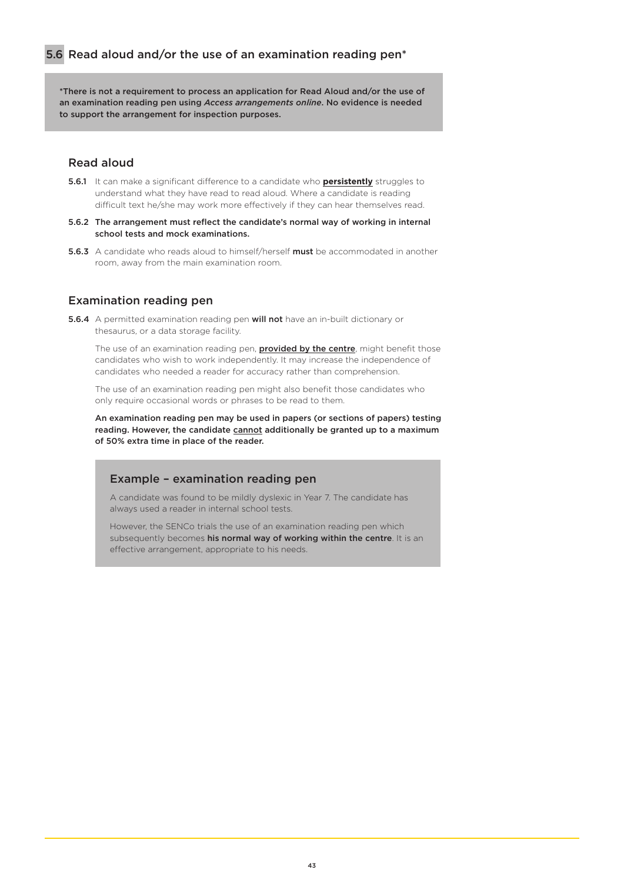\*There is not a requirement to process an application for Read Aloud and/or the use of an examination reading pen using *Access arrangements online*. No evidence is needed to support the arrangement for inspection purposes.

## Read aloud

- 5.6.1 It can make a significant difference to a candidate who **persistently** struggles to understand what they have read to read aloud. Where a candidate is reading difficult text he/she may work more effectively if they can hear themselves read.
- 5.6.2 The arrangement must reflect the candidate's normal way of working in internal school tests and mock examinations.
- 5.6.3 A candidate who reads aloud to himself/herself must be accommodated in another room, away from the main examination room.

### Examination reading pen

5.6.4 A permitted examination reading pen will not have an in-built dictionary or thesaurus, or a data storage facility.

The use of an examination reading pen, **provided by the centre**, might benefit those candidates who wish to work independently. It may increase the independence of candidates who needed a reader for accuracy rather than comprehension.

The use of an examination reading pen might also benefit those candidates who only require occasional words or phrases to be read to them.

An examination reading pen may be used in papers (or sections of papers) testing reading. However, the candidate cannot additionally be granted up to a maximum of 50% extra time in place of the reader.

## Example – examination reading pen

A candidate was found to be mildly dyslexic in Year 7. The candidate has always used a reader in internal school tests.

However, the SENCo trials the use of an examination reading pen which subsequently becomes his normal way of working within the centre. It is an effective arrangement, appropriate to his needs.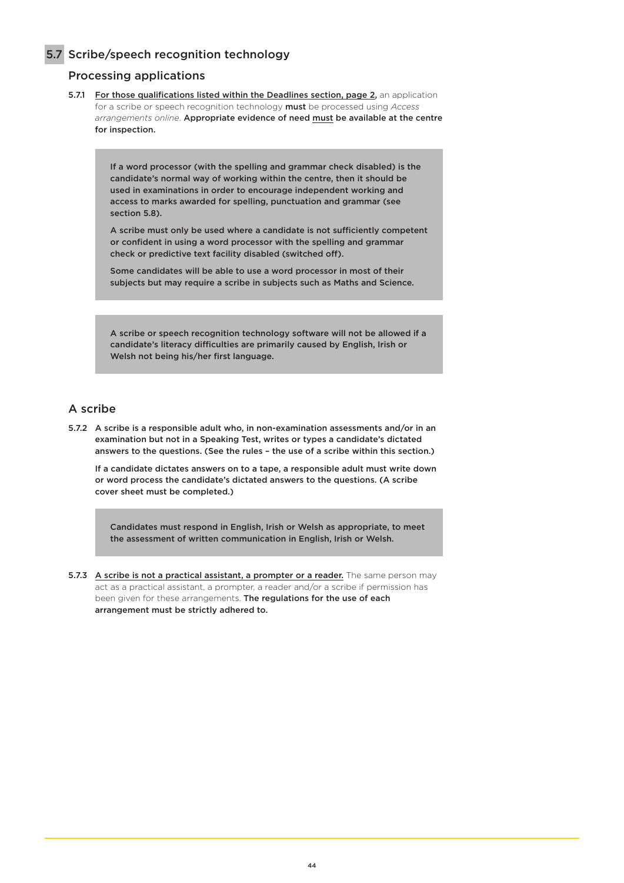5.7 Scribe/speech recognition technology

## Processing applications

5.7.1 For those qualifications listed within the Deadlines section, page 2, an application for a scribe or speech recognition technology must be processed using *Access arrangements online*. Appropriate evidence of need must be available at the centre for inspection.

> If a word processor (with the spelling and grammar check disabled) is the candidate's normal way of working within the centre, then it should be used in examinations in order to encourage independent working and access to marks awarded for spelling, punctuation and grammar (see section 5.8).

A scribe must only be used where a candidate is not sufficiently competent or confident in using a word processor with the spelling and grammar check or predictive text facility disabled (switched off).

Some candidates will be able to use a word processor in most of their subjects but may require a scribe in subjects such as Maths and Science.

A scribe or speech recognition technology software will not be allowed if a candidate's literacy difficulties are primarily caused by English, Irish or Welsh not being his/her first language.

# A scribe

5.7.2 A scribe is a responsible adult who, in non-examination assessments and/or in an examination but not in a Speaking Test, writes or types a candidate's dictated answers to the questions. (See the rules – the use of a scribe within this section.)

If a candidate dictates answers on to a tape, a responsible adult must write down or word process the candidate's dictated answers to the questions. (A scribe cover sheet must be completed.)

Candidates must respond in English, Irish or Welsh as appropriate, to meet the assessment of written communication in English, Irish or Welsh.

5.7.3 A scribe is not a practical assistant, a prompter or a reader. The same person may act as a practical assistant, a prompter, a reader and/or a scribe if permission has been given for these arrangements. The regulations for the use of each arrangement must be strictly adhered to.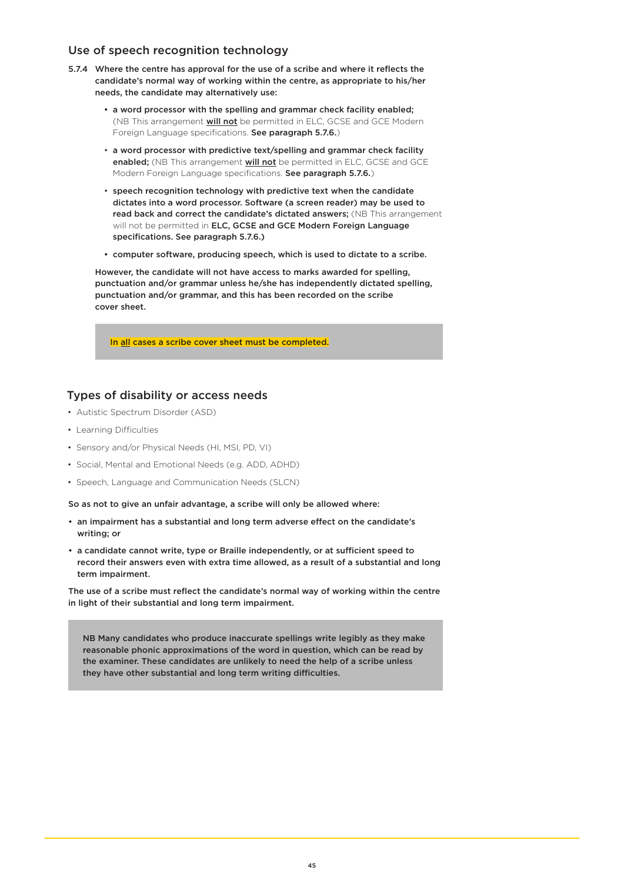### Use of speech recognition technology

- 5.7.4 Where the centre has approval for the use of a scribe and where it reflects the candidate's normal way of working within the centre, as appropriate to his/her needs, the candidate may alternatively use:
	- a word processor with the spelling and grammar check facility enabled; (NB This arrangement will not be permitted in ELC, GCSE and GCE Modern Foreign Language specifications. See paragraph 5.7.6.)
	- a word processor with predictive text/spelling and grammar check facility enabled; (NB This arrangement will not be permitted in ELC, GCSE and GCE Modern Foreign Language specifications. See paragraph 5.7.6.)
	- speech recognition technology with predictive text when the candidate dictates into a word processor. Software (a screen reader) may be used to read back and correct the candidate's dictated answers; (NB This arrangement will not be permitted in ELC, GCSE and GCE Modern Foreign Language specifications. See paragraph 5.7.6.)
	- computer software, producing speech, which is used to dictate to a scribe.

However, the candidate will not have access to marks awarded for spelling, punctuation and/or grammar unless he/she has independently dictated spelling, punctuation and/or grammar, and this has been recorded on the scribe cover sheet.

In all cases a scribe cover sheet must be completed.

## Types of disability or access needs

- Autistic Spectrum Disorder (ASD)
- Learning Difficulties
- Sensory and/or Physical Needs (HI, MSI, PD, VI)
- Social, Mental and Emotional Needs (e.g. ADD, ADHD)
- Speech, Language and Communication Needs (SLCN)

So as not to give an unfair advantage, a scribe will only be allowed where:

- an impairment has a substantial and long term adverse effect on the candidate's writing; or
- a candidate cannot write, type or Braille independently, or at sufficient speed to record their answers even with extra time allowed, as a result of a substantial and long term impairment.

The use of a scribe must reflect the candidate's normal way of working within the centre in light of their substantial and long term impairment.

NB Many candidates who produce inaccurate spellings write legibly as they make reasonable phonic approximations of the word in question, which can be read by the examiner. These candidates are unlikely to need the help of a scribe unless they have other substantial and long term writing difficulties.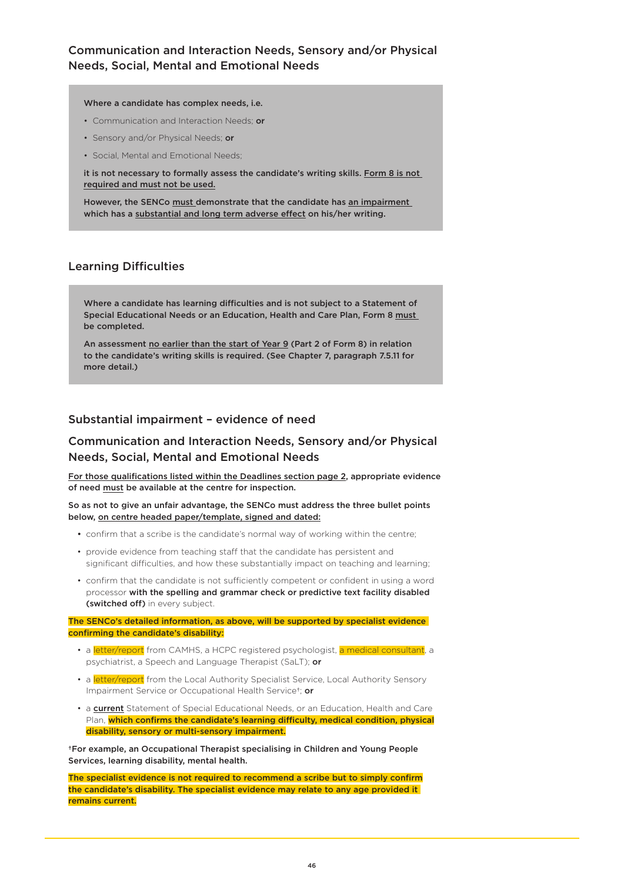# Communication and Interaction Needs, Sensory and/or Physical Needs, Social, Mental and Emotional Needs

#### Where a candidate has complex needs, i.e.

- Communication and Interaction Needs; or
- Sensory and/or Physical Needs; or
- Social, Mental and Emotional Needs;

it is not necessary to formally assess the candidate's writing skills. Form 8 is not required and must not be used.

However, the SENCo must demonstrate that the candidate has an impairment which has a substantial and long term adverse effect on his/her writing.

## Learning Difficulties

Where a candidate has learning difficulties and is not subject to a Statement of Special Educational Needs or an Education, Health and Care Plan, Form 8 must be completed.

An assessment no earlier than the start of Year 9 (Part 2 of Form 8) in relation to the candidate's writing skills is required. (See Chapter 7, paragraph 7.5.11 for more detail.)

# Substantial impairment – evidence of need

# Communication and Interaction Needs, Sensory and/or Physical Needs, Social, Mental and Emotional Needs

For those qualifications listed within the Deadlines section page 2, appropriate evidence of need must be available at the centre for inspection.

So as not to give an unfair advantage, the SENCo must address the three bullet points below, on centre headed paper/template, signed and dated:

- confirm that a scribe is the candidate's normal way of working within the centre;
- provide evidence from teaching staff that the candidate has persistent and significant difficulties, and how these substantially impact on teaching and learning;
- confirm that the candidate is not sufficiently competent or confident in using a word processor with the spelling and grammar check or predictive text facility disabled (switched off) in every subject.

The SENCo's detailed information, as above, will be supported by specialist evidence confirming the candidate's disability:

- a letter/report from CAMHS, a HCPC registered psychologist, a medical consultant, a psychiatrist, a Speech and Language Therapist (SaLT); or
- a *letter/report* from the Local Authority Specialist Service, Local Authority Sensory Impairment Service or Occupational Health Service†; or
- a current Statement of Special Educational Needs, or an Education, Health and Care Plan, which confirms the candidate's learning difficulty, medical condition, physical disability, sensory or multi-sensory impairment.

†For example, an Occupational Therapist specialising in Children and Young People Services, learning disability, mental health.

The specialist evidence is not required to recommend a scribe but to simply confirm the candidate's disability. The specialist evidence may relate to any age provided it remains current.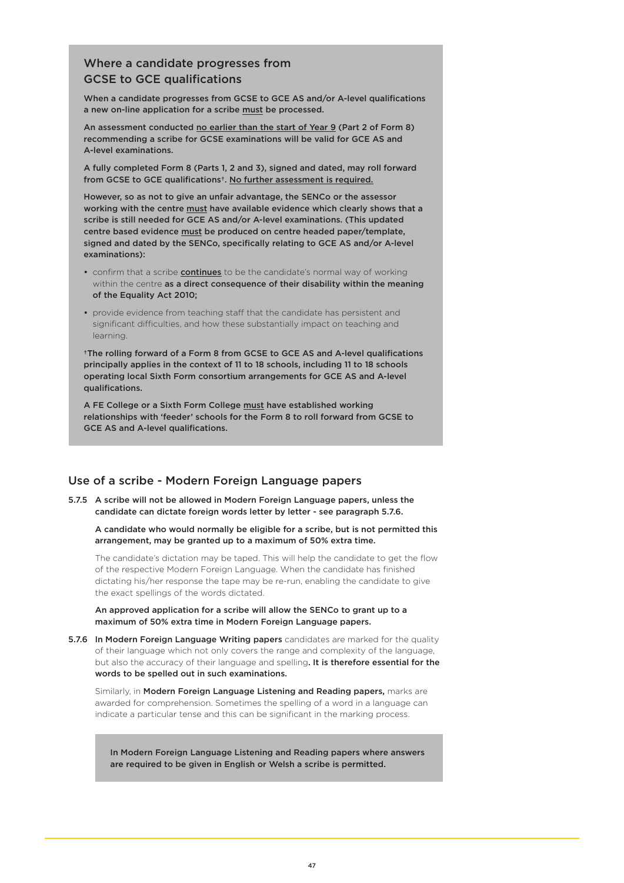# Where a candidate progresses from GCSE to GCE qualifications

When a candidate progresses from GCSE to GCE AS and/or A-level qualifications a new on-line application for a scribe must be processed.

An assessment conducted no earlier than the start of Year 9 (Part 2 of Form 8) recommending a scribe for GCSE examinations will be valid for GCE AS and A-level examinations.

A fully completed Form 8 (Parts 1, 2 and 3), signed and dated, may roll forward from GCSE to GCE qualifications†. No further assessment is required.

However, so as not to give an unfair advantage, the SENCo or the assessor working with the centre must have available evidence which clearly shows that a scribe is still needed for GCE AS and/or A-level examinations. (This updated centre based evidence must be produced on centre headed paper/template, signed and dated by the SENCo, specifically relating to GCE AS and/or A-level examinations):

- confirm that a scribe **continues** to be the candidate's normal way of working within the centre as a direct consequence of their disability within the meaning of the Equality Act 2010;
- provide evidence from teaching staff that the candidate has persistent and significant difficulties, and how these substantially impact on teaching and learning.

†The rolling forward of a Form 8 from GCSE to GCE AS and A-level qualifications principally applies in the context of 11 to 18 schools, including 11 to 18 schools operating local Sixth Form consortium arrangements for GCE AS and A-level qualifications.

A FE College or a Sixth Form College must have established working relationships with 'feeder' schools for the Form 8 to roll forward from GCSE to GCE AS and A-level qualifications.

## Use of a scribe - Modern Foreign Language papers

5.7.5 A scribe will not be allowed in Modern Foreign Language papers, unless the candidate can dictate foreign words letter by letter - see paragraph 5.7.6.

A candidate who would normally be eligible for a scribe, but is not permitted this arrangement, may be granted up to a maximum of 50% extra time.

The candidate's dictation may be taped. This will help the candidate to get the flow of the respective Modern Foreign Language. When the candidate has finished dictating his/her response the tape may be re-run, enabling the candidate to give the exact spellings of the words dictated.

An approved application for a scribe will allow the SENCo to grant up to a maximum of 50% extra time in Modern Foreign Language papers.

5.7.6 In Modern Foreign Language Writing papers candidates are marked for the quality of their language which not only covers the range and complexity of the language, but also the accuracy of their language and spelling. It is therefore essential for the words to be spelled out in such examinations.

Similarly, in Modern Foreign Language Listening and Reading papers, marks are awarded for comprehension. Sometimes the spelling of a word in a language can indicate a particular tense and this can be significant in the marking process.

In Modern Foreign Language Listening and Reading papers where answers are required to be given in English or Welsh a scribe is permitted.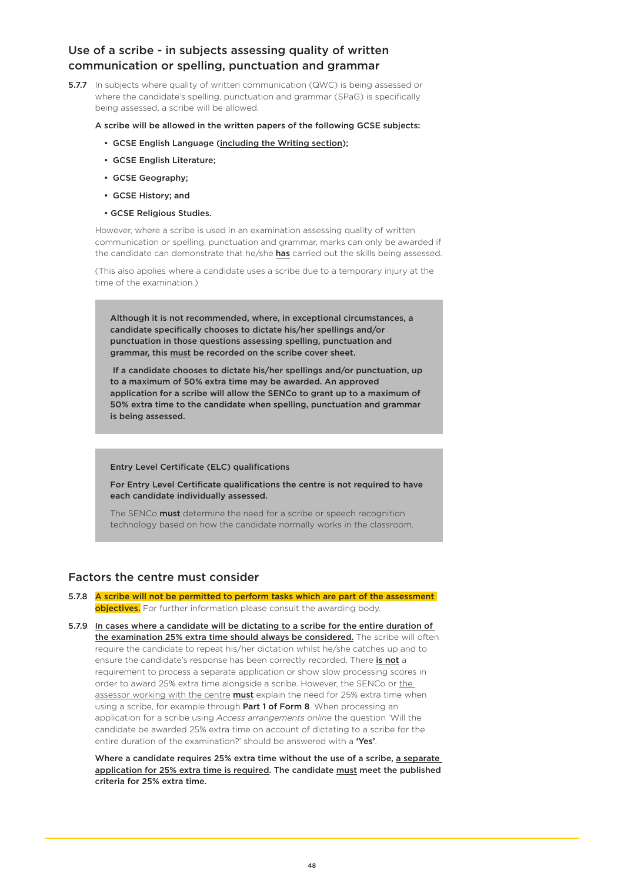# Use of a scribe - in subjects assessing quality of written communication or spelling, punctuation and grammar

**5.7.7** In subjects where quality of written communication (QWC) is being assessed or where the candidate's spelling, punctuation and grammar (SPaG) is specifically being assessed, a scribe will be allowed.

A scribe will be allowed in the written papers of the following GCSE subjects:

- GCSE English Language (including the Writing section);
- GCSE English Literature;
- GCSE Geography;
- GCSE History; and
- GCSE Religious Studies.

However, where a scribe is used in an examination assessing quality of written communication or spelling, punctuation and grammar, marks can only be awarded if the candidate can demonstrate that he/she has carried out the skills being assessed.

(This also applies where a candidate uses a scribe due to a temporary injury at the time of the examination.)

Although it is not recommended, where, in exceptional circumstances, a candidate specifically chooses to dictate his/her spellings and/or punctuation in those questions assessing spelling, punctuation and grammar, this must be recorded on the scribe cover sheet.

 If a candidate chooses to dictate his/her spellings and/or punctuation, up to a maximum of 50% extra time may be awarded. An approved application for a scribe will allow the SENCo to grant up to a maximum of 50% extra time to the candidate when spelling, punctuation and grammar is being assessed.

#### Entry Level Certificate (ELC) qualifications

For Entry Level Certificate qualifications the centre is not required to have each candidate individually assessed.

The SENCo **must** determine the need for a scribe or speech recognition technology based on how the candidate normally works in the classroom.

## Factors the centre must consider

- 5.7.8 A scribe will not be permitted to perform tasks which are part of the assessment objectives. For further information please consult the awarding body.
- 5.7.9 In cases where a candidate will be dictating to a scribe for the entire duration of the examination 25% extra time should always be considered. The scribe will often require the candidate to repeat his/her dictation whilst he/she catches up and to ensure the candidate's response has been correctly recorded. There is not a requirement to process a separate application or show slow processing scores in order to award 25% extra time alongside a scribe. However, the SENCo or the assessor working with the centre **must** explain the need for 25% extra time when using a scribe, for example through Part 1 of Form 8. When processing an application for a scribe using *Access arrangements online* the question 'Will the candidate be awarded 25% extra time on account of dictating to a scribe for the entire duration of the examination?' should be answered with a 'Yes'.

Where a candidate requires 25% extra time without the use of a scribe, a separate application for 25% extra time is required. The candidate must meet the published criteria for 25% extra time.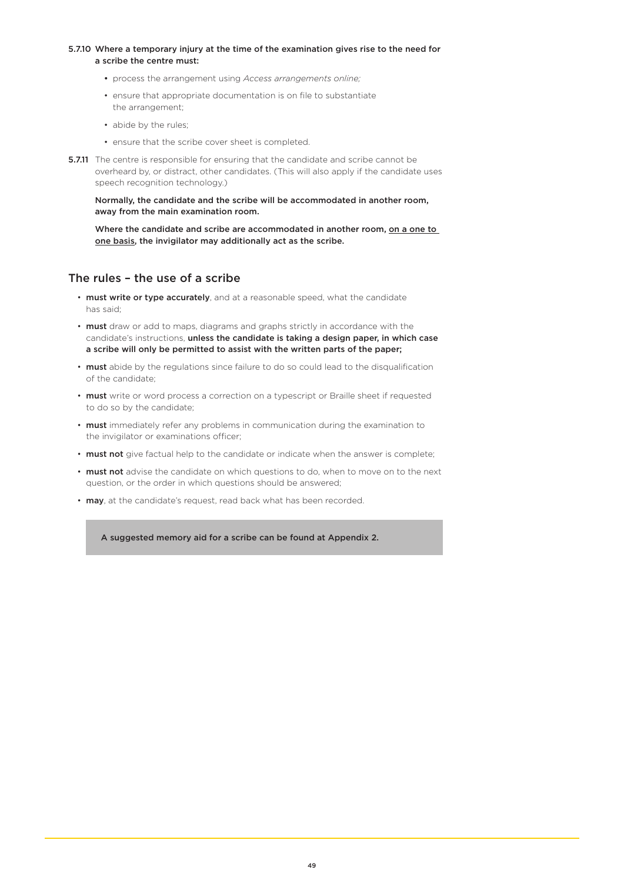#### 5.7.10 Where a temporary injury at the time of the examination gives rise to the need for a scribe the centre must:

- process the arrangement using *Access arrangements online;*
- ensure that appropriate documentation is on file to substantiate the arrangement;
- abide by the rules;
- ensure that the scribe cover sheet is completed.
- **5.7.11** The centre is responsible for ensuring that the candidate and scribe cannot be overheard by, or distract, other candidates. (This will also apply if the candidate uses speech recognition technology.)

Normally, the candidate and the scribe will be accommodated in another room, away from the main examination room.

Where the candidate and scribe are accommodated in another room, on a one to one basis, the invigilator may additionally act as the scribe.

### The rules – the use of a scribe

- must write or type accurately, and at a reasonable speed, what the candidate has said;
- must draw or add to maps, diagrams and graphs strictly in accordance with the candidate's instructions, unless the candidate is taking a design paper, in which case a scribe will only be permitted to assist with the written parts of the paper;
- must abide by the regulations since failure to do so could lead to the disqualification of the candidate;
- must write or word process a correction on a typescript or Braille sheet if requested to do so by the candidate;
- must immediately refer any problems in communication during the examination to the invigilator or examinations officer;
- must not give factual help to the candidate or indicate when the answer is complete;
- must not advise the candidate on which questions to do, when to move on to the next question, or the order in which questions should be answered;
- may, at the candidate's request, read back what has been recorded.

A suggested memory aid for a scribe can be found at Appendix 2.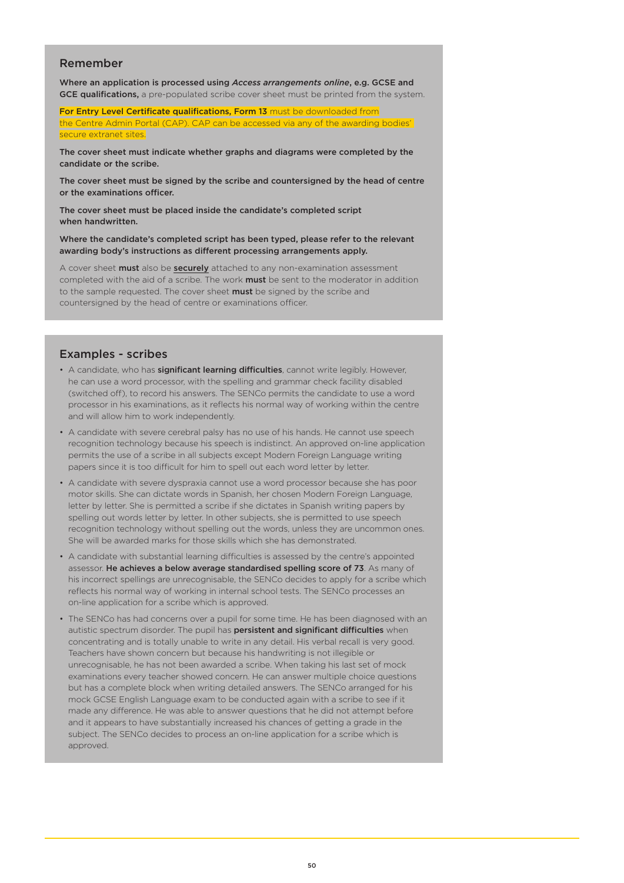### Remember

Where an application is processed using *Access arrangements online*, e.g. GCSE and GCE qualifications, a pre-populated scribe cover sheet must be printed from the system.

For Entry Level Certificate qualifications, Form 13 must be downloaded from the Centre Admin Portal (CAP). CAP can be accessed via any of the awarding bodies' secure extranet sites.

The cover sheet must indicate whether graphs and diagrams were completed by the candidate or the scribe.

The cover sheet must be signed by the scribe and countersigned by the head of centre or the examinations officer.

The cover sheet must be placed inside the candidate's completed script when handwritten.

Where the candidate's completed script has been typed, please refer to the relevant awarding body's instructions as different processing arrangements apply.

A cover sheet must also be securely attached to any non-examination assessment completed with the aid of a scribe. The work **must** be sent to the moderator in addition to the sample requested. The cover sheet must be signed by the scribe and countersigned by the head of centre or examinations officer.

### Examples - scribes

- A candidate, who has significant learning difficulties, cannot write legibly. However, he can use a word processor, with the spelling and grammar check facility disabled (switched off), to record his answers. The SENCo permits the candidate to use a word processor in his examinations, as it reflects his normal way of working within the centre and will allow him to work independently.
- A candidate with severe cerebral palsy has no use of his hands. He cannot use speech recognition technology because his speech is indistinct. An approved on-line application permits the use of a scribe in all subjects except Modern Foreign Language writing papers since it is too difficult for him to spell out each word letter by letter.
- A candidate with severe dyspraxia cannot use a word processor because she has poor motor skills. She can dictate words in Spanish, her chosen Modern Foreign Language, letter by letter. She is permitted a scribe if she dictates in Spanish writing papers by spelling out words letter by letter. In other subjects, she is permitted to use speech recognition technology without spelling out the words, unless they are uncommon ones. She will be awarded marks for those skills which she has demonstrated.
- A candidate with substantial learning difficulties is assessed by the centre's appointed assessor. He achieves a below average standardised spelling score of 73. As many of his incorrect spellings are unrecognisable, the SENCo decides to apply for a scribe which reflects his normal way of working in internal school tests. The SENCo processes an on-line application for a scribe which is approved.
- The SENCo has had concerns over a pupil for some time. He has been diagnosed with an autistic spectrum disorder. The pupil has **persistent and significant difficulties** when concentrating and is totally unable to write in any detail. His verbal recall is very good. Teachers have shown concern but because his handwriting is not illegible or unrecognisable, he has not been awarded a scribe. When taking his last set of mock examinations every teacher showed concern. He can answer multiple choice questions but has a complete block when writing detailed answers. The SENCo arranged for his mock GCSE English Language exam to be conducted again with a scribe to see if it made any difference. He was able to answer questions that he did not attempt before and it appears to have substantially increased his chances of getting a grade in the subject. The SENCo decides to process an on-line application for a scribe which is approved.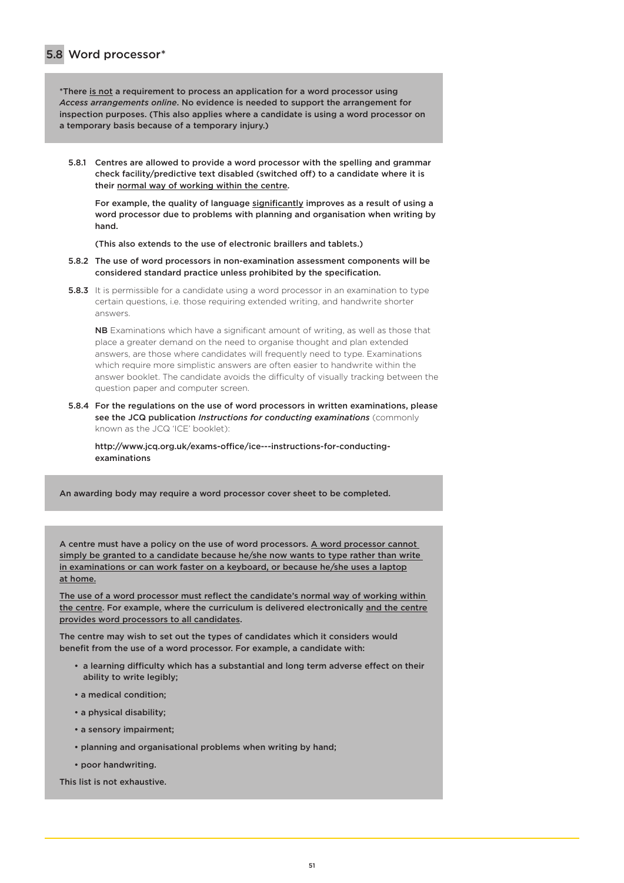\*There is not a requirement to process an application for a word processor using *Access arrangements online*. No evidence is needed to support the arrangement for inspection purposes. (This also applies where a candidate is using a word processor on a temporary basis because of a temporary injury.)

5.8.1 Centres are allowed to provide a word processor with the spelling and grammar check facility/predictive text disabled (switched off) to a candidate where it is their normal way of working within the centre.

For example, the quality of language significantly improves as a result of using a word processor due to problems with planning and organisation when writing by hand.

(This also extends to the use of electronic braillers and tablets.)

- 5.8.2 The use of word processors in non-examination assessment components will be considered standard practice unless prohibited by the specification.
- **5.8.3** It is permissible for a candidate using a word processor in an examination to type certain questions, i.e. those requiring extended writing, and handwrite shorter answers.

NB Examinations which have a significant amount of writing, as well as those that place a greater demand on the need to organise thought and plan extended answers, are those where candidates will frequently need to type. Examinations which require more simplistic answers are often easier to handwrite within the answer booklet. The candidate avoids the difficulty of visually tracking between the question paper and computer screen.

5.8.4 For the regulations on the use of word processors in written examinations, please see the JCQ publication *Instructions for conducting examinations* (commonly known as the JCQ 'ICE' booklet):

[http://www.jcq.org.uk/exams-office/ice---instructions-for-conducting](https://www.jcq.org.uk/exams-office/ice---instructions-for-conducting-examinations)[examinations](https://www.jcq.org.uk/exams-office/ice---instructions-for-conducting-examinations)

An awarding body may require a word processor cover sheet to be completed.

A centre must have a policy on the use of word processors. A word processor cannot simply be granted to a candidate because he/she now wants to type rather than write in examinations or can work faster on a keyboard, or because he/she uses a laptop at home.

The use of a word processor must reflect the candidate's normal way of working within the centre. For example, where the curriculum is delivered electronically and the centre provides word processors to all candidates.

The centre may wish to set out the types of candidates which it considers would benefit from the use of a word processor. For example, a candidate with:

- a learning difficulty which has a substantial and long term adverse effect on their ability to write legibly;
- a medical condition;
- a physical disability;
- a sensory impairment;
- planning and organisational problems when writing by hand;
- poor handwriting.

This list is not exhaustive.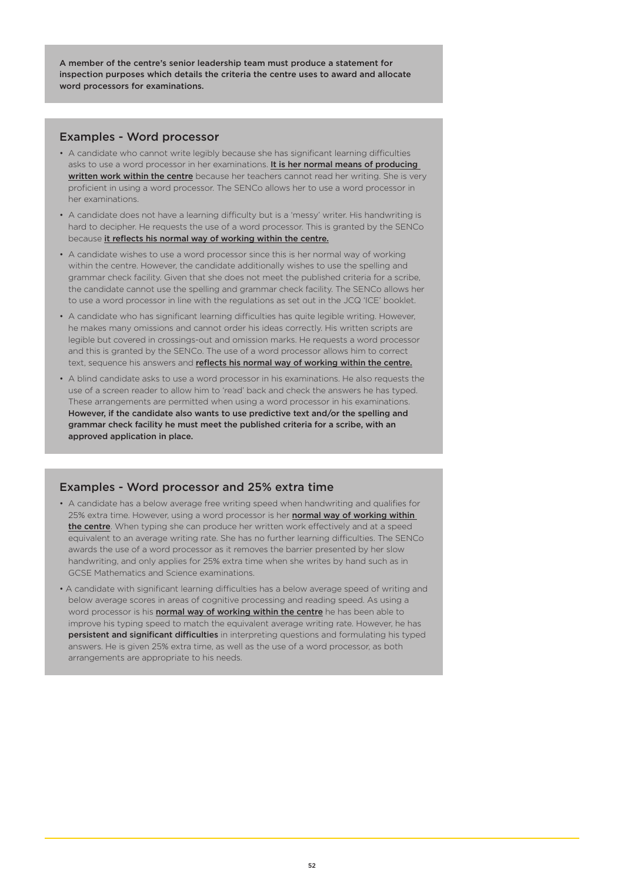A member of the centre's senior leadership team must produce a statement for inspection purposes which details the criteria the centre uses to award and allocate word processors for examinations.

### Examples - Word processor

- A candidate who cannot write legibly because she has significant learning difficulties asks to use a word processor in her examinations. It is her normal means of producing written work within the centre because her teachers cannot read her writing. She is very proficient in using a word processor. The SENCo allows her to use a word processor in her examinations.
- A candidate does not have a learning difficulty but is a 'messy' writer. His handwriting is hard to decipher. He requests the use of a word processor. This is granted by the SENCo because it reflects his normal way of working within the centre.
- A candidate wishes to use a word processor since this is her normal way of working within the centre. However, the candidate additionally wishes to use the spelling and grammar check facility. Given that she does not meet the published criteria for a scribe, the candidate cannot use the spelling and grammar check facility. The SENCo allows her to use a word processor in line with the regulations as set out in the JCQ 'ICE' booklet.
- A candidate who has significant learning difficulties has quite legible writing. However, he makes many omissions and cannot order his ideas correctly. His written scripts are legible but covered in crossings-out and omission marks. He requests a word processor and this is granted by the SENCo. The use of a word processor allows him to correct text, sequence his answers and reflects his normal way of working within the centre.
- A blind candidate asks to use a word processor in his examinations. He also requests the use of a screen reader to allow him to 'read' back and check the answers he has typed. These arrangements are permitted when using a word processor in his examinations. However, if the candidate also wants to use predictive text and/or the spelling and grammar check facility he must meet the published criteria for a scribe, with an approved application in place.

## Examples - Word processor and 25% extra time

- A candidate has a below average free writing speed when handwriting and qualifies for 25% extra time. However, using a word processor is her **normal way of working within** the centre. When typing she can produce her written work effectively and at a speed equivalent to an average writing rate. She has no further learning difficulties. The SENCo awards the use of a word processor as it removes the barrier presented by her slow handwriting, and only applies for 25% extra time when she writes by hand such as in GCSE Mathematics and Science examinations.
- A candidate with significant learning difficulties has a below average speed of writing and below average scores in areas of cognitive processing and reading speed. As using a word processor is his *normal way of working within the centre* he has been able to improve his typing speed to match the equivalent average writing rate. However, he has persistent and significant difficulties in interpreting questions and formulating his typed answers. He is given 25% extra time, as well as the use of a word processor, as both arrangements are appropriate to his needs.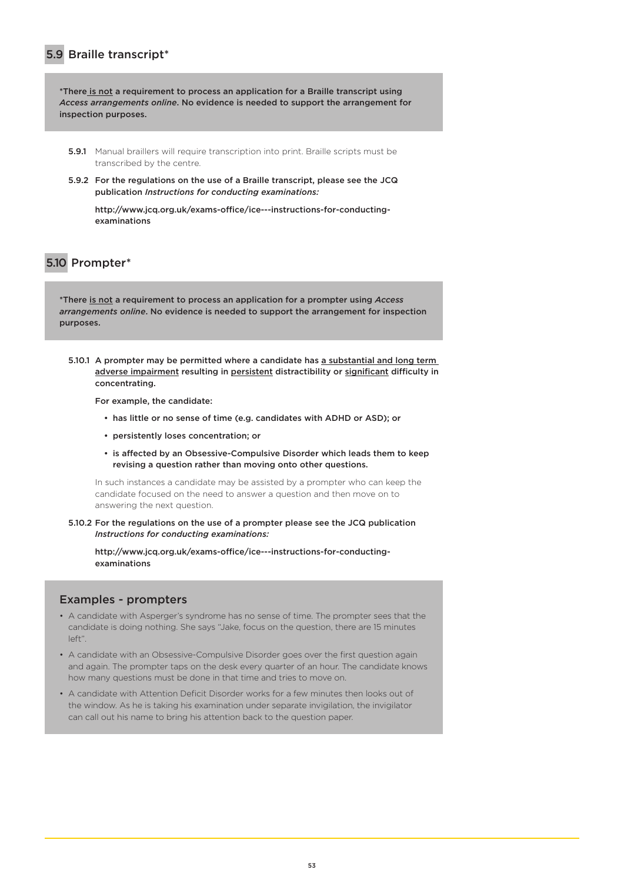# 5.9 Braille transcript\*

\*There is not a requirement to process an application for a Braille transcript using *Access arrangements online*. No evidence is needed to support the arrangement for inspection purposes.

- **5.9.1** Manual braillers will require transcription into print. Braille scripts must be transcribed by the centre.
- 5.9.2 For the regulations on the use of a Braille transcript, please see the JCQ publication *Instructions for conducting examinations:*

[http://www.jcq.org.uk/exams-office/ice---instructions-for-conducting](http://www.jcq.org.uk/exams-office/ice---instructions-for-conducting-examinations)[examinations](http://www.jcq.org.uk/exams-office/ice---instructions-for-conducting-examinations)

# 5.10 Prompter\*

\*There is not a requirement to process an application for a prompter using *Access arrangements online*. No evidence is needed to support the arrangement for inspection purposes.

5.10.1 A prompter may be permitted where a candidate has a substantial and long term adverse impairment resulting in persistent distractibility or significant difficulty in concentrating.

For example, the candidate:

- has little or no sense of time (e.g. candidates with ADHD or ASD); or
- persistently loses concentration; or
- is affected by an Obsessive-Compulsive Disorder which leads them to keep revising a question rather than moving onto other questions.

In such instances a candidate may be assisted by a prompter who can keep the candidate focused on the need to answer a question and then move on to answering the next question.

5.10.2 For the regulations on the use of a prompter please see the JCQ publication *Instructions for conducting examinations:*

[http://www.jcq.org.uk/exams-office/ice---instructions-for-conducting](https://www.jcq.org.uk/exams-office/ice---instructions-for-conducting-examinations)[examinations](https://www.jcq.org.uk/exams-office/ice---instructions-for-conducting-examinations)

### Examples - prompters

- A candidate with Asperger's syndrome has no sense of time. The prompter sees that the candidate is doing nothing. She says "Jake, focus on the question, there are 15 minutes left".
- A candidate with an Obsessive-Compulsive Disorder goes over the first question again and again. The prompter taps on the desk every quarter of an hour. The candidate knows how many questions must be done in that time and tries to move on.
- A candidate with Attention Deficit Disorder works for a few minutes then looks out of the window. As he is taking his examination under separate invigilation, the invigilator can call out his name to bring his attention back to the question paper.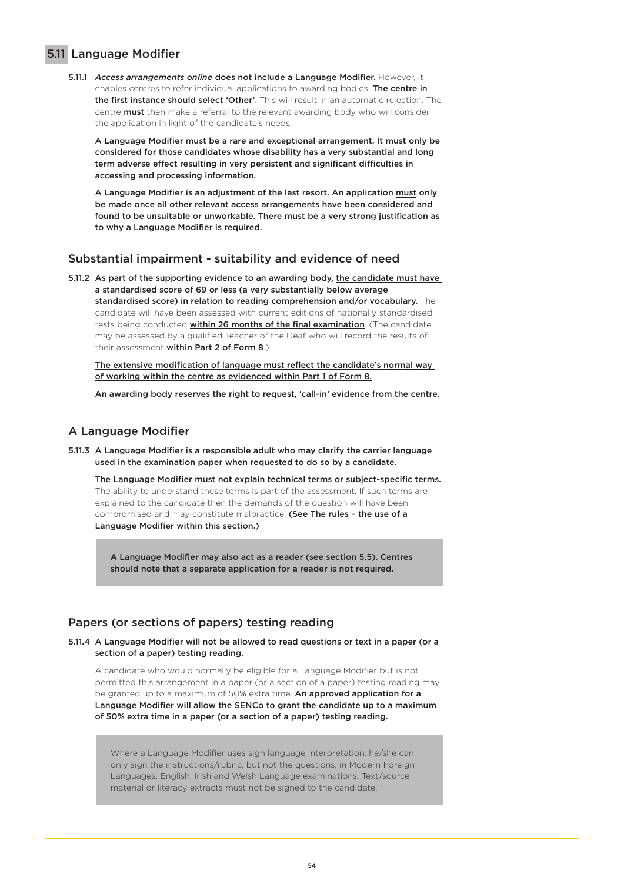## 5.11 Language Modifier

5.11.1 *Access arrangements online* does not include a Language Modifier. However, it enables centres to refer individual applications to awarding bodies. The centre in the first instance should select 'Other'. This will result in an automatic rejection. The centre **must** then make a referral to the relevant awarding body who will consider the application in light of the candidate's needs.

A Language Modifier must be a rare and exceptional arrangement. It must only be considered for those candidates whose disability has a very substantial and long term adverse effect resulting in very persistent and significant difficulties in accessing and processing information.

A Language Modifier is an adjustment of the last resort. An application must only be made once all other relevant access arrangements have been considered and found to be unsuitable or unworkable. There must be a very strong justification as to why a Language Modifier is required.

### Substantial impairment - suitability and evidence of need

5.11.2 As part of the supporting evidence to an awarding body, the candidate must have a standardised score of 69 or less (a very substantially below average standardised score) in relation to reading comprehension and/or vocabulary. The candidate will have been assessed with current editions of nationally standardised tests being conducted within 26 months of the final examination. (The candidate may be assessed by a qualified Teacher of the Deaf who will record the results of their assessment within Part 2 of Form 8.)

The extensive modification of language must reflect the candidate's normal way of working within the centre as evidenced within Part 1 of Form 8.

An awarding body reserves the right to request, 'call-in' evidence from the centre.

## A Language Modifier

5.11.3 A Language Modifier is a responsible adult who may clarify the carrier language used in the examination paper when requested to do so by a candidate.

The Language Modifier must not explain technical terms or subject-specific terms. The ability to understand these terms is part of the assessment. If such terms are explained to the candidate then the demands of the question will have been compromised and may constitute malpractice. (See The rules - the use of a Language Modifier within this section.)

A Language Modifier may also act as a reader (see section 5.5). Centres should note that a separate application for a reader is not required.

## Papers (or sections of papers) testing reading

5.11.4 A Language Modifier will not be allowed to read questions or text in a paper (or a section of a paper) testing reading.

A candidate who would normally be eligible for a Language Modifier but is not permitted this arrangement in a paper (or a section of a paper) testing reading may be granted up to a maximum of 50% extra time. An approved application for a Language Modifier will allow the SENCo to grant the candidate up to a maximum of 50% extra time in a paper (or a section of a paper) testing reading.

Where a Language Modifier uses sign language interpretation, he/she can only sign the instructions/rubric, but not the questions, in Modern Foreign Languages, English, Irish and Welsh Language examinations. Text/source material or literacy extracts must not be signed to the candidate.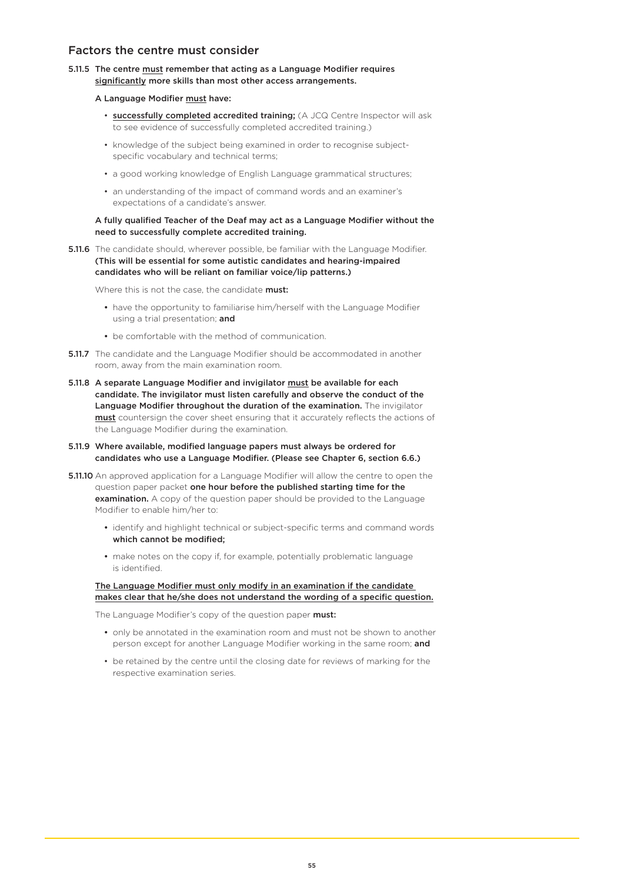### Factors the centre must consider

5.11.5 The centre must remember that acting as a Language Modifier requires significantly more skills than most other access arrangements.

#### A Language Modifier must have:

- successfully completed accredited training; (A JCQ Centre Inspector will ask to see evidence of successfully completed accredited training.)
- knowledge of the subject being examined in order to recognise subject specific vocabulary and technical terms;
- a good working knowledge of English Language grammatical structures;
- an understanding of the impact of command words and an examiner's expectations of a candidate's answer.

#### A fully qualified Teacher of the Deaf may act as a Language Modifier without the need to successfully complete accredited training.

**5.11.6** The candidate should, wherever possible, be familiar with the Language Modifier. (This will be essential for some autistic candidates and hearing-impaired candidates who will be reliant on familiar voice/lip patterns.)

Where this is not the case, the candidate must:

- have the opportunity to familiarise him/herself with the Language Modifier using a trial presentation; and
- be comfortable with the method of communication.
- **5.11.7** The candidate and the Language Modifier should be accommodated in another room, away from the main examination room.
- 5.11.8 A separate Language Modifier and invigilator must be available for each candidate. The invigilator must listen carefully and observe the conduct of the Language Modifier throughout the duration of the examination. The invigilator must countersign the cover sheet ensuring that it accurately reflects the actions of the Language Modifier during the examination.
- 5.11.9 Where available, modified language papers must always be ordered for candidates who use a Language Modifier. (Please see Chapter 6, section 6.6.)
- **5.11.10** An approved application for a Language Modifier will allow the centre to open the question paper packet one hour before the published starting time for the examination. A copy of the question paper should be provided to the Language Modifier to enable him/her to:
	- identify and highlight technical or subject-specific terms and command words which cannot be modified;
	- make notes on the copy if, for example, potentially problematic language is identified.

#### The Language Modifier must only modify in an examination if the candidate makes clear that he/she does not understand the wording of a specific question.

The Language Modifier's copy of the question paper must:

- only be annotated in the examination room and must not be shown to another person except for another Language Modifier working in the same room; and
- be retained by the centre until the closing date for reviews of marking for the respective examination series.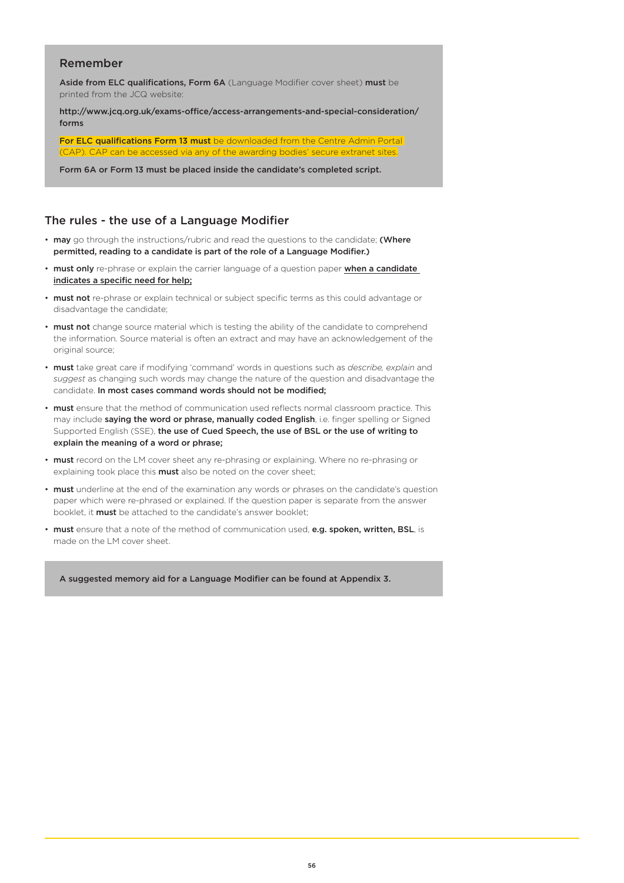## Remember

Aside from ELC qualifications, Form 6A (Language Modifier cover sheet) must be printed from the JCQ website:

http://www.jcq.org.uk/exams-office/access-arrangements-and-special-consideration/ forms

For ELC qualifications Form 13 must be downloaded from the Centre Admin Portal <sup>2</sup> can be accessed via any of the awarding bodies' secure extranet sites.

Form 6A or Form 13 must be placed inside the candidate's completed script.

### The rules - the use of a Language Modifier

- may go through the instructions/rubric and read the questions to the candidate; (Where permitted, reading to a candidate is part of the role of a Language Modifier.)
- must only re-phrase or explain the carrier language of a question paper when a candidate indicates a specific need for help;
- must not re-phrase or explain technical or subject specific terms as this could advantage or disadvantage the candidate;
- must not change source material which is testing the ability of the candidate to comprehend the information. Source material is often an extract and may have an acknowledgement of the original source;
- must take great care if modifying 'command' words in questions such as *describe, explain* and *suggest* as changing such words may change the nature of the question and disadvantage the candidate. In most cases command words should not be modified;
- must ensure that the method of communication used reflects normal classroom practice. This may include saying the word or phrase, manually coded English, i.e. finger spelling or Signed Supported English (SSE), the use of Cued Speech, the use of BSL or the use of writing to explain the meaning of a word or phrase;
- must record on the LM cover sheet any re-phrasing or explaining. Where no re-phrasing or explaining took place this **must** also be noted on the cover sheet;
- must underline at the end of the examination any words or phrases on the candidate's question paper which were re-phrased or explained. If the question paper is separate from the answer booklet, it **must** be attached to the candidate's answer booklet:
- must ensure that a note of the method of communication used, e.g. spoken, written, BSL, is made on the LM cover sheet.

A suggested memory aid for a Language Modifier can be found at Appendix 3.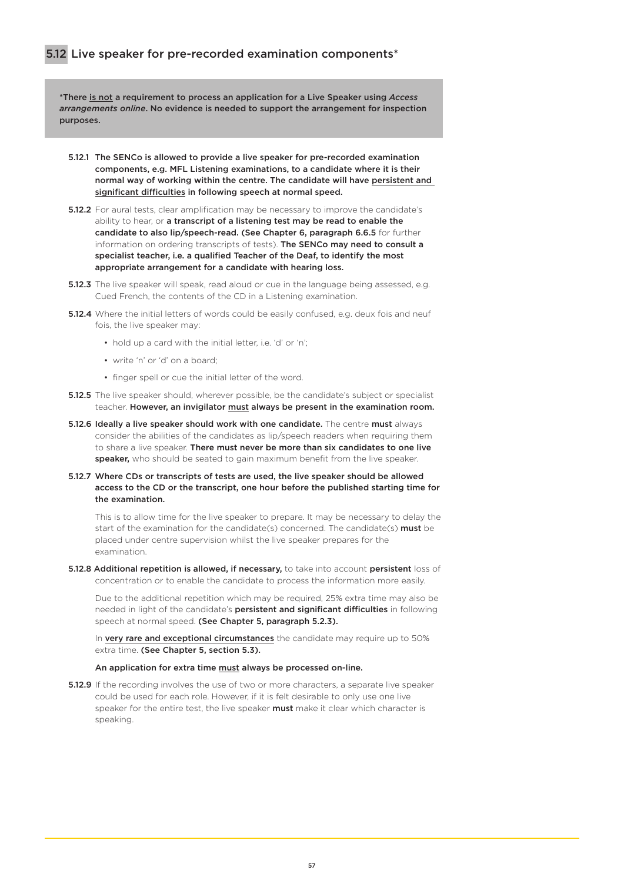\*There is not a requirement to process an application for a Live Speaker using *Access arrangements online*. No evidence is needed to support the arrangement for inspection purposes.

- 5.12.1 The SENCo is allowed to provide a live speaker for pre-recorded examination components, e.g. MFL Listening examinations, to a candidate where it is their normal way of working within the centre. The candidate will have persistent and significant difficulties in following speech at normal speed.
- **5.12.2** For aural tests, clear amplification may be necessary to improve the candidate's ability to hear, or a transcript of a listening test may be read to enable the candidate to also lip/speech-read. (See Chapter 6, paragraph 6.6.5 for further information on ordering transcripts of tests). The SENCo may need to consult a specialist teacher, i.e. a qualified Teacher of the Deaf, to identify the most appropriate arrangement for a candidate with hearing loss.
- **5.12.3** The live speaker will speak, read aloud or cue in the language being assessed, e.g. Cued French, the contents of the CD in a Listening examination.
- 5.12.4 Where the initial letters of words could be easily confused, e.g. deux fois and neuf fois, the live speaker may:
	- hold up a card with the initial letter, i.e. 'd' or 'n';
	- write 'n' or 'd' on a board;
	- finger spell or cue the initial letter of the word.
- **5.12.5** The live speaker should, wherever possible, be the candidate's subject or specialist teacher. However, an invigilator must always be present in the examination room.
- 5.12.6 Ideally a live speaker should work with one candidate. The centre must always consider the abilities of the candidates as lip/speech readers when requiring them to share a live speaker. There must never be more than six candidates to one live speaker, who should be seated to gain maximum benefit from the live speaker.
- 5.12.7 Where CDs or transcripts of tests are used, the live speaker should be allowed access to the CD or the transcript, one hour before the published starting time for the examination.

This is to allow time for the live speaker to prepare. It may be necessary to delay the start of the examination for the candidate(s) concerned. The candidate(s) must be placed under centre supervision whilst the live speaker prepares for the examination.

5.12.8 Additional repetition is allowed, if necessary, to take into account persistent loss of concentration or to enable the candidate to process the information more easily.

Due to the additional repetition which may be required, 25% extra time may also be needed in light of the candidate's persistent and significant difficulties in following speech at normal speed. (See Chapter 5, paragraph 5.2.3).

In very rare and exceptional circumstances the candidate may require up to 50% extra time. (See Chapter 5, section 5.3).

#### An application for extra time must always be processed on-line.

**5.12.9** If the recording involves the use of two or more characters, a separate live speaker could be used for each role. However, if it is felt desirable to only use one live speaker for the entire test, the live speaker must make it clear which character is speaking.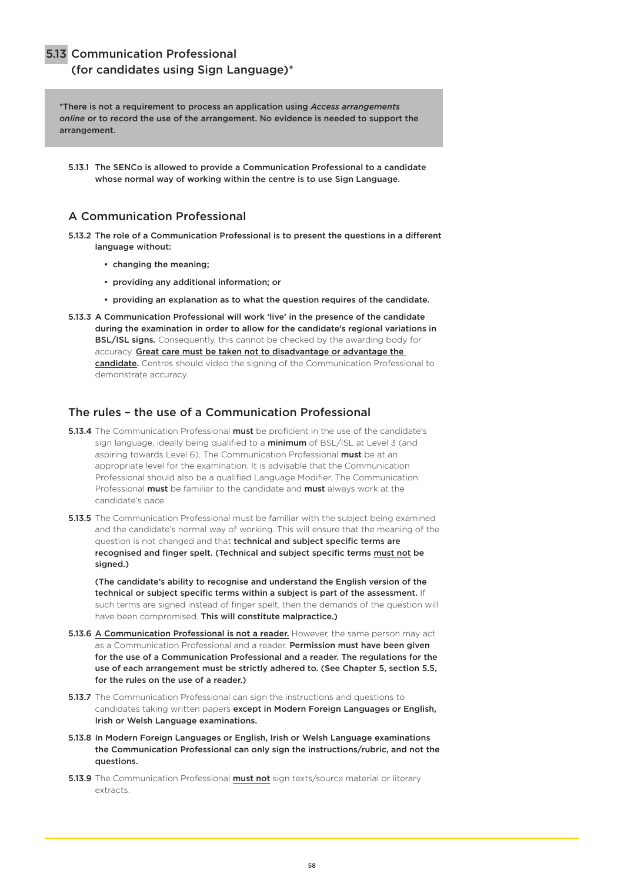### 5.13 Communication Professional

## (for candidates using Sign Language)\*

\*There is not a requirement to process an application using *Access arrangements online* or to record the use of the arrangement. No evidence is needed to support the arrangement.

5.13.1 The SENCo is allowed to provide a Communication Professional to a candidate whose normal way of working within the centre is to use Sign Language.

### A Communication Professional

- 5.13.2 The role of a Communication Professional is to present the questions in a different language without:
	- changing the meaning;
	- providing any additional information; or
	- providing an explanation as to what the question requires of the candidate.
- 5.13.3 A Communication Professional will work 'live' in the presence of the candidate during the examination in order to allow for the candidate's regional variations in BSL/ISL signs. Consequently, this cannot be checked by the awarding body for accuracy. Great care must be taken not to disadvantage or advantage the candidate. Centres should video the signing of the Communication Professional to demonstrate accuracy.

## The rules – the use of a Communication Professional

- **5.13.4** The Communication Professional **must** be proficient in the use of the candidate's sign language, ideally being qualified to a minimum of BSL/ISL at Level 3 (and aspiring towards Level 6). The Communication Professional must be at an appropriate level for the examination. It is advisable that the Communication Professional should also be a qualified Language Modifier. The Communication Professional **must** be familiar to the candidate and **must** always work at the candidate's pace.
- **5.13.5** The Communication Professional must be familiar with the subject being examined and the candidate's normal way of working. This will ensure that the meaning of the question is not changed and that technical and subject specific terms are recognised and finger spelt. (Technical and subject specific terms must not be signed.)

(The candidate's ability to recognise and understand the English version of the technical or subject specific terms within a subject is part of the assessment. If such terms are signed instead of finger spelt, then the demands of the question will have been compromised. This will constitute malpractice.)

- 5.13.6 A Communication Professional is not a reader. However, the same person may act as a Communication Professional and a reader. Permission must have been given for the use of a Communication Professional and a reader. The regulations for the use of each arrangement must be strictly adhered to. (See Chapter 5, section 5.5, for the rules on the use of a reader.)
- **5.13.7** The Communication Professional can sign the instructions and questions to candidates taking written papers except in Modern Foreign Languages or English, Irish or Welsh Language examinations.
- 5.13.8 In Modern Foreign Languages or English, Irish or Welsh Language examinations the Communication Professional can only sign the instructions/rubric, and not the questions.
- 5.13.9 The Communication Professional **must not** sign texts/source material or literary extracts.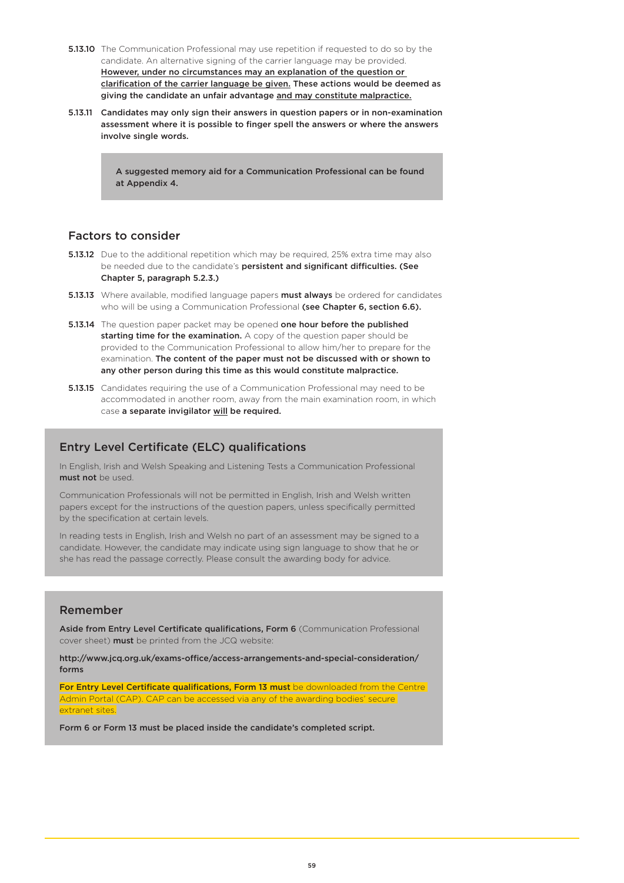- **5.13.10** The Communication Professional may use repetition if requested to do so by the candidate. An alternative signing of the carrier language may be provided. However, under no circumstances may an explanation of the question or clarification of the carrier language be given. These actions would be deemed as giving the candidate an unfair advantage and may constitute malpractice.
- 5.13.11 Candidates may only sign their answers in question papers or in non-examination assessment where it is possible to finger spell the answers or where the answers involve single words.

A suggested memory aid for a Communication Professional can be found at Appendix 4.

## Factors to consider

- **5.13.12** Due to the additional repetition which may be required, 25% extra time may also be needed due to the candidate's persistent and significant difficulties. (See Chapter 5, paragraph 5.2.3.)
- 5.13.13 Where available, modified language papers must always be ordered for candidates who will be using a Communication Professional (see Chapter 6, section 6.6).
- **5.13.14** The question paper packet may be opened one hour before the published starting time for the examination. A copy of the question paper should be provided to the Communication Professional to allow him/her to prepare for the examination. The content of the paper must not be discussed with or shown to any other person during this time as this would constitute malpractice.
- **5.13.15** Candidates requiring the use of a Communication Professional may need to be accommodated in another room, away from the main examination room, in which case a separate invigilator will be required.

# Entry Level Certificate (ELC) qualifications

In English, Irish and Welsh Speaking and Listening Tests a Communication Professional must not be used.

Communication Professionals will not be permitted in English, Irish and Welsh written papers except for the instructions of the question papers, unless specifically permitted by the specification at certain levels.

In reading tests in English, Irish and Welsh no part of an assessment may be signed to a candidate. However, the candidate may indicate using sign language to show that he or she has read the passage correctly. Please consult the awarding body for advice.

## Remember

Aside from Entry Level Certificate qualifications, Form 6 (Communication Professional cover sheet) must be printed from the JCQ website:

[http://www.jcq.org.uk/exams-office/access-arrangements-and-special-consideration/](http://www.jcq.org.uk/exams-office/access-arrangements-and-special-consideration/forms) [forms](http://www.jcq.org.uk/exams-office/access-arrangements-and-special-consideration/forms)

For Entry Level Certificate qualifications, Form 13 must be downloaded from the Centre Admin Portal (CAP). CAP can be accessed via any of the awarding bodies' secure extranet sites.

Form 6 or Form 13 must be placed inside the candidate's completed script.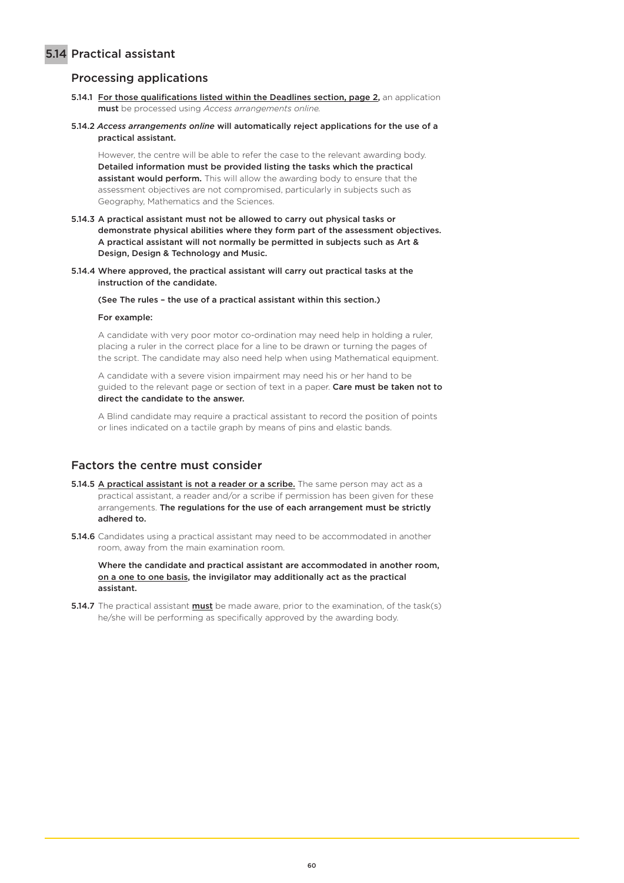# 5.14 Practical assistant

# Processing applications

- 5.14.1 For those qualifications listed within the Deadlines section, page 2, an application must be processed using *Access arrangements online.*
- 5.14.2 *Access arrangements online* will automatically reject applications for the use of a practical assistant.

However, the centre will be able to refer the case to the relevant awarding body. Detailed information must be provided listing the tasks which the practical assistant would perform. This will allow the awarding body to ensure that the assessment objectives are not compromised, particularly in subjects such as Geography, Mathematics and the Sciences.

- 5.14.3 A practical assistant must not be allowed to carry out physical tasks or demonstrate physical abilities where they form part of the assessment objectives. A practical assistant will not normally be permitted in subjects such as Art & Design, Design & Technology and Music.
- 5.14.4 Where approved, the practical assistant will carry out practical tasks at the instruction of the candidate.

(See The rules – the use of a practical assistant within this section.)

#### For example:

A candidate with very poor motor co-ordination may need help in holding a ruler, placing a ruler in the correct place for a line to be drawn or turning the pages of the script. The candidate may also need help when using Mathematical equipment.

A candidate with a severe vision impairment may need his or her hand to be guided to the relevant page or section of text in a paper. Care must be taken not to direct the candidate to the answer.

A Blind candidate may require a practical assistant to record the position of points or lines indicated on a tactile graph by means of pins and elastic bands.

## Factors the centre must consider

- 5.14.5 A practical assistant is not a reader or a scribe. The same person may act as a practical assistant, a reader and/or a scribe if permission has been given for these arrangements. The regulations for the use of each arrangement must be strictly adhered to.
- 5.14.6 Candidates using a practical assistant may need to be accommodated in another room, away from the main examination room.

Where the candidate and practical assistant are accommodated in another room, on a one to one basis, the invigilator may additionally act as the practical assistant.

5.14.7 The practical assistant must be made aware, prior to the examination, of the task(s) he/she will be performing as specifically approved by the awarding body.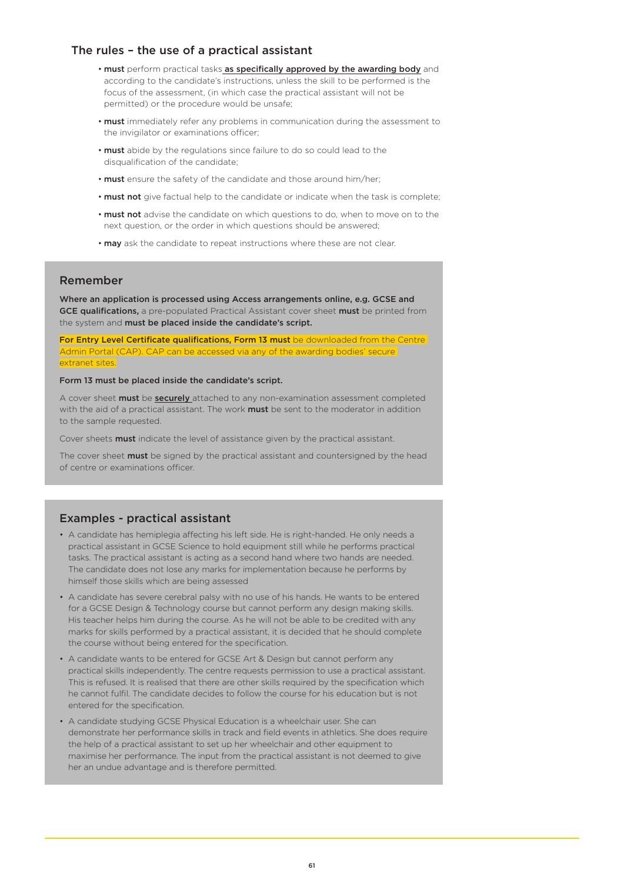### The rules – the use of a practical assistant

- must perform practical tasks as specifically approved by the awarding body and according to the candidate's instructions, unless the skill to be performed is the focus of the assessment, (in which case the practical assistant will not be permitted) or the procedure would be unsafe;
- must immediately refer any problems in communication during the assessment to the invigilator or examinations officer;
- must abide by the regulations since failure to do so could lead to the disqualification of the candidate;
- must ensure the safety of the candidate and those around him/her;
- must not give factual help to the candidate or indicate when the task is complete;
- must not advise the candidate on which questions to do, when to move on to the next question, or the order in which questions should be answered;
- may ask the candidate to repeat instructions where these are not clear.

### Remember

Where an application is processed using Access arrangements online, e.g. GCSE and GCE qualifications, a pre-populated Practical Assistant cover sheet must be printed from the system and must be placed inside the candidate's script.

For Entry Level Certificate qualifications, Form 13 must be downloaded from the Centre Admin Portal (CAP). CAP can be accessed via any of the awarding bodies' secure extranet sites.

#### Form 13 must be placed inside the candidate's script.

A cover sheet **must** be **securely** attached to any non-examination assessment completed with the aid of a practical assistant. The work **must** be sent to the moderator in addition to the sample requested.

Cover sheets **must** indicate the level of assistance given by the practical assistant.

The cover sheet **must** be signed by the practical assistant and countersigned by the head of centre or examinations officer.

### Examples - practical assistant

- A candidate has hemiplegia affecting his left side. He is right-handed. He only needs a practical assistant in GCSE Science to hold equipment still while he performs practical tasks. The practical assistant is acting as a second hand where two hands are needed. The candidate does not lose any marks for implementation because he performs by himself those skills which are being assessed
- A candidate has severe cerebral palsy with no use of his hands. He wants to be entered for a GCSE Design & Technology course but cannot perform any design making skills. His teacher helps him during the course. As he will not be able to be credited with any marks for skills performed by a practical assistant, it is decided that he should complete the course without being entered for the specification.
- A candidate wants to be entered for GCSE Art & Design but cannot perform any practical skills independently. The centre requests permission to use a practical assistant. This is refused. It is realised that there are other skills required by the specification which he cannot fulfil. The candidate decides to follow the course for his education but is not entered for the specification.
- A candidate studying GCSE Physical Education is a wheelchair user. She can demonstrate her performance skills in track and field events in athletics. She does require the help of a practical assistant to set up her wheelchair and other equipment to maximise her performance. The input from the practical assistant is not deemed to give her an undue advantage and is therefore permitted.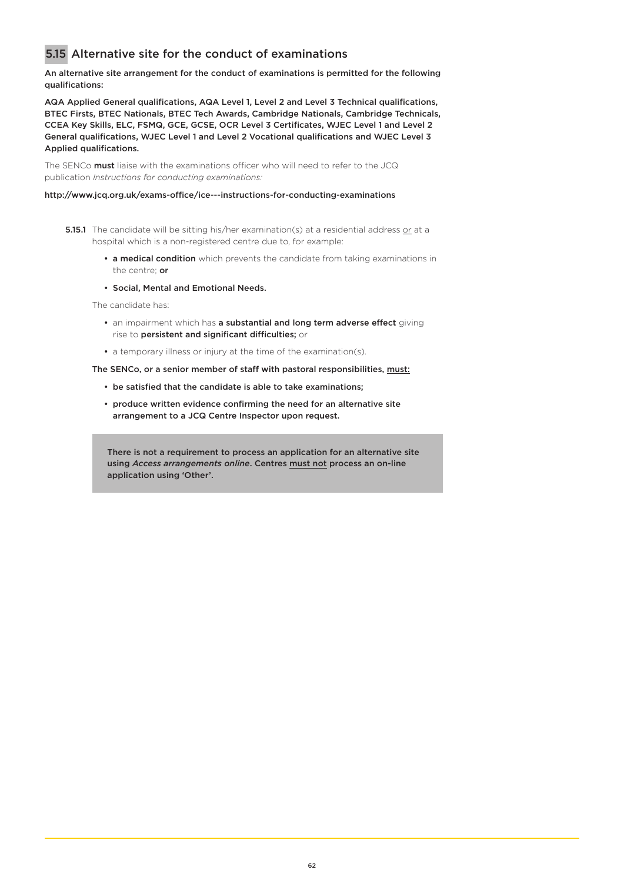# 5.15 Alternative site for the conduct of examinations

#### An alternative site arrangement for the conduct of examinations is permitted for the following qualifications:

AQA Applied General qualifications, AQA Level 1, Level 2 and Level 3 Technical qualifications, BTEC Firsts, BTEC Nationals, BTEC Tech Awards, Cambridge Nationals, Cambridge Technicals, CCEA Key Skills, ELC, FSMQ, GCE, GCSE, OCR Level 3 Certificates, WJEC Level 1 and Level 2 General qualifications, WJEC Level 1 and Level 2 Vocational qualifications and WJEC Level 3 Applied qualifications.

The SENCo **must** liaise with the examinations officer who will need to refer to the JCQ publication *Instructions for conducting examinations:*

#### <http://www.jcq.org.uk/exams-office/ice---instructions-for-conducting-examinations>

- **5.15.1** The candidate will be sitting his/her examination(s) at a residential address or at a hospital which is a non-registered centre due to, for example:
	- a medical condition which prevents the candidate from taking examinations in the centre; or
	- Social, Mental and Emotional Needs.

The candidate has:

- an impairment which has a substantial and long term adverse effect giving rise to persistent and significant difficulties; or
- a temporary illness or injury at the time of the examination(s).

The SENCo, or a senior member of staff with pastoral responsibilities, must:

- be satisfied that the candidate is able to take examinations;
- produce written evidence confirming the need for an alternative site arrangement to a JCQ Centre Inspector upon request.

There is not a requirement to process an application for an alternative site using *Access arrangements online*. Centres must not process an on-line application using 'Other'.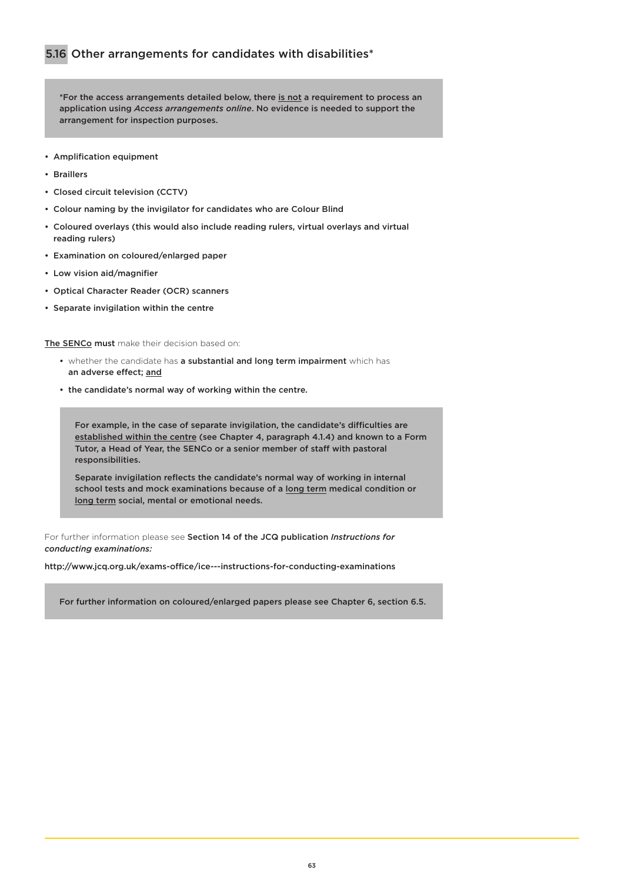\*For the access arrangements detailed below, there is not a requirement to process an application using *Access arrangements online*. No evidence is needed to support the arrangement for inspection purposes.

- Amplification equipment
- Braillers
- Closed circuit television (CCTV)
- Colour naming by the invigilator for candidates who are Colour Blind
- Coloured overlays (this would also include reading rulers, virtual overlays and virtual reading rulers)
- Examination on coloured/enlarged paper
- Low vision aid/magnifier
- Optical Character Reader (OCR) scanners
- Separate invigilation within the centre

The SENCo must make their decision based on:

- whether the candidate has a substantial and long term impairment which has an adverse effect; and
- the candidate's normal way of working within the centre.

For example, in the case of separate invigilation, the candidate's difficulties are established within the centre (see Chapter 4, paragraph 4.1.4) and known to a Form Tutor, a Head of Year, the SENCo or a senior member of staff with pastoral responsibilities.

Separate invigilation reflects the candidate's normal way of working in internal school tests and mock examinations because of a long term medical condition or long term social, mental or emotional needs.

For further information please see Section 14 of the JCQ publication *Instructions for conducting examinations:*

<http://www.jcq.org.uk/exams-office/ice---instructions-for-conducting-examinations>

For further information on coloured/enlarged papers please see Chapter 6, section 6.5.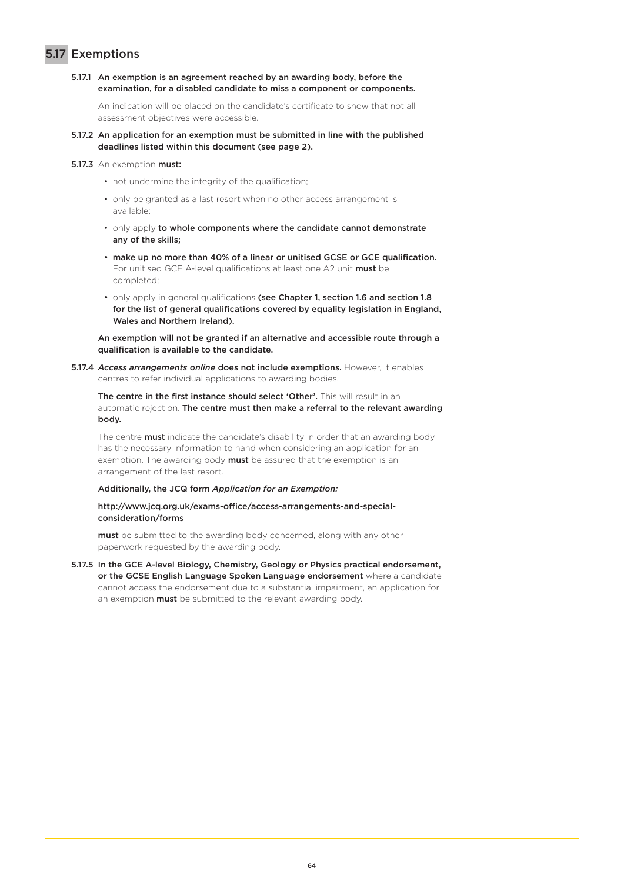# 5.17 Exemptions

5.17.1 An exemption is an agreement reached by an awarding body, before the examination, for a disabled candidate to miss a component or components.

An indication will be placed on the candidate's certificate to show that not all assessment objectives were accessible.

- 5.17.2 An application for an exemption must be submitted in line with the published deadlines listed within this document (see page 2).
- 5.17.3 An exemption must:
	- not undermine the integrity of the qualification;
	- only be granted as a last resort when no other access arrangement is available;
	- only apply to whole components where the candidate cannot demonstrate any of the skills;
	- make up no more than 40% of a linear or unitised GCSE or GCE qualification. For unitised GCE A-level qualifications at least one A2 unit must be completed;
	- only apply in general qualifications (see Chapter 1, section 1.6 and section 1.8 for the list of general qualifications covered by equality legislation in England, Wales and Northern Ireland).

An exemption will not be granted if an alternative and accessible route through a qualification is available to the candidate.

5.17.4 *Access arrangements online* does not include exemptions. However, it enables centres to refer individual applications to awarding bodies.

The centre in the first instance should select 'Other'. This will result in an automatic rejection. The centre must then make a referral to the relevant awarding body.

The centre **must** indicate the candidate's disability in order that an awarding body has the necessary information to hand when considering an application for an exemption. The awarding body **must** be assured that the exemption is an arrangement of the last resort.

#### Additionally, the JCQ form *Application for an Exemption:*

#### [http://www.jcq.org.uk/exams-office/access-arrangements-and-special](http://www.jcq.org.uk/exams-office/access-arrangements-and-special-consideration/forms)[consideration/forms](http://www.jcq.org.uk/exams-office/access-arrangements-and-special-consideration/forms)

must be submitted to the awarding body concerned, along with any other paperwork requested by the awarding body.

5.17.5 In the GCE A-level Biology, Chemistry, Geology or Physics practical endorsement, or the GCSE English Language Spoken Language endorsement where a candidate cannot access the endorsement due to a substantial impairment, an application for an exemption **must** be submitted to the relevant awarding body.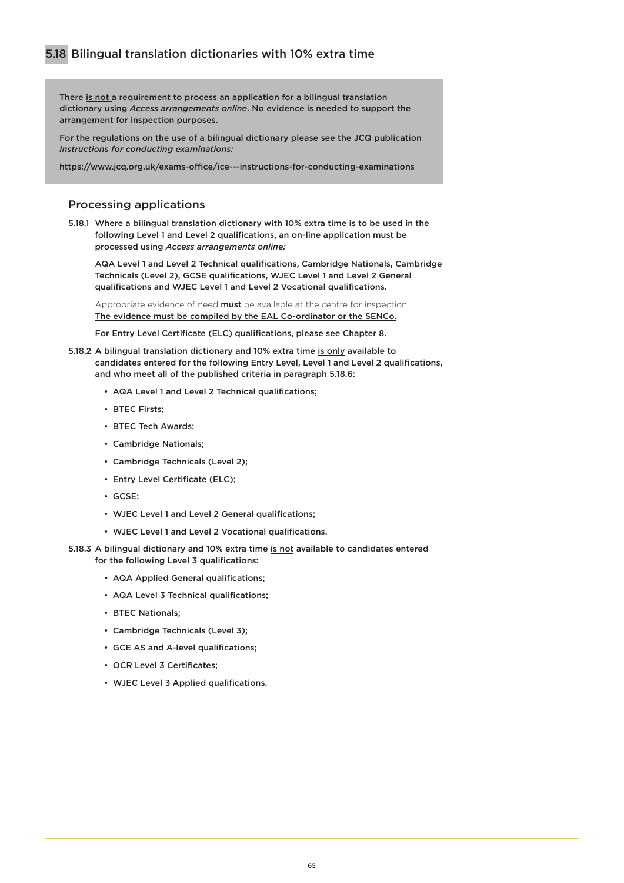There is not a requirement to process an application for a bilingual translation dictionary using *Access arrangements online*. No evidence is needed to support the arrangement for inspection purposes.

For the regulations on the use of a bilingual dictionary please see the JCQ publication *Instructions for conducting examinations:* 

<https://www.jcq.org.uk/exams-office/ice---instructions-for-conducting-examinations>

### Processing applications

5.18.1 Where a bilingual translation dictionary with 10% extra time is to be used in the following Level 1 and Level 2 qualifications, an on-line application must be processed using *Access arrangements online:*

AQA Level 1 and Level 2 Technical qualifications, Cambridge Nationals, Cambridge Technicals (Level 2), GCSE qualifications, WJEC Level 1 and Level 2 General qualifications and WJEC Level 1 and Level 2 Vocational qualifications.

Appropriate evidence of need must be available at the centre for inspection. The evidence must be compiled by the EAL Co-ordinator or the SENCo.

For Entry Level Certificate (ELC) qualifications, please see Chapter 8.

- 5.18.2 A bilingual translation dictionary and 10% extra time is only available to candidates entered for the following Entry Level, Level 1 and Level 2 qualifications, and who meet all of the published criteria in paragraph 5.18.6:
	- AQA Level 1 and Level 2 Technical qualifications;
	- BTEC Firsts;
	- BTEC Tech Awards;
	- Cambridge Nationals;
	- Cambridge Technicals (Level 2);
	- Entry Level Certificate (ELC);
	- GCSE;
	- WJEC Level 1 and Level 2 General qualifications;
	- WJEC Level 1 and Level 2 Vocational qualifications.
- 5.18.3 A bilingual dictionary and 10% extra time is not available to candidates entered for the following Level 3 qualifications:
	- AQA Applied General qualifications;
	- AQA Level 3 Technical qualifications:
	- BTEC Nationals;
	- Cambridge Technicals (Level 3);
	- GCE AS and A-level qualifications;
	- OCR Level 3 Certificates;
	- WJEC Level 3 Applied qualifications.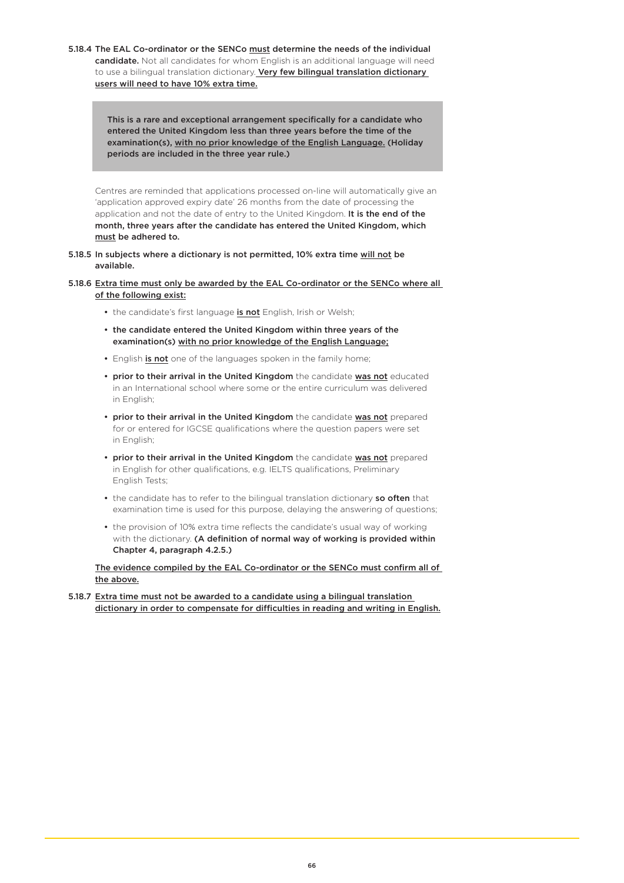5.18.4 The EAL Co-ordinator or the SENCo must determine the needs of the individual candidate. Not all candidates for whom English is an additional language will need to use a bilingual translation dictionary. Very few bilingual translation dictionary users will need to have 10% extra time.

> This is a rare and exceptional arrangement specifically for a candidate who entered the United Kingdom less than three years before the time of the examination(s), with no prior knowledge of the English Language. (Holiday periods are included in the three year rule.)

Centres are reminded that applications processed on-line will automatically give an 'application approved expiry date' 26 months from the date of processing the application and not the date of entry to the United Kingdom. It is the end of the month, three years after the candidate has entered the United Kingdom, which must be adhered to.

5.18.5 In subjects where a dictionary is not permitted, 10% extra time will not be available.

5.18.6 Extra time must only be awarded by the EAL Co-ordinator or the SENCo where all of the following exist:

- the candidate's first language is not English, Irish or Welsh;
- the candidate entered the United Kingdom within three years of the examination(s) with no prior knowledge of the English Language;
- English is not one of the languages spoken in the family home;
- prior to their arrival in the United Kingdom the candidate was not educated in an International school where some or the entire curriculum was delivered in English;
- prior to their arrival in the United Kingdom the candidate was not prepared for or entered for IGCSE qualifications where the question papers were set in English;
- prior to their arrival in the United Kingdom the candidate was not prepared in English for other qualifications, e.g. IELTS qualifications, Preliminary English Tests;
- the candidate has to refer to the bilingual translation dictionary so often that examination time is used for this purpose, delaying the answering of questions;
- the provision of 10% extra time reflects the candidate's usual way of working with the dictionary. (A definition of normal way of working is provided within Chapter 4, paragraph 4.2.5.)

The evidence compiled by the EAL Co-ordinator or the SENCo must confirm all of the above.

5.18.7 Extra time must not be awarded to a candidate using a bilingual translation dictionary in order to compensate for difficulties in reading and writing in English.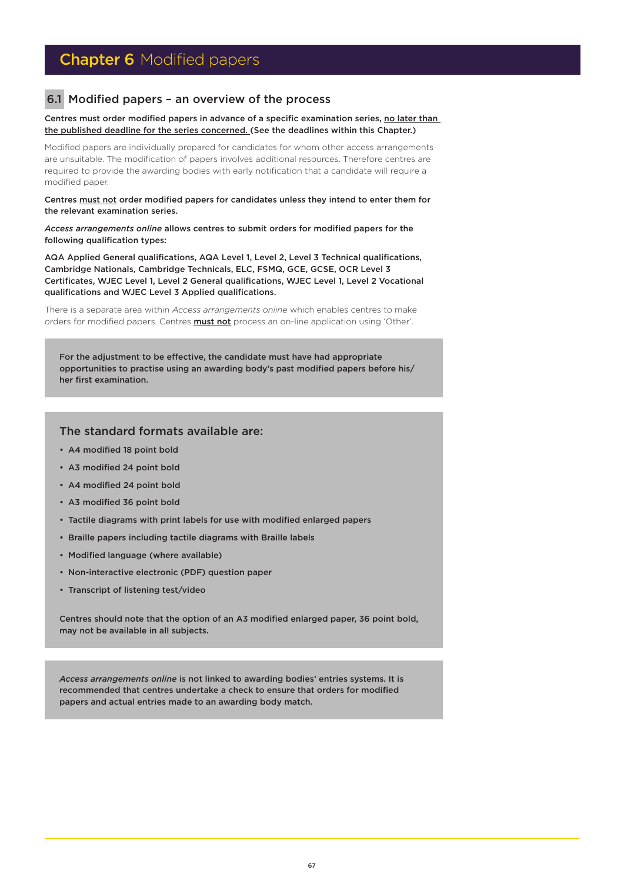# **Chapter 6 Modified papers**

### 6.1 Modified papers – an overview of the process

#### Centres must order modified papers in advance of a specific examination series, no later than the published deadline for the series concerned. (See the deadlines within this Chapter.)

Modified papers are individually prepared for candidates for whom other access arrangements are unsuitable. The modification of papers involves additional resources. Therefore centres are required to provide the awarding bodies with early notification that a candidate will require a modified paper.

Centres must not order modified papers for candidates unless they intend to enter them for the relevant examination series.

*Access arrangements online* allows centres to submit orders for modified papers for the following qualification types:

AQA Applied General qualifications, AQA Level 1, Level 2, Level 3 Technical qualifications, Cambridge Nationals, Cambridge Technicals, ELC, FSMQ, GCE, GCSE, OCR Level 3 Certificates, WJEC Level 1, Level 2 General qualifications, WJEC Level 1, Level 2 Vocational qualifications and WJEC Level 3 Applied qualifications.

There is a separate area within *Access arrangements online* which enables centres to make orders for modified papers. Centres **must not** process an on-line application using 'Other'.

For the adjustment to be effective, the candidate must have had appropriate opportunities to practise using an awarding body's past modified papers before his/ her first examination.

### The standard formats available are:

- A4 modified 18 point bold
- A3 modified 24 point bold
- A4 modified 24 point bold
- A3 modified 36 point bold
- Tactile diagrams with print labels for use with modified enlarged papers
- Braille papers including tactile diagrams with Braille labels
- Modified language (where available)
- Non-interactive electronic (PDF) question paper
- Transcript of listening test/video

Centres should note that the option of an A3 modified enlarged paper, 36 point bold, may not be available in all subjects.

*Access arrangements online* is not linked to awarding bodies' entries systems. It is recommended that centres undertake a check to ensure that orders for modified papers and actual entries made to an awarding body match.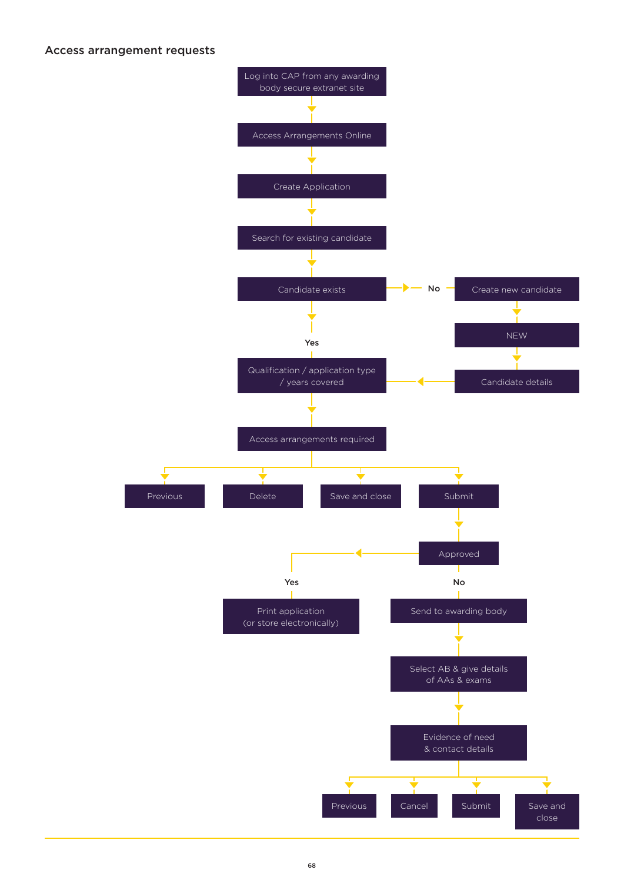### Access arrangement requests

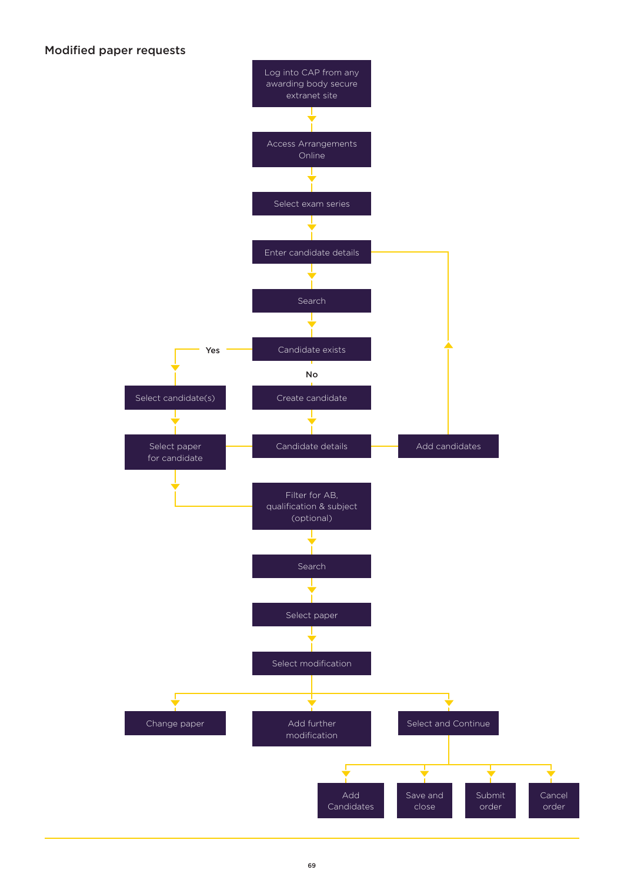## Modified paper requests

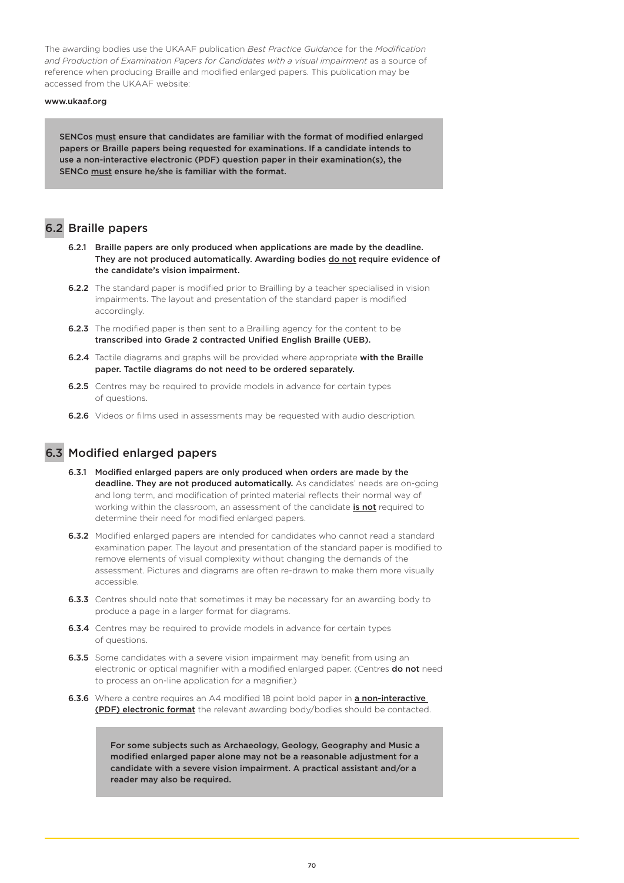The awarding bodies use the UKAAF publication *Best Practice Guidance* for the *Modification and Production of Examination Papers for Candidates with a visual impairment* as a source of reference when producing Braille and modified enlarged papers. This publication may be accessed from the UKAAF website:

#### [www.ukaaf.org](https://www.ukaaf.org/)

SENCos must ensure that candidates are familiar with the format of modified enlarged papers or Braille papers being requested for examinations. If a candidate intends to use a non-interactive electronic (PDF) question paper in their examination(s), the SENCo must ensure he/she is familiar with the format.

## 6.2 Braille papers

- 6.2.1 Braille papers are only produced when applications are made by the deadline. They are not produced automatically. Awarding bodies do not require evidence of the candidate's vision impairment.
- 6.2.2 The standard paper is modified prior to Brailling by a teacher specialised in vision impairments. The layout and presentation of the standard paper is modified accordingly.
- **6.2.3** The modified paper is then sent to a Brailling agency for the content to be transcribed into Grade 2 contracted Unified English Braille (UEB).
- 6.2.4 Tactile diagrams and graphs will be provided where appropriate with the Braille paper. Tactile diagrams do not need to be ordered separately.
- **6.2.5** Centres may be required to provide models in advance for certain types of questions.
- **6.2.6** Videos or films used in assessments may be requested with audio description.



## 6.3 Modified enlarged papers

- 6.3.1 Modified enlarged papers are only produced when orders are made by the deadline. They are not produced automatically. As candidates' needs are on-going and long term, and modification of printed material reflects their normal way of working within the classroom, an assessment of the candidate is not required to determine their need for modified enlarged papers.
- **6.3.2** Modified enlarged papers are intended for candidates who cannot read a standard examination paper. The layout and presentation of the standard paper is modified to remove elements of visual complexity without changing the demands of the assessment. Pictures and diagrams are often re-drawn to make them more visually accessible.
- **6.3.3** Centres should note that sometimes it may be necessary for an awarding body to produce a page in a larger format for diagrams.
- **6.3.4** Centres may be required to provide models in advance for certain types of questions.
- **6.3.5** Some candidates with a severe vision impairment may benefit from using an electronic or optical magnifier with a modified enlarged paper. (Centres do not need to process an on-line application for a magnifier.)
- 6.3.6 Where a centre requires an A4 modified 18 point bold paper in a non-interactive (PDF) electronic format the relevant awarding body/bodies should be contacted.

For some subjects such as Archaeology, Geology, Geography and Music a modified enlarged paper alone may not be a reasonable adjustment for a candidate with a severe vision impairment. A practical assistant and/or a reader may also be required.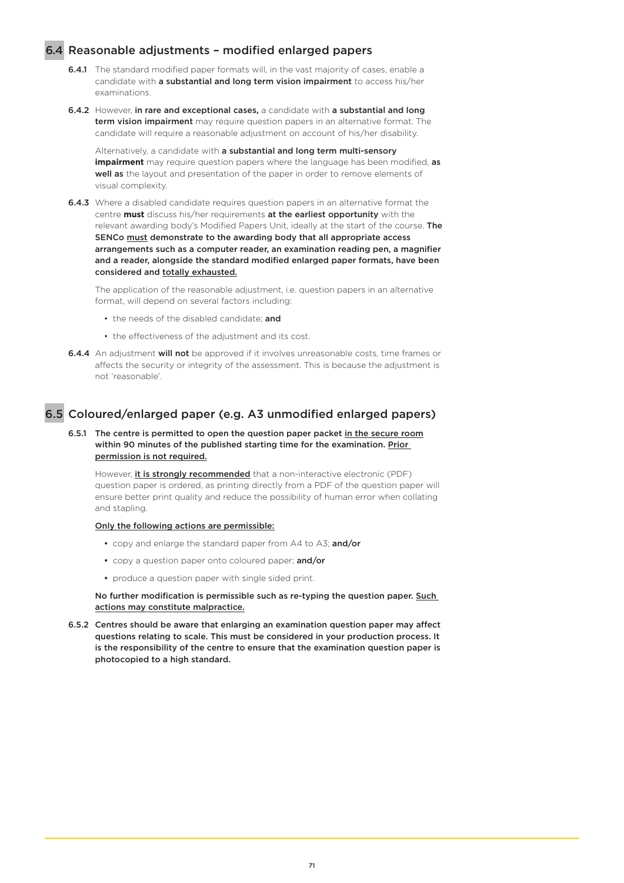### 6.4 Reasonable adjustments – modified enlarged papers

- 6.4.1 The standard modified paper formats will, in the vast majority of cases, enable a candidate with a substantial and long term vision impairment to access his/her examinations.
- 6.4.2 However, in rare and exceptional cases, a candidate with a substantial and long term vision impairment may require question papers in an alternative format. The candidate will require a reasonable adjustment on account of his/her disability.

Alternatively, a candidate with a substantial and long term multi-sensory **impairment** may require question papers where the language has been modified, as well as the layout and presentation of the paper in order to remove elements of visual complexity.

6.4.3 Where a disabled candidate requires question papers in an alternative format the centre **must** discuss his/her requirements at the earliest opportunity with the relevant awarding body's Modified Papers Unit, ideally at the start of the course. The SENCo must demonstrate to the awarding body that all appropriate access arrangements such as a computer reader, an examination reading pen, a magnifier and a reader, alongside the standard modified enlarged paper formats, have been considered and totally exhausted.

The application of the reasonable adjustment, i.e. question papers in an alternative format, will depend on several factors including:

- the needs of the disabled candidate; and
- the effectiveness of the adjustment and its cost.
- 6.4.4 An adjustment will not be approved if it involves unreasonable costs, time frames or affects the security or integrity of the assessment. This is because the adjustment is not 'reasonable'.

### 6.5 Coloured/enlarged paper (e.g. A3 unmodified enlarged papers)

6.5.1 The centre is permitted to open the question paper packet in the secure room within 90 minutes of the published starting time for the examination. Prior permission is not required.

However, it is strongly recommended that a non-interactive electronic (PDF) question paper is ordered, as printing directly from a PDF of the question paper will ensure better print quality and reduce the possibility of human error when collating and stapling.

#### Only the following actions are permissible:

- copy and enlarge the standard paper from A4 to A3; and/or
- copy a question paper onto coloured paper; and/or
- produce a question paper with single sided print.

No further modification is permissible such as re-typing the question paper. Such actions may constitute malpractice.

6.5.2 Centres should be aware that enlarging an examination question paper may affect questions relating to scale. This must be considered in your production process. It is the responsibility of the centre to ensure that the examination question paper is photocopied to a high standard.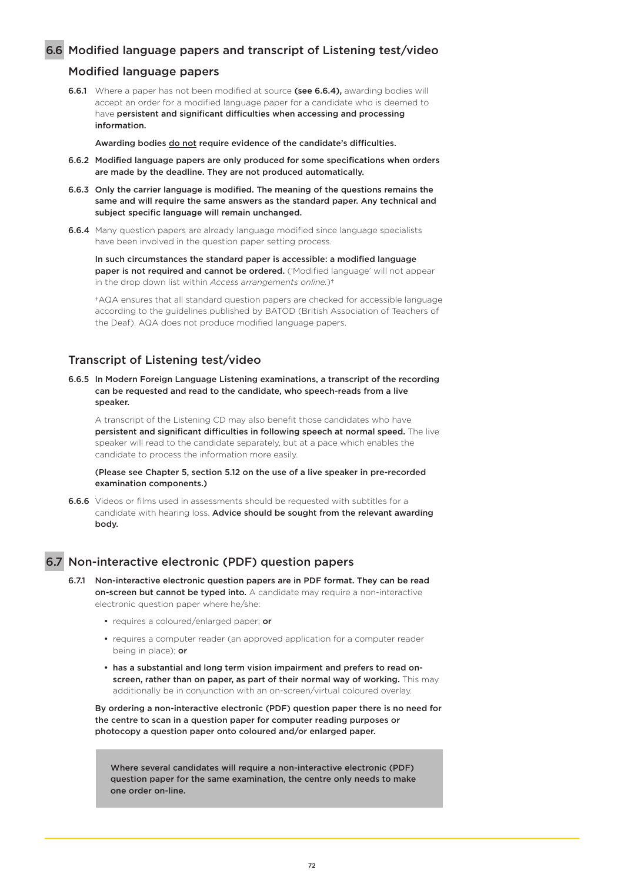### 6.6 Modified language papers and transcript of Listening test/video

### Modified language papers

**6.6.1** Where a paper has not been modified at source (see 6.6.4), awarding bodies will accept an order for a modified language paper for a candidate who is deemed to have persistent and significant difficulties when accessing and processing information.

Awarding bodies do not require evidence of the candidate's difficulties.

- 6.6.2 Modified language papers are only produced for some specifications when orders are made by the deadline. They are not produced automatically.
- 6.6.3 Only the carrier language is modified. The meaning of the questions remains the same and will require the same answers as the standard paper. Any technical and subject specific language will remain unchanged.
- 6.6.4 Many question papers are already language modified since language specialists have been involved in the question paper setting process.

In such circumstances the standard paper is accessible: a modified language paper is not required and cannot be ordered. ('Modified language' will not appear in the drop down list within *Access arrangements online.*)†

†AQA ensures that all standard question papers are checked for accessible language according to the guidelines published by BATOD (British Association of Teachers of the Deaf). AQA does not produce modified language papers.

### Transcript of Listening test/video

6.6.5 In Modern Foreign Language Listening examinations, a transcript of the recording can be requested and read to the candidate, who speech-reads from a live speaker.

A transcript of the Listening CD may also benefit those candidates who have persistent and significant difficulties in following speech at normal speed. The live speaker will read to the candidate separately, but at a pace which enables the candidate to process the information more easily.

(Please see Chapter 5, section 5.12 on the use of a live speaker in pre-recorded examination components.)

**6.6.6** Videos or films used in assessments should be requested with subtitles for a candidate with hearing loss. Advice should be sought from the relevant awarding body.

### 6.7 Non-interactive electronic (PDF) question papers

- 6.7.1 Non-interactive electronic question papers are in PDF format. They can be read on-screen but cannot be typed into. A candidate may require a non-interactive electronic question paper where he/she:
	- requires a coloured/enlarged paper; or
	- requires a computer reader (an approved application for a computer reader being in place); or
	- has a substantial and long term vision impairment and prefers to read on screen, rather than on paper, as part of their normal way of working. This may additionally be in conjunction with an on-screen/virtual coloured overlay.

By ordering a non-interactive electronic (PDF) question paper there is no need for the centre to scan in a question paper for computer reading purposes or photocopy a question paper onto coloured and/or enlarged paper.

Where several candidates will require a non-interactive electronic (PDF) question paper for the same examination, the centre only needs to make one order on-line.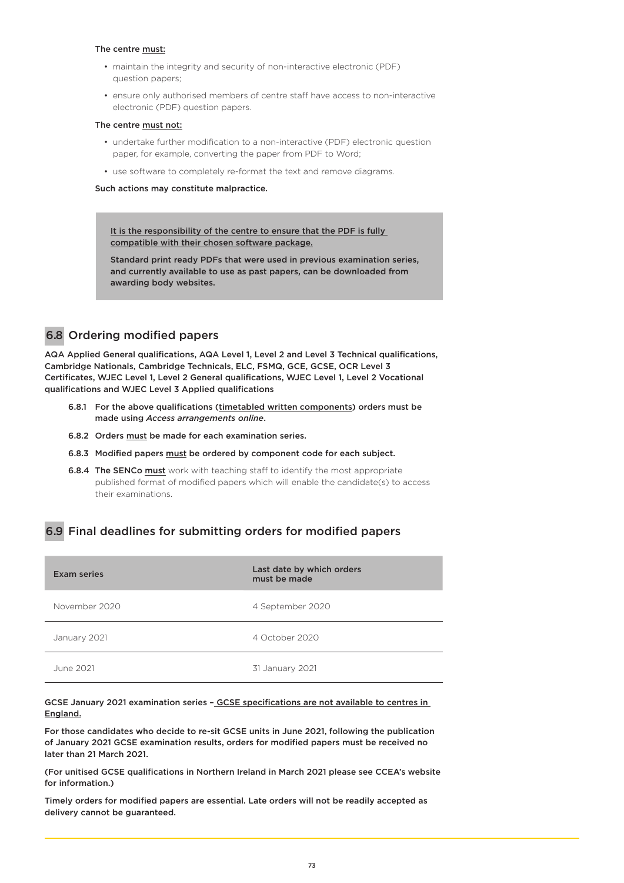#### The centre must:

- maintain the integrity and security of non-interactive electronic (PDF) question papers;
- ensure only authorised members of centre staff have access to non-interactive electronic (PDF) question papers.

#### The centre must not:

- undertake further modification to a non-interactive (PDF) electronic question paper, for example, converting the paper from PDF to Word;
- use software to completely re-format the text and remove diagrams.

Such actions may constitute malpractice.

It is the responsibility of the centre to ensure that the PDF is fully compatible with their chosen software package.

Standard print ready PDFs that were used in previous examination series, and currently available to use as past papers, can be downloaded from awarding body websites.

## 6.8 Ordering modified papers

AQA Applied General qualifications, AQA Level 1, Level 2 and Level 3 Technical qualifications, Cambridge Nationals, Cambridge Technicals, ELC, FSMQ, GCE, GCSE, OCR Level 3 Certificates, WJEC Level 1, Level 2 General qualifications, WJEC Level 1, Level 2 Vocational qualifications and WJEC Level 3 Applied qualifications

- 6.8.1 For the above qualifications (timetabled written components) orders must be made using *Access arrangements online*.
- 6.8.2 Orders must be made for each examination series.
- 6.8.3 Modified papers must be ordered by component code for each subject.
- **6.8.4 The SENCo must** work with teaching staff to identify the most appropriate published format of modified papers which will enable the candidate(s) to access their examinations.

## 6.9 Final deadlines for submitting orders for modified papers

| Exam series   | Last date by which orders<br>must be made |
|---------------|-------------------------------------------|
| November 2020 | 4 September 2020                          |
| January 2021  | 4 October 2020                            |
| June 2021     | 31 January 2021                           |

GCSE January 2021 examination series – GCSE specifications are not available to centres in England.

For those candidates who decide to re-sit GCSE units in June 2021, following the publication of January 2021 GCSE examination results, orders for modified papers must be received no later than 21 March 2021.

(For unitised GCSE qualifications in Northern Ireland in March 2021 please see CCEA's website for information.)

Timely orders for modified papers are essential. Late orders will not be readily accepted as delivery cannot be guaranteed.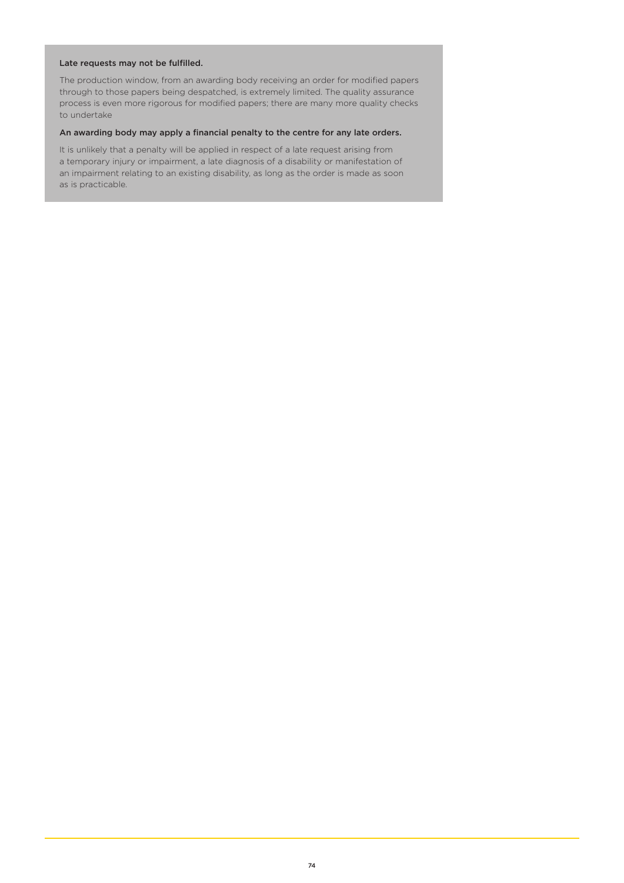### Late requests may not be fulfilled.

The production window, from an awarding body receiving an order for modified papers through to those papers being despatched, is extremely limited. The quality assurance process is even more rigorous for modified papers; there are many more quality checks to undertake

#### An awarding body may apply a financial penalty to the centre for any late orders.

It is unlikely that a penalty will be applied in respect of a late request arising from a temporary injury or impairment, a late diagnosis of a disability or manifestation of an impairment relating to an existing disability, as long as the order is made as soon as is practicable.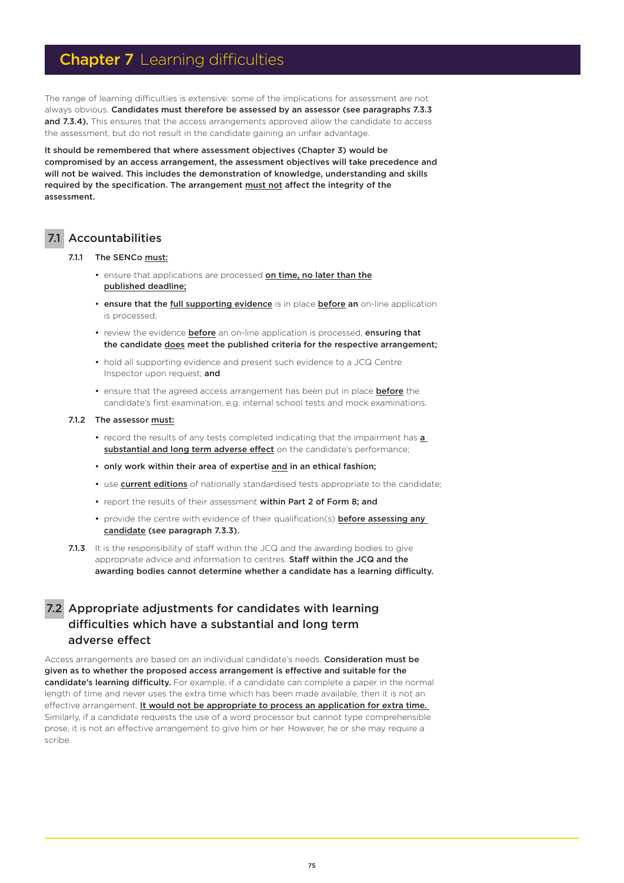# **Chapter 7** Learning difficulties

The range of learning difficulties is extensive: some of the implications for assessment are not always obvious. Candidates must therefore be assessed by an assessor (see paragraphs 7.3.3 and 7.3.4). This ensures that the access arrangements approved allow the candidate to access the assessment, but do not result in the candidate gaining an unfair advantage.

It should be remembered that where assessment objectives (Chapter 3) would be compromised by an access arrangement, the assessment objectives will take precedence and will not be waived. This includes the demonstration of knowledge, understanding and skills required by the specification. The arrangement must not affect the integrity of the assessment.

### 7.1 Accountabilities

#### 7.1.1 The SENCo must:

- ensure that applications are processed on time, no later than the published deadline;
- ensure that the full supporting evidence is in place before an on-line application is processed;
- review the evidence **before** an on-line application is processed, **ensuring that** the candidate does meet the published criteria for the respective arrangement;
- hold all supporting evidence and present such evidence to a JCQ Centre Inspector upon request; and
- ensure that the agreed access arrangement has been put in place **before** the candidate's first examination, e.g. internal school tests and mock examinations.

#### 7.1.2 The assessor must:

- record the results of any tests completed indicating that the impairment has a substantial and long term adverse effect on the candidate's performance;
- only work within their area of expertise and in an ethical fashion;
- use **current editions** of nationally standardised tests appropriate to the candidate;
- report the results of their assessment within Part 2 of Form 8; and
- provide the centre with evidence of their qualification(s) **before assessing any** candidate (see paragraph 7.3.3).
- 7.1.3 It is the responsibility of staff within the JCQ and the awarding bodies to give appropriate advice and information to centres. Staff within the JCQ and the awarding bodies cannot determine whether a candidate has a learning difficulty.

## 7.2 Appropriate adjustments for candidates with learning difficulties which have a substantial and long term adverse effect

Access arrangements are based on an individual candidate's needs. Consideration must be given as to whether the proposed access arrangement is effective and suitable for the candidate's learning difficulty. For example, if a candidate can complete a paper in the normal length of time and never uses the extra time which has been made available, then it is not an effective arrangement. It would not be appropriate to process an application for extra time. Similarly, if a candidate requests the use of a word processor but cannot type comprehensible prose, it is not an effective arrangement to give him or her. However, he or she may require a scribe.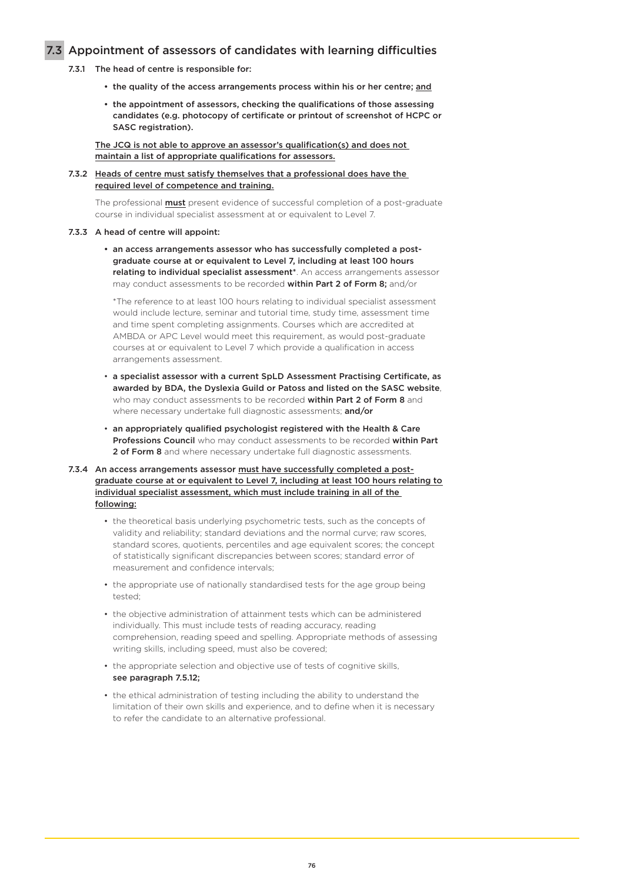### 7.3 Appointment of assessors of candidates with learning difficulties

- 7.3.1 The head of centre is responsible for:
	- the quality of the access arrangements process within his or her centre; and
	- the appointment of assessors, checking the qualifications of those assessing candidates (e.g. photocopy of certificate or printout of screenshot of HCPC or SASC registration).

The JCQ is not able to approve an assessor's qualification(s) and does not maintain a list of appropriate qualifications for assessors.

#### 7.3.2 Heads of centre must satisfy themselves that a professional does have the required level of competence and training.

The professional **must** present evidence of successful completion of a post-graduate course in individual specialist assessment at or equivalent to Level 7.

#### 7.3.3 A head of centre will appoint:

 • an access arrangements assessor who has successfully completed a post graduate course at or equivalent to Level 7, including at least 100 hours relating to individual specialist assessment<sup>\*</sup>. An access arrangements assessor may conduct assessments to be recorded within Part 2 of Form 8; and/or

 \*The reference to at least 100 hours relating to individual specialist assessment would include lecture, seminar and tutorial time, study time, assessment time and time spent completing assignments. Courses which are accredited at AMBDA or APC Level would meet this requirement, as would post-graduate courses at or equivalent to Level 7 which provide a qualification in access arrangements assessment.

- a specialist assessor with a current SpLD Assessment Practising Certificate, as awarded by BDA, the Dyslexia Guild or Patoss and listed on the SASC website, who may conduct assessments to be recorded within Part 2 of Form 8 and where necessary undertake full diagnostic assessments; and/or
- an appropriately qualified psychologist registered with the Health & Care Professions Council who may conduct assessments to be recorded within Part 2 of Form 8 and where necessary undertake full diagnostic assessments.

### 7.3.4 An access arrangements assessor must have successfully completed a postgraduate course at or equivalent to Level 7, including at least 100 hours relating to individual specialist assessment, which must include training in all of the following:

- the theoretical basis underlying psychometric tests, such as the concepts of validity and reliability; standard deviations and the normal curve; raw scores, standard scores, quotients, percentiles and age equivalent scores; the concept of statistically significant discrepancies between scores; standard error of measurement and confidence intervals;
- the appropriate use of nationally standardised tests for the age group being tested;
- the objective administration of attainment tests which can be administered individually. This must include tests of reading accuracy, reading comprehension, reading speed and spelling. Appropriate methods of assessing writing skills, including speed, must also be covered;
- the appropriate selection and objective use of tests of cognitive skills, see paragraph 7.5.12;
- the ethical administration of testing including the ability to understand the limitation of their own skills and experience, and to define when it is necessary to refer the candidate to an alternative professional.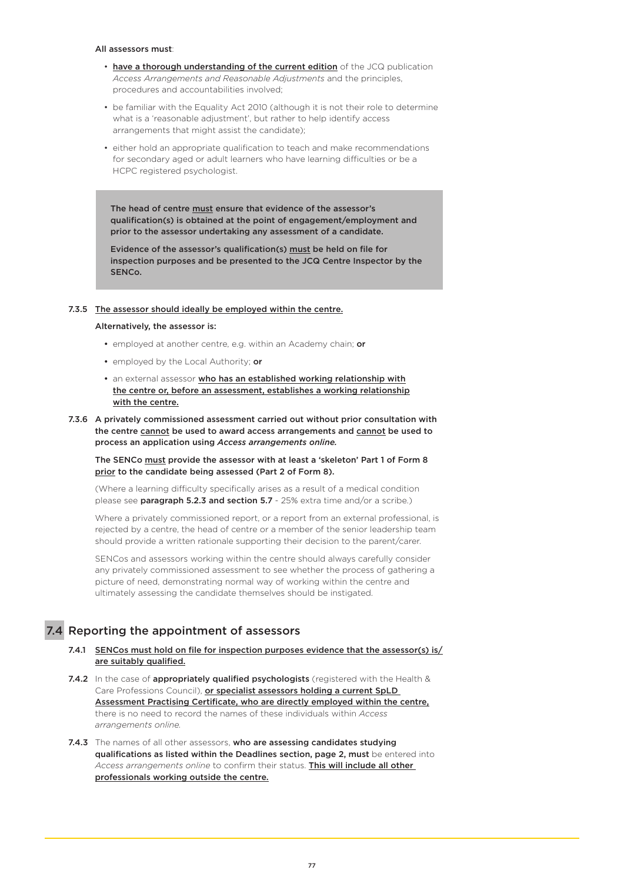#### All assessors must:

- have a thorough understanding of the current edition of the JCQ publication *Access Arrangements and Reasonable Adjustments* and the principles, procedures and accountabilities involved;
- be familiar with the Equality Act 2010 (although it is not their role to determine what is a 'reasonable adjustment', but rather to help identify access arrangements that might assist the candidate);
- either hold an appropriate qualification to teach and make recommendations for secondary aged or adult learners who have learning difficulties or be a HCPC registered psychologist.

The head of centre must ensure that evidence of the assessor's qualification(s) is obtained at the point of engagement/employment and prior to the assessor undertaking any assessment of a candidate.

Evidence of the assessor's qualification(s) must be held on file for inspection purposes and be presented to the JCQ Centre Inspector by the SENCo.

#### 7.3.5 The assessor should ideally be employed within the centre.

#### Alternatively, the assessor is:

- employed at another centre, e.g. within an Academy chain; or
- employed by the Local Authority; or
- an external assessor who has an established working relationship with the centre or, before an assessment, establishes a working relationship with the centre.
- 7.3.6 A privately commissioned assessment carried out without prior consultation with the centre cannot be used to award access arrangements and cannot be used to process an application using *Access arrangements online.*

The SENCo must provide the assessor with at least a 'skeleton' Part 1 of Form 8 prior to the candidate being assessed (Part 2 of Form 8).

(Where a learning difficulty specifically arises as a result of a medical condition please see **paragraph 5.2.3 and section 5.7** - 25% extra time and/or a scribe.)

Where a privately commissioned report, or a report from an external professional, is rejected by a centre, the head of centre or a member of the senior leadership team should provide a written rationale supporting their decision to the parent/carer.

SENCos and assessors working within the centre should always carefully consider any privately commissioned assessment to see whether the process of gathering a picture of need, demonstrating normal way of working within the centre and ultimately assessing the candidate themselves should be instigated.

## 7.4 Reporting the appointment of assessors

- 7.4.1 SENCos must hold on file for inspection purposes evidence that the assessor(s) is/ are suitably qualified.
- 7.4.2 In the case of appropriately qualified psychologists (registered with the Health & Care Professions Council), or specialist assessors holding a current SpLD Assessment Practising Certificate, who are directly employed within the centre, there is no need to record the names of these individuals within *Access arrangements online.*
- 7.4.3 The names of all other assessors, who are assessing candidates studying qualifications as listed within the Deadlines section, page 2, must be entered into *Access arrangements online* to confirm their status. This will include all other professionals working outside the centre.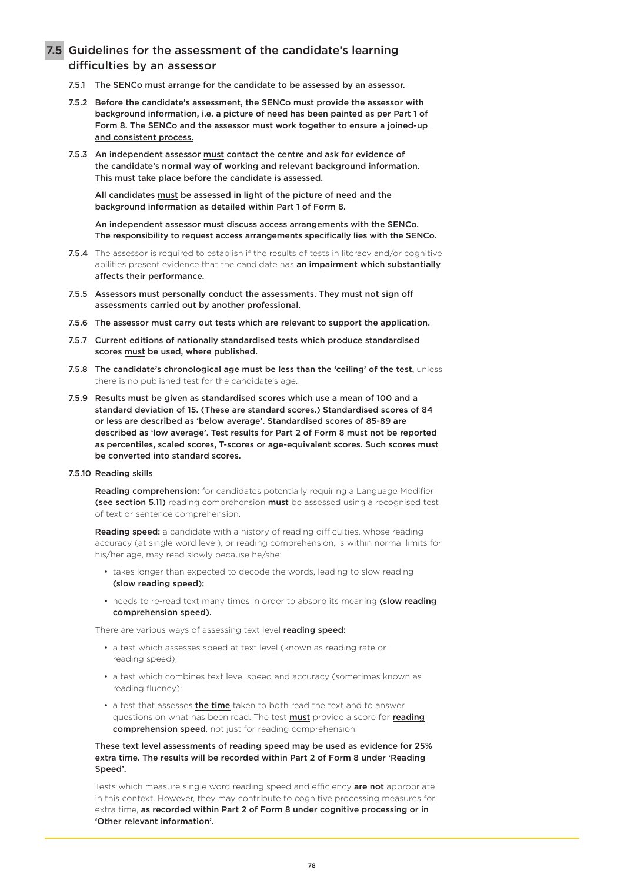## 7.5 Guidelines for the assessment of the candidate's learning difficulties by an assessor

- 7.5.1 The SENCo must arrange for the candidate to be assessed by an assessor.
- 7.5.2 Before the candidate's assessment, the SENCo must provide the assessor with background information, i.e. a picture of need has been painted as per Part 1 of Form 8. The SENCo and the assessor must work together to ensure a joined-up and consistent process.
- 7.5.3 An independent assessor must contact the centre and ask for evidence of the candidate's normal way of working and relevant background information. This must take place before the candidate is assessed.

All candidates must be assessed in light of the picture of need and the background information as detailed within Part 1 of Form 8.

An independent assessor must discuss access arrangements with the SENCo. The responsibility to request access arrangements specifically lies with the SENCo.

- 7.5.4 The assessor is required to establish if the results of tests in literacy and/or cognitive abilities present evidence that the candidate has an impairment which substantially affects their performance.
- 7.5.5 Assessors must personally conduct the assessments. They must not sign off assessments carried out by another professional.
- 7.5.6 The assessor must carry out tests which are relevant to support the application.
- 7.5.7 Current editions of nationally standardised tests which produce standardised scores must be used, where published.
- 7.5.8 The candidate's chronological age must be less than the 'ceiling' of the test, unless there is no published test for the candidate's age.
- 7.5.9 Results must be given as standardised scores which use a mean of 100 and a standard deviation of 15. (These are standard scores.) Standardised scores of 84 or less are described as 'below average'. Standardised scores of 85-89 are described as 'low average'. Test results for Part 2 of Form 8 must not be reported as percentiles, scaled scores, T-scores or age-equivalent scores. Such scores must be converted into standard scores.

#### 7.5.10 Reading skills

**Reading comprehension:** for candidates potentially requiring a Language Modifier (see section 5.11) reading comprehension must be assessed using a recognised test of text or sentence comprehension.

Reading speed: a candidate with a history of reading difficulties, whose reading accuracy (at single word level), or reading comprehension, is within normal limits for his/her age, may read slowly because he/she:

- takes longer than expected to decode the words, leading to slow reading (slow reading speed);
- needs to re-read text many times in order to absorb its meaning (slow reading comprehension speed).

There are various ways of assessing text level **reading speed:** 

- a test which assesses speed at text level (known as reading rate or reading speed);
- a test which combines text level speed and accuracy (sometimes known as reading fluency);
- a test that assesses the time taken to both read the text and to answer questions on what has been read. The test **must** provide a score for **reading** comprehension speed, not just for reading comprehension.

#### These text level assessments of reading speed may be used as evidence for 25% extra time. The results will be recorded within Part 2 of Form 8 under 'Reading Speed'.

Tests which measure single word reading speed and efficiency **are not** appropriate in this context. However, they may contribute to cognitive processing measures for extra time, as recorded within Part 2 of Form 8 under cognitive processing or in 'Other relevant information'.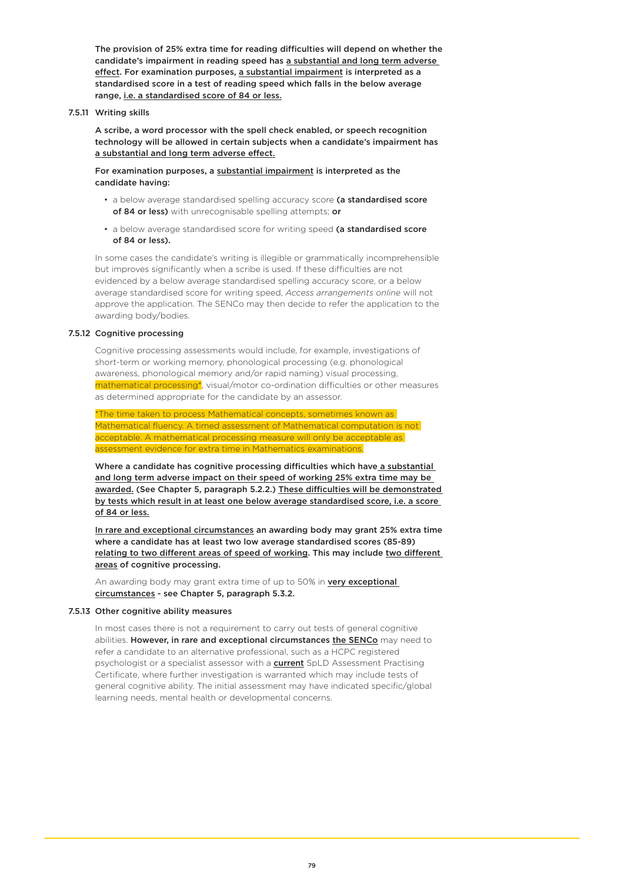The provision of 25% extra time for reading difficulties will depend on whether the candidate's impairment in reading speed has a substantial and long term adverse effect. For examination purposes, a substantial impairment is interpreted as a standardised score in a test of reading speed which falls in the below average range, i.e. a standardised score of 84 or less.

7.5.11 Writing skills

A scribe, a word processor with the spell check enabled, or speech recognition technology will be allowed in certain subjects when a candidate's impairment has a substantial and long term adverse effect.

For examination purposes, a substantial impairment is interpreted as the candidate having:

- a below average standardised spelling accuracy score (a standardised score of 84 or less) with unrecognisable spelling attempts; or
- a below average standardised score for writing speed (a standardised score of 84 or less).

In some cases the candidate's writing is illegible or grammatically incomprehensible but improves significantly when a scribe is used. If these difficulties are not evidenced by a below average standardised spelling accuracy score, or a below average standardised score for writing speed, *Access arrangements online* will not approve the application. The SENCo may then decide to refer the application to the awarding body/bodies.

#### 7.5.12 Cognitive processing

Cognitive processing assessments would include, for example, investigations of short-term or working memory, phonological processing (e.g. phonological awareness, phonological memory and/or rapid naming) visual processing, mathematical processing\*, visual/motor co-ordination difficulties or other measures as determined appropriate for the candidate by an assessor.

\*The time taken to process Mathematical concepts, sometimes known as Mathematical fluency. A timed assessment of Mathematical computation is not acceptable. A mathematical processing measure will only be acceptable as assessment evidence for extra time in Mathematics examinations.

Where a candidate has cognitive processing difficulties which have a substantial and long term adverse impact on their speed of working 25% extra time may be awarded. (See Chapter 5, paragraph 5.2.2.) These difficulties will be demonstrated by tests which result in at least one below average standardised score, i.e. a score of 84 or less.

In rare and exceptional circumstances an awarding body may grant 25% extra time where a candidate has at least two low average standardised scores (85-89) relating to two different areas of speed of working. This may include two different areas of cognitive processing.

An awarding body may grant extra time of up to 50% in very exceptional circumstances - see Chapter 5, paragraph 5.3.2.

#### 7.5.13 Other cognitive ability measures

In most cases there is not a requirement to carry out tests of general cognitive abilities. However, in rare and exceptional circumstances the SENCo may need to refer a candidate to an alternative professional, such as a HCPC registered psychologist or a specialist assessor with a **current** SpLD Assessment Practising Certificate, where further investigation is warranted which may include tests of general cognitive ability. The initial assessment may have indicated specific/global learning needs, mental health or developmental concerns.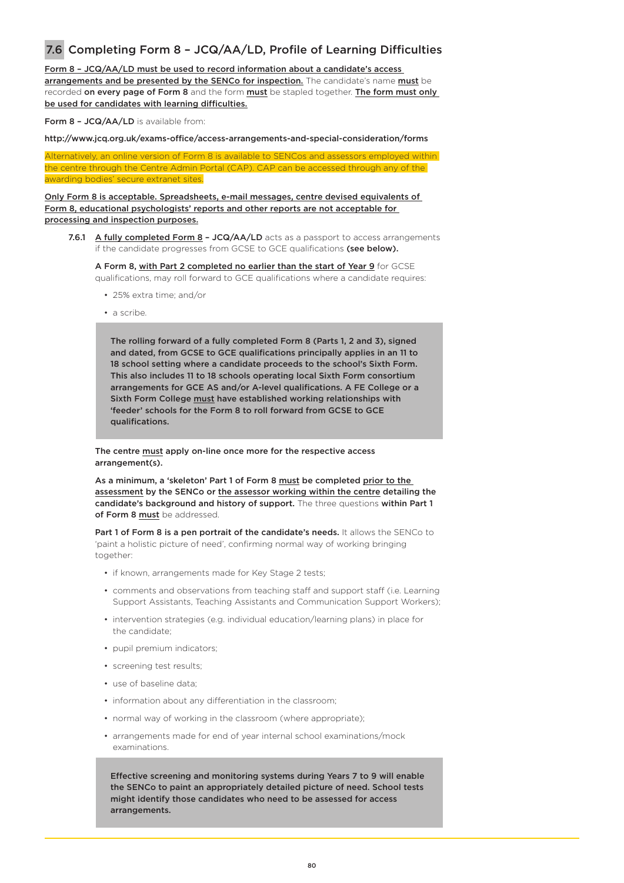## 7.6 Completing Form 8 – JCQ/AA/LD, Profile of Learning Difficulties

Form 8 – JCQ/AA/LD must be used to record information about a candidate's access arrangements and be presented by the SENCo for inspection. The candidate's name must be recorded on every page of Form 8 and the form must be stapled together. The form must only be used for candidates with learning difficulties.

Form 8 - JCQ/AA/LD is available from:

http://www.jcq.org.uk/exams-office/access-arrangements-and-special-consideration/forms

Alternatively, an online version of Form 8 is available to SENCos and assessors employed within the centre through the Centre Admin Portal (CAP). CAP can be accessed through any of the awarding bodies' secure extranet sites.

Only Form 8 is acceptable. Spreadsheets, e-mail messages, centre devised equivalents of Form 8, educational psychologists' reports and other reports are not acceptable for processing and inspection purposes.

7.6.1 A fully completed Form 8 - JCQ/AA/LD acts as a passport to access arrangements if the candidate progresses from GCSE to GCE qualifications (see below).

A Form 8, with Part 2 completed no earlier than the start of Year 9 for GCSE qualifications, may roll forward to GCE qualifications where a candidate requires:

- 25% extra time; and/or
- a scribe.

The rolling forward of a fully completed Form 8 (Parts 1, 2 and 3), signed and dated, from GCSE to GCE qualifications principally applies in an 11 to 18 school setting where a candidate proceeds to the school's Sixth Form. This also includes 11 to 18 schools operating local Sixth Form consortium arrangements for GCE AS and/or A-level qualifications. A FE College or a Sixth Form College must have established working relationships with 'feeder' schools for the Form 8 to roll forward from GCSE to GCE qualifications.

The centre must apply on-line once more for the respective access arrangement(s).

As a minimum, a 'skeleton' Part 1 of Form 8 must be completed prior to the assessment by the SENCo or the assessor working within the centre detailing the candidate's background and history of support. The three questions within Part 1 of Form 8 must be addressed.

Part 1 of Form 8 is a pen portrait of the candidate's needs. It allows the SENCo to 'paint a holistic picture of need', confirming normal way of working bringing together:

- if known, arrangements made for Key Stage 2 tests;
- comments and observations from teaching staff and support staff (i.e. Learning Support Assistants, Teaching Assistants and Communication Support Workers);
- intervention strategies (e.g. individual education/learning plans) in place for the candidate;
- pupil premium indicators;
- screening test results;
- use of baseline data;
- information about any differentiation in the classroom;
- normal way of working in the classroom (where appropriate);
- arrangements made for end of year internal school examinations/mock examinations.

Effective screening and monitoring systems during Years 7 to 9 will enable the SENCo to paint an appropriately detailed picture of need. School tests might identify those candidates who need to be assessed for access arrangements.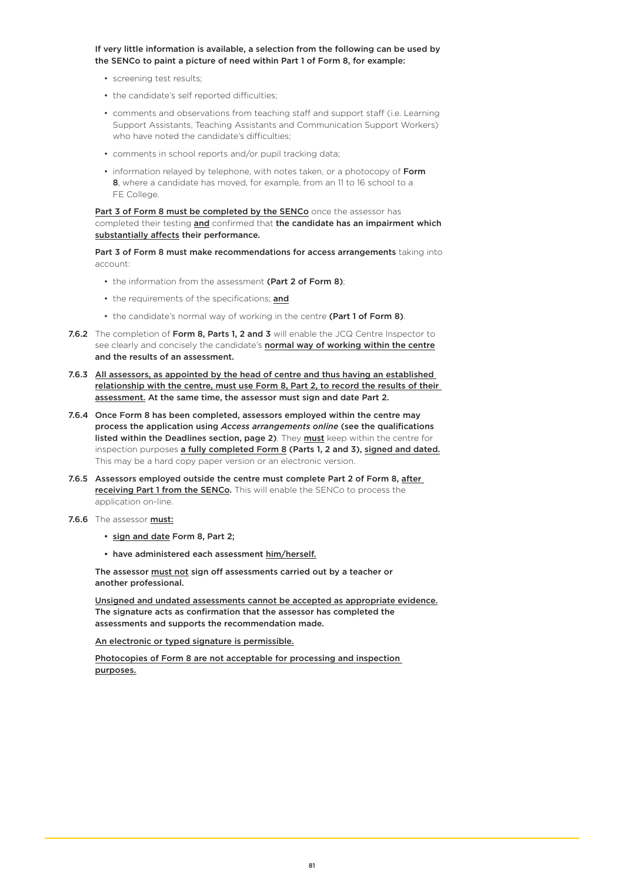#### If very little information is available, a selection from the following can be used by the SENCo to paint a picture of need within Part 1 of Form 8, for example:

- screening test results;
- the candidate's self reported difficulties;
- comments and observations from teaching staff and support staff (i.e. Learning Support Assistants, Teaching Assistants and Communication Support Workers) who have noted the candidate's difficulties;
- comments in school reports and/or pupil tracking data;
- information relayed by telephone, with notes taken, or a photocopy of Form 8, where a candidate has moved, for example, from an 11 to 16 school to a FE College.

Part 3 of Form 8 must be completed by the SENCo once the assessor has completed their testing and confirmed that the candidate has an impairment which substantially affects their performance.

Part 3 of Form 8 must make recommendations for access arrangements taking into account:

- the information from the assessment (Part 2 of Form 8);
- the requirements of the specifications; and
- the candidate's normal way of working in the centre (Part 1 of Form 8).
- 7.6.2 The completion of Form 8, Parts 1, 2 and 3 will enable the JCQ Centre Inspector to see clearly and concisely the candidate's **normal way of working within the centre** and the results of an assessment.
- 7.6.3 All assessors, as appointed by the head of centre and thus having an established relationship with the centre, must use Form 8, Part 2, to record the results of their assessment. At the same time, the assessor must sign and date Part 2.
- 7.6.4 Once Form 8 has been completed, assessors employed within the centre may process the application using *Access arrangements online* (see the qualifications listed within the Deadlines section, page 2). They must keep within the centre for inspection purposes a fully completed Form 8 (Parts 1, 2 and 3), signed and dated. This may be a hard copy paper version or an electronic version.
- 7.6.5 Assessors employed outside the centre must complete Part 2 of Form 8, after receiving Part 1 from the SENCo. This will enable the SENCo to process the application on-line.
- 7.6.6 The assessor **must:** 
	- sign and date Form 8, Part 2;
	- have administered each assessment him/herself.

The assessor must not sign off assessments carried out by a teacher or another professional.

Unsigned and undated assessments cannot be accepted as appropriate evidence. The signature acts as confirmation that the assessor has completed the assessments and supports the recommendation made.

An electronic or typed signature is permissible.

Photocopies of Form 8 are not acceptable for processing and inspection purposes.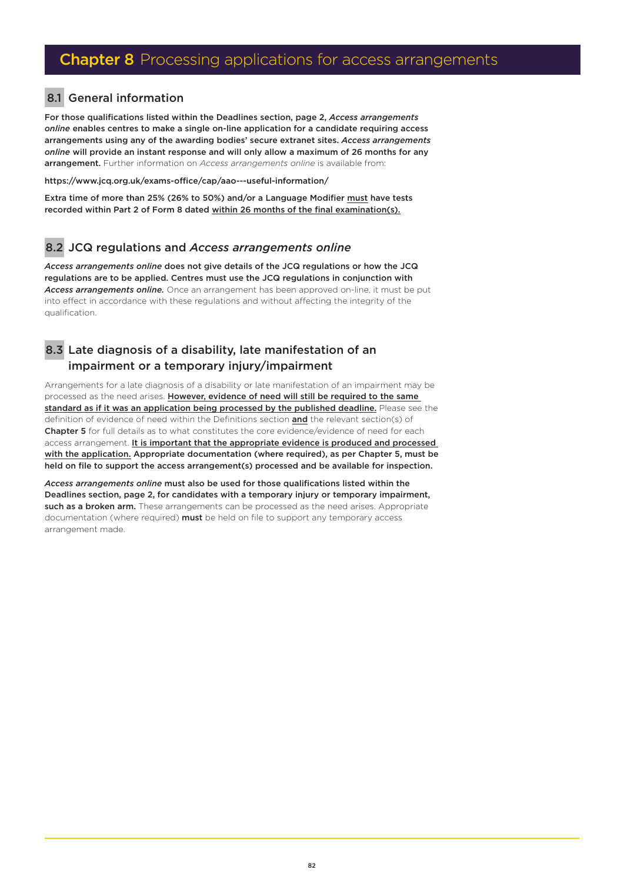## 8.1 General information

For those qualifications listed within the Deadlines section, page 2, *Access arrangements online* enables centres to make a single on-line application for a candidate requiring access arrangements using any of the awarding bodies' secure extranet sites. *Access arrangements online* will provide an instant response and will only allow a maximum of 26 months for any arrangement. Further information on *Access arrangements online* is available from:

<https://www.jcq.org.uk/exams-office/cap/aao---useful-information/>

Extra time of more than 25% (26% to 50%) and/or a Language Modifier must have tests recorded within Part 2 of Form 8 dated within 26 months of the final examination(s).

## 8.2 JCQ regulations and *Access arrangements online*

*Access arrangements online* does not give details of the JCQ regulations or how the JCQ regulations are to be applied. Centres must use the JCQ regulations in conjunction with *Access arrangements online.* Once an arrangement has been approved on-line, it must be put into effect in accordance with these regulations and without affecting the integrity of the qualification.

## 8.3 Late diagnosis of a disability, late manifestation of an impairment or a temporary injury/impairment

Arrangements for a late diagnosis of a disability or late manifestation of an impairment may be processed as the need arises. However, evidence of need will still be required to the same standard as if it was an application being processed by the published deadline. Please see the definition of evidence of need within the Definitions section and the relevant section(s) of Chapter 5 for full details as to what constitutes the core evidence/evidence of need for each access arrangement. It is important that the appropriate evidence is produced and processed with the application. Appropriate documentation (where required), as per Chapter 5, must be held on file to support the access arrangement(s) processed and be available for inspection.

*Access arrangements online* must also be used for those qualifications listed within the Deadlines section, page 2, for candidates with a temporary injury or temporary impairment, such as a broken arm. These arrangements can be processed as the need arises. Appropriate documentation (where required) must be held on file to support any temporary access arrangement made.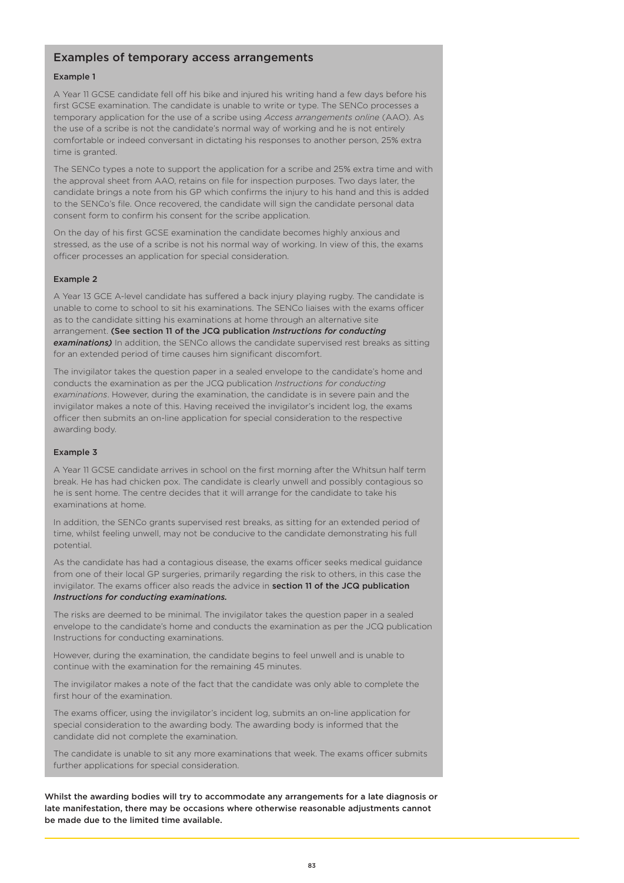### Examples of temporary access arrangements

#### Example 1

A Year 11 GCSE candidate fell off his bike and injured his writing hand a few days before his first GCSE examination. The candidate is unable to write or type. The SENCo processes a temporary application for the use of a scribe using *Access arrangements online* (AAO). As the use of a scribe is not the candidate's normal way of working and he is not entirely comfortable or indeed conversant in dictating his responses to another person, 25% extra time is granted.

The SENCo types a note to support the application for a scribe and 25% extra time and with the approval sheet from AAO, retains on file for inspection purposes. Two days later, the candidate brings a note from his GP which confirms the injury to his hand and this is added to the SENCo's file. Once recovered, the candidate will sign the candidate personal data consent form to confirm his consent for the scribe application.

On the day of his first GCSE examination the candidate becomes highly anxious and stressed, as the use of a scribe is not his normal way of working. In view of this, the exams officer processes an application for special consideration.

#### Example 2

A Year 13 GCE A-level candidate has suffered a back injury playing rugby. The candidate is unable to come to school to sit his examinations. The SENCo liaises with the exams officer as to the candidate sitting his examinations at home through an alternative site arrangement. (See section 11 of the JCQ publication *Instructions for conducting*  **examinations)** In addition, the SENCo allows the candidate supervised rest breaks as sitting for an extended period of time causes him significant discomfort.

The invigilator takes the question paper in a sealed envelope to the candidate's home and conducts the examination as per the JCQ publication *Instructions for conducting examinations*. However, during the examination, the candidate is in severe pain and the invigilator makes a note of this. Having received the invigilator's incident log, the exams officer then submits an on-line application for special consideration to the respective awarding body.

#### Example 3

A Year 11 GCSE candidate arrives in school on the first morning after the Whitsun half term break. He has had chicken pox. The candidate is clearly unwell and possibly contagious so he is sent home. The centre decides that it will arrange for the candidate to take his examinations at home.

In addition, the SENCo grants supervised rest breaks, as sitting for an extended period of time, whilst feeling unwell, may not be conducive to the candidate demonstrating his full potential.

As the candidate has had a contagious disease, the exams officer seeks medical guidance from one of their local GP surgeries, primarily regarding the risk to others, in this case the invigilator. The exams officer also reads the advice in section 11 of the JCQ publication *Instructions for conducting examinations.*

The risks are deemed to be minimal. The invigilator takes the question paper in a sealed envelope to the candidate's home and conducts the examination as per the JCQ publication Instructions for conducting examinations.

However, during the examination, the candidate begins to feel unwell and is unable to continue with the examination for the remaining 45 minutes.

The invigilator makes a note of the fact that the candidate was only able to complete the first hour of the examination.

The exams officer, using the invigilator's incident log, submits an on-line application for special consideration to the awarding body. The awarding body is informed that the candidate did not complete the examination.

The candidate is unable to sit any more examinations that week. The exams officer submits further applications for special consideration.

Whilst the awarding bodies will try to accommodate any arrangements for a late diagnosis or late manifestation, there may be occasions where otherwise reasonable adjustments cannot be made due to the limited time available.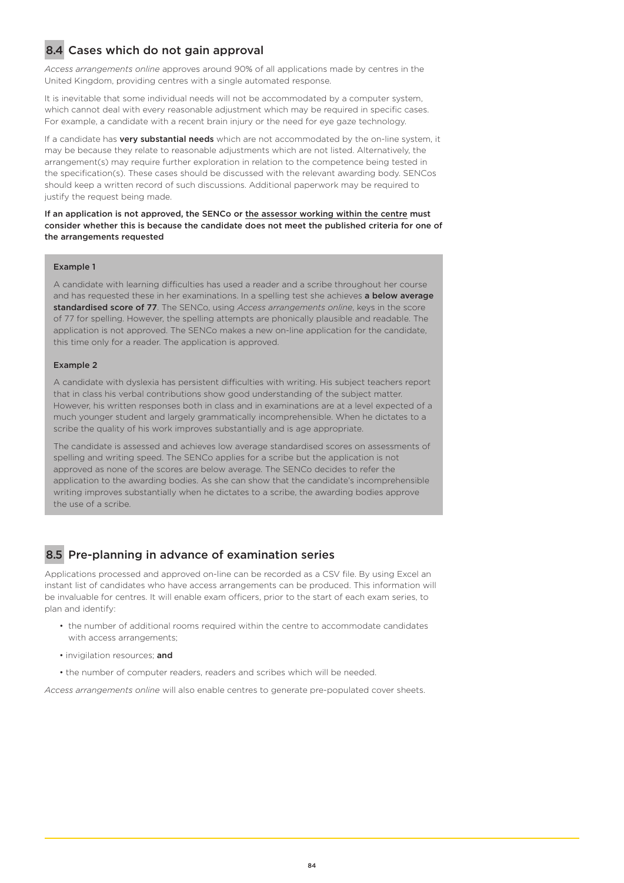## 8.4 Cases which do not gain approval

*Access arrangements online* approves around 90% of all applications made by centres in the United Kingdom, providing centres with a single automated response.

It is inevitable that some individual needs will not be accommodated by a computer system, which cannot deal with every reasonable adjustment which may be required in specific cases. For example, a candidate with a recent brain injury or the need for eye gaze technology.

If a candidate has **very substantial needs** which are not accommodated by the on-line system, it may be because they relate to reasonable adjustments which are not listed. Alternatively, the arrangement(s) may require further exploration in relation to the competence being tested in the specification(s). These cases should be discussed with the relevant awarding body. SENCos should keep a written record of such discussions. Additional paperwork may be required to justify the request being made.

If an application is not approved, the SENCo or the assessor working within the centre must consider whether this is because the candidate does not meet the published criteria for one of the arrangements requested

#### Example 1

A candidate with learning difficulties has used a reader and a scribe throughout her course and has requested these in her examinations. In a spelling test she achieves a below average standardised score of 77. The SENCo, using *Access arrangements online*, keys in the score of 77 for spelling. However, the spelling attempts are phonically plausible and readable. The application is not approved. The SENCo makes a new on-line application for the candidate, this time only for a reader. The application is approved.

#### Example 2

A candidate with dyslexia has persistent difficulties with writing. His subject teachers report that in class his verbal contributions show good understanding of the subject matter. However, his written responses both in class and in examinations are at a level expected of a much younger student and largely grammatically incomprehensible. When he dictates to a scribe the quality of his work improves substantially and is age appropriate.

The candidate is assessed and achieves low average standardised scores on assessments of spelling and writing speed. The SENCo applies for a scribe but the application is not approved as none of the scores are below average. The SENCo decides to refer the application to the awarding bodies. As she can show that the candidate's incomprehensible writing improves substantially when he dictates to a scribe, the awarding bodies approve the use of a scribe.

## 8.5 Pre-planning in advance of examination series

Applications processed and approved on-line can be recorded as a CSV file. By using Excel an instant list of candidates who have access arrangements can be produced. This information will be invaluable for centres. It will enable exam officers, prior to the start of each exam series, to plan and identify:

- the number of additional rooms required within the centre to accommodate candidates with access arrangements;
- invigilation resources; and
- the number of computer readers, readers and scribes which will be needed.

*Access arrangements online* will also enable centres to generate pre-populated cover sheets.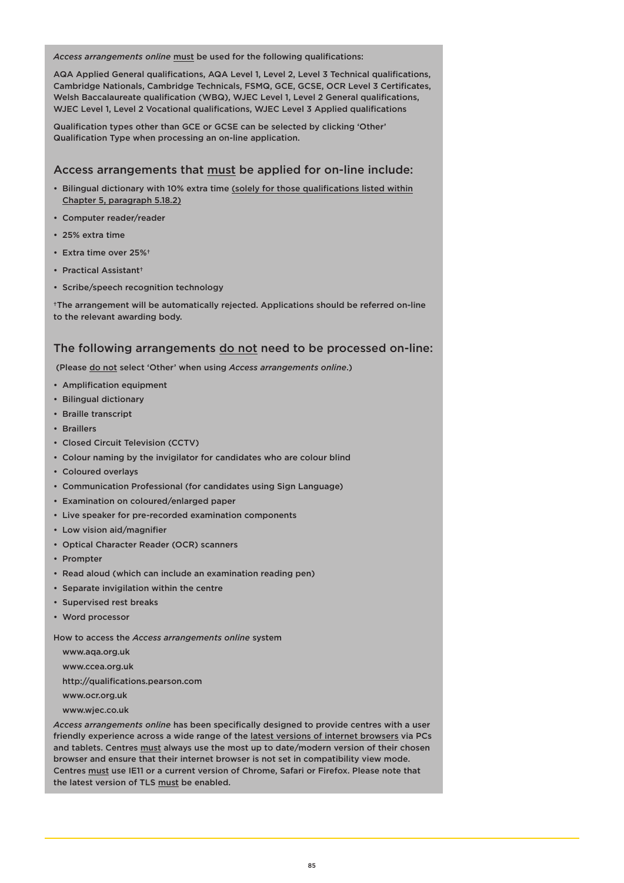*Access arrangements online* must be used for the following qualifications:

AQA Applied General qualifications, AQA Level 1, Level 2, Level 3 Technical qualifications, Cambridge Nationals, Cambridge Technicals, FSMQ, GCE, GCSE, OCR Level 3 Certificates, Welsh Baccalaureate qualification (WBQ), WJEC Level 1, Level 2 General qualifications, WJEC Level 1, Level 2 Vocational qualifications, WJEC Level 3 Applied qualifications

Qualification types other than GCE or GCSE can be selected by clicking 'Other' Qualification Type when processing an on-line application.

### Access arrangements that must be applied for on-line include:

- Bilingual dictionary with 10% extra time (solely for those qualifications listed within Chapter 5, paragraph 5.18.2)
- Computer reader/reader
- 25% extra time
- Extra time over 25%†
- Practical Assistant†
- Scribe/speech recognition technology

†The arrangement will be automatically rejected. Applications should be referred on-line to the relevant awarding body.

### The following arrangements do not need to be processed on-line:

(Please do not select 'Other' when using *Access arrangements online*.)

- Amplification equipment
- Bilingual dictionary
- Braille transcript
- Braillers
- Closed Circuit Television (CCTV)
- Colour naming by the invigilator for candidates who are colour blind
- Coloured overlays
- Communication Professional (for candidates using Sign Language)
- Examination on coloured/enlarged paper
- Live speaker for pre-recorded examination components
- Low vision aid/magnifier
- Optical Character Reader (OCR) scanners
- Prompter
- Read aloud (which can include an examination reading pen)
- Separate invigilation within the centre
- Supervised rest breaks
- Word processor

How to access the *Access arrangements online* system

[www.aqa.org.uk](https://www.aqa.org.uk/) 

[www.ccea.org.uk](https://ccea.org.uk/)

[http://qualifications.pearson.com](https://qualifications.pearson.com/en/home.html) 

[www.ocr.org.uk](https://www.ocr.org.uk/)

[www.wjec.co.uk](https://www.wjec.co.uk/) 

*Access arrangements online* has been specifically designed to provide centres with a user friendly experience across a wide range of the latest versions of internet browsers via PCs and tablets. Centres must always use the most up to date/modern version of their chosen browser and ensure that their internet browser is not set in compatibility view mode. Centres must use IE11 or a current version of Chrome, Safari or Firefox. Please note that the latest version of TLS must be enabled.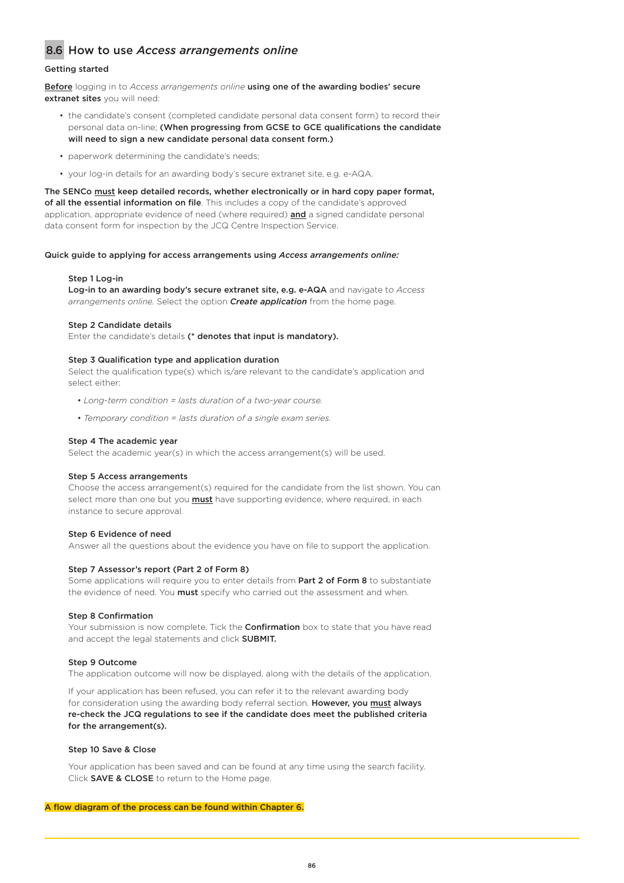## 8.6 How to use *Access arrangements online*

#### Getting started

Before logging in to *Access arrangements online* using one of the awarding bodies' secure extranet sites you will need:

- the candidate's consent (completed candidate personal data consent form) to record their personal data on-line; (When progressing from GCSE to GCE qualifications the candidate will need to sign a new candidate personal data consent form.)
- paperwork determining the candidate's needs;
- your log-in details for an awarding body's secure extranet site, e.g. e-AQA.

The SENCo must keep detailed records, whether electronically or in hard copy paper format, of all the essential information on file. This includes a copy of the candidate's approved application, appropriate evidence of need (where required) and a signed candidate personal data consent form for inspection by the JCQ Centre Inspection Service.

Quick guide to applying for access arrangements using *Access arrangements online:*

#### Step 1 Log-in

Log-in to an awarding body's secure extranet site, e.g. e-AQA and navigate t*o Access arrangements online.* Select the option *Create application* from the home page.

#### Step 2 Candidate details

Enter the candidate's details (\* denotes that input is mandatory).

#### Step 3 Qualification type and application duration

Select the qualification type(s) which is/are relevant to the candidate's application and select either:

- *Long-term condition = lasts duration of a two-year course.*
- *Temporary condition = lasts duration of a single exam series.*

#### Step 4 The academic year

Select the academic year(s) in which the access arrangement(s) will be used.

#### Step 5 Access arrangements

Choose the access arrangement(s) required for the candidate from the list shown. You can select more than one but you **must** have supporting evidence, where required, in each instance to secure approval.

#### Step 6 Evidence of need

Answer all the questions about the evidence you have on file to support the application.

#### Step 7 Assessor's report (Part 2 of Form 8)

Some applications will require you to enter details from Part 2 of Form 8 to substantiate the evidence of need. You **must** specify who carried out the assessment and when.

#### Step 8 Confirmation

Your submission is now complete. Tick the **Confirmation** box to state that you have read and accept the legal statements and click **SUBMIT.** 

#### Step 9 Outcome

The application outcome will now be displayed, along with the details of the application.

If your application has been refused, you can refer it to the relevant awarding body for consideration using the awarding body referral section. However, you must always re-check the JCQ regulations to see if the candidate does meet the published criteria for the arrangement(s).

#### Step 10 Save & Close

Your application has been saved and can be found at any time using the search facility. Click SAVE & CLOSE to return to the Home page.

#### A flow diagram of the process can be found within Chapter 6.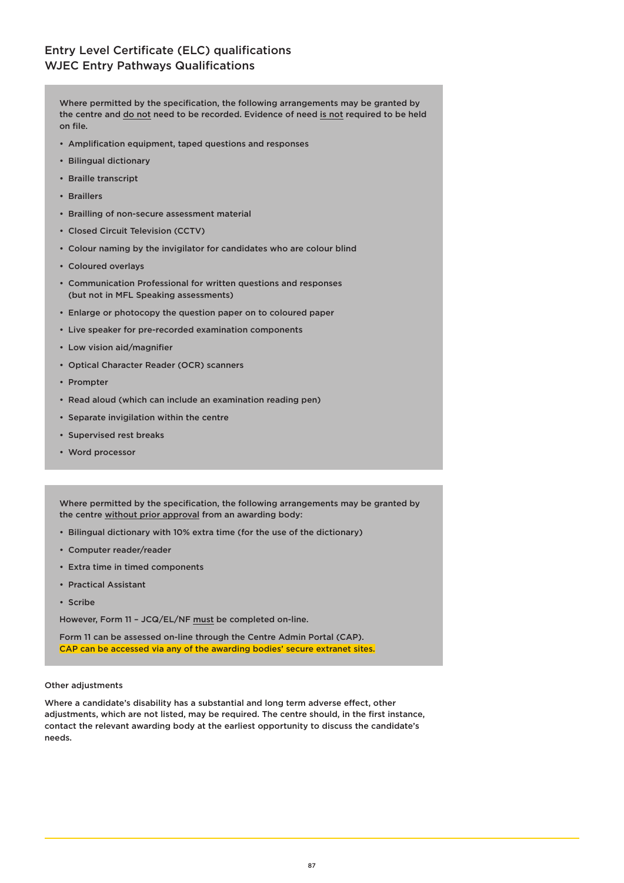Where permitted by the specification, the following arrangements may be granted by the centre and do not need to be recorded. Evidence of need is not required to be held on file.

- Amplification equipment, taped questions and responses
- Bilingual dictionary
- Braille transcript
- Braillers
- Brailling of non-secure assessment material
- Closed Circuit Television (CCTV)
- Colour naming by the invigilator for candidates who are colour blind
- Coloured overlays
- Communication Professional for written questions and responses (but not in MFL Speaking assessments)
- Enlarge or photocopy the question paper on to coloured paper
- Live speaker for pre-recorded examination components
- Low vision aid/magnifier
- Optical Character Reader (OCR) scanners
- Prompter
- Read aloud (which can include an examination reading pen)
- Separate invigilation within the centre
- Supervised rest breaks
- Word processor

Where permitted by the specification, the following arrangements may be granted by the centre without prior approval from an awarding body:

- Bilingual dictionary with 10% extra time (for the use of the dictionary)
- Computer reader/reader
- Extra time in timed components
- Practical Assistant
- Scribe

However, Form 11 – JCQ/EL/NF must be completed on-line.

Form 11 can be assessed on-line through the Centre Admin Portal (CAP). CAP can be accessed via any of the awarding bodies' secure extranet sites.

#### Other adjustments

Where a candidate's disability has a substantial and long term adverse effect, other adjustments, which are not listed, may be required. The centre should, in the first instance, contact the relevant awarding body at the earliest opportunity to discuss the candidate's needs.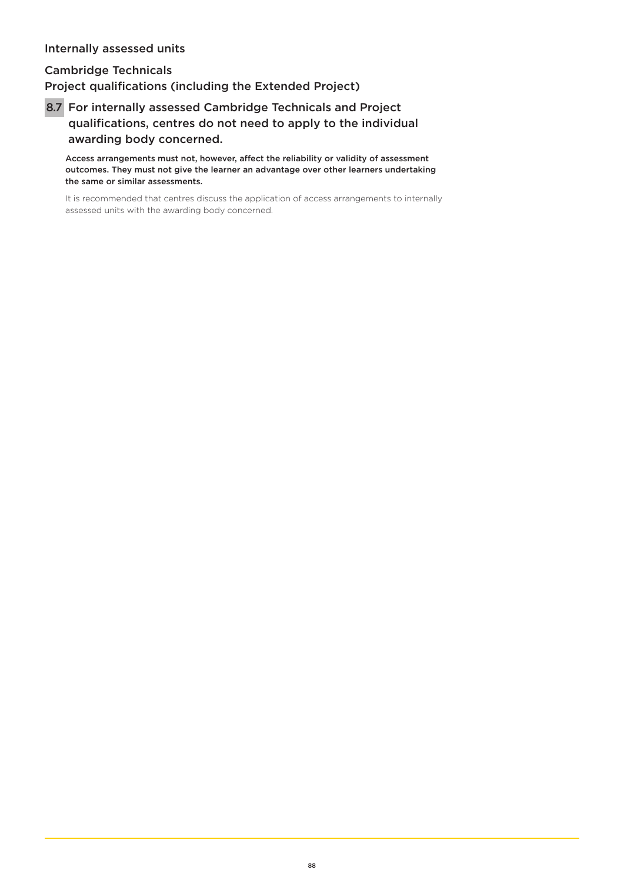## Internally assessed units

Cambridge Technicals

Project qualifications (including the Extended Project)

 8.7 For internally assessed Cambridge Technicals and Project qualifications, centres do not need to apply to the individual awarding body concerned.

Access arrangements must not, however, affect the reliability or validity of assessment outcomes. They must not give the learner an advantage over other learners undertaking the same or similar assessments.

It is recommended that centres discuss the application of access arrangements to internally assessed units with the awarding body concerned.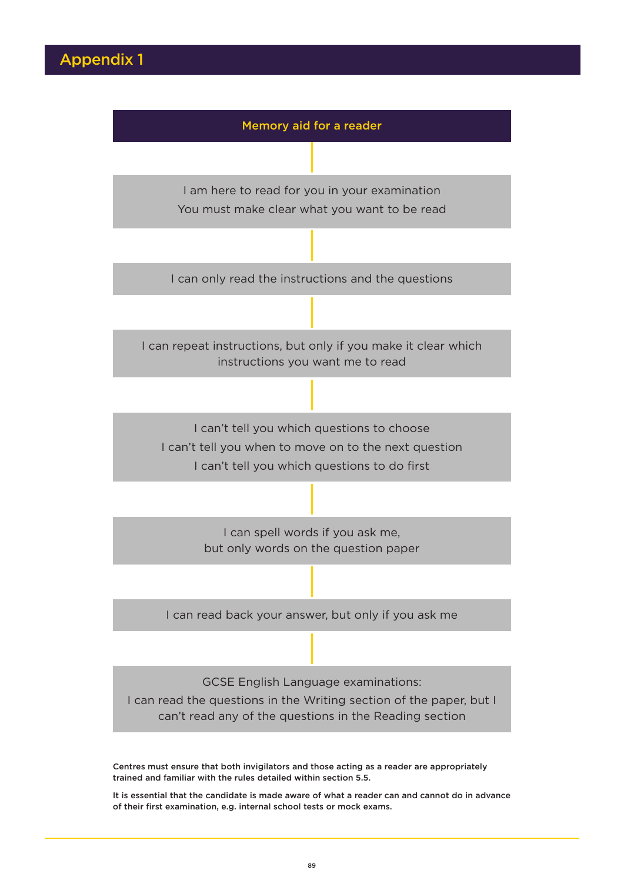

Centres must ensure that both invigilators and those acting as a reader are appropriately trained and familiar with the rules detailed within section 5.5.

It is essential that the candidate is made aware of what a reader can and cannot do in advance of their first examination, e.g. internal school tests or mock exams.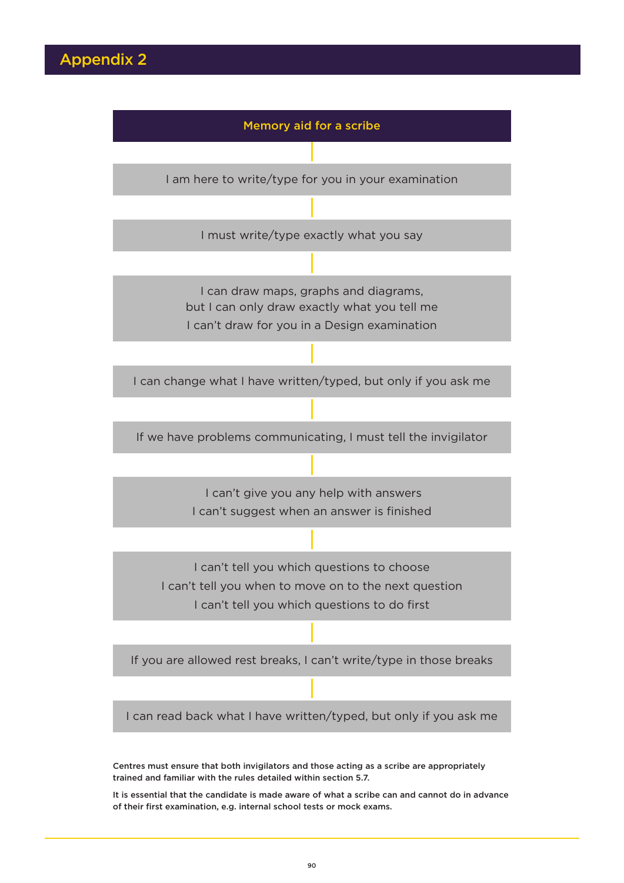

It is essential that the candidate is made aware of what a scribe can and cannot do in advance of their first examination, e.g. internal school tests or mock exams.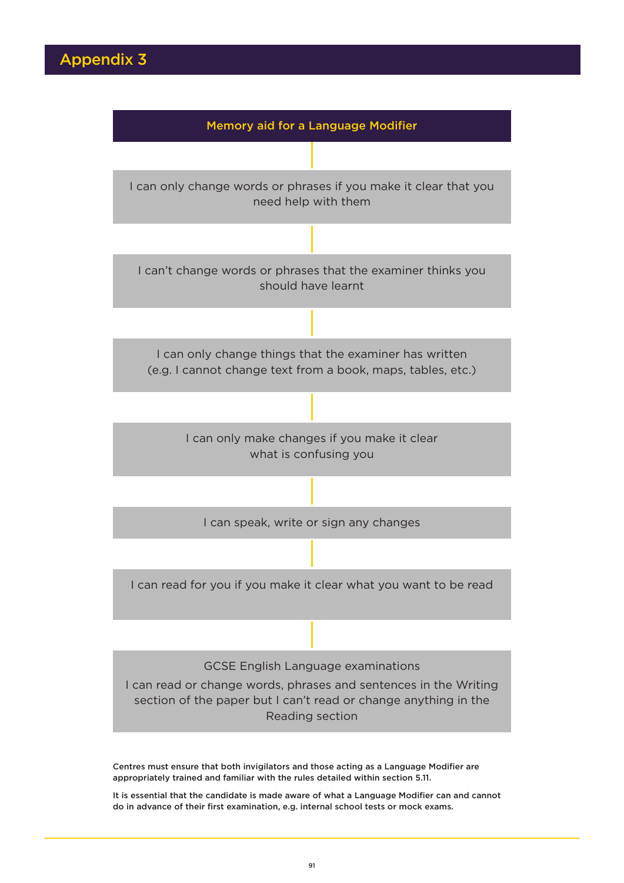

Centres must ensure that both invigilators and those acting as a Language Modifier are appropriately trained and familiar with the rules detailed within section 5.11.

It is essential that the candidate is made aware of what a Language Modifier can and cannot do in advance of their first examination, e.g. internal school tests or mock exams.